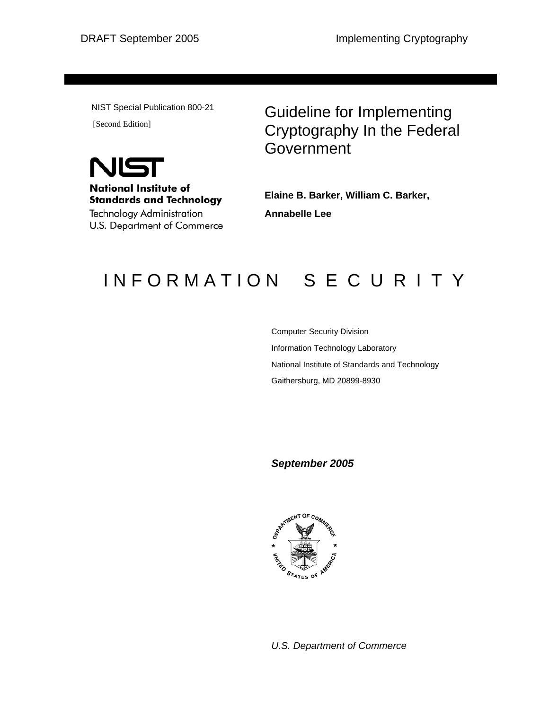NIST Special Publication 800-21

[Second Edition]



**National Institute of Standards and Technology** 

Technology Administration U.S. Department of Commerce

## Guideline for Implementing Cryptography In the Federal **Government**

**Elaine B. Barker, William C. Barker, Annabelle Lee** 

# IN FORMATION SECURITY

Computer Security Division Information Technology Laboratory National Institute of Standards and Technology Gaithersburg, MD 20899-8930

*September 2005* 



*U.S. Department of Commerce*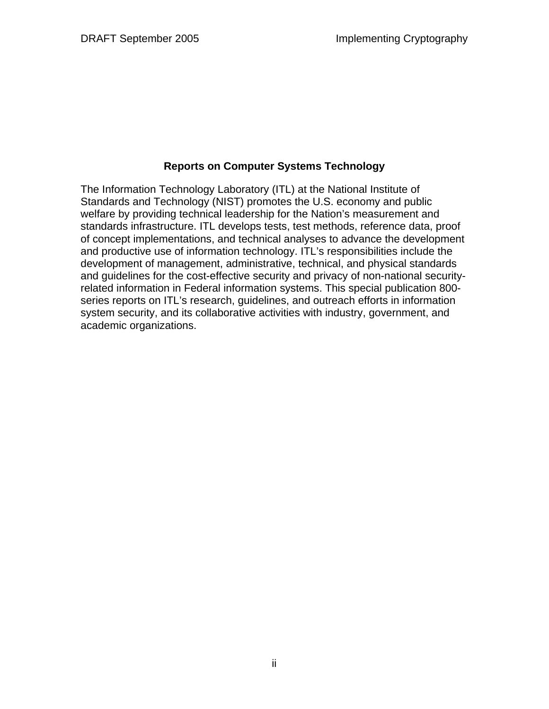#### **Reports on Computer Systems Technology**

The Information Technology Laboratory (ITL) at the National Institute of Standards and Technology (NIST) promotes the U.S. economy and public welfare by providing technical leadership for the Nation's measurement and standards infrastructure. ITL develops tests, test methods, reference data, proof of concept implementations, and technical analyses to advance the development and productive use of information technology. ITL's responsibilities include the development of management, administrative, technical, and physical standards and guidelines for the cost-effective security and privacy of non-national securityrelated information in Federal information systems. This special publication 800 series reports on ITL's research, guidelines, and outreach efforts in information system security, and its collaborative activities with industry, government, and academic organizations.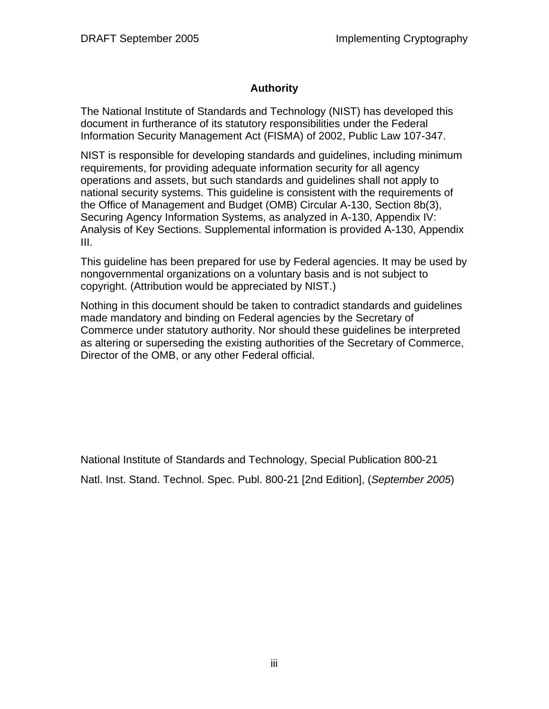#### **Authority**

The National Institute of Standards and Technology (NIST) has developed this document in furtherance of its statutory responsibilities under the Federal Information Security Management Act (FISMA) of 2002, Public Law 107-347.

NIST is responsible for developing standards and guidelines, including minimum requirements, for providing adequate information security for all agency operations and assets, but such standards and guidelines shall not apply to national security systems. This guideline is consistent with the requirements of the Office of Management and Budget (OMB) Circular A-130, Section 8b(3), Securing Agency Information Systems, as analyzed in A-130, Appendix IV: Analysis of Key Sections. Supplemental information is provided A-130, Appendix III.

This guideline has been prepared for use by Federal agencies. It may be used by nongovernmental organizations on a voluntary basis and is not subject to copyright. (Attribution would be appreciated by NIST.)

Nothing in this document should be taken to contradict standards and guidelines made mandatory and binding on Federal agencies by the Secretary of Commerce under statutory authority. Nor should these guidelines be interpreted as altering or superseding the existing authorities of the Secretary of Commerce, Director of the OMB, or any other Federal official.

National Institute of Standards and Technology, Special Publication 800-21 Natl. Inst. Stand. Technol. Spec. Publ. 800-21 [2nd Edition], (*September 2005*)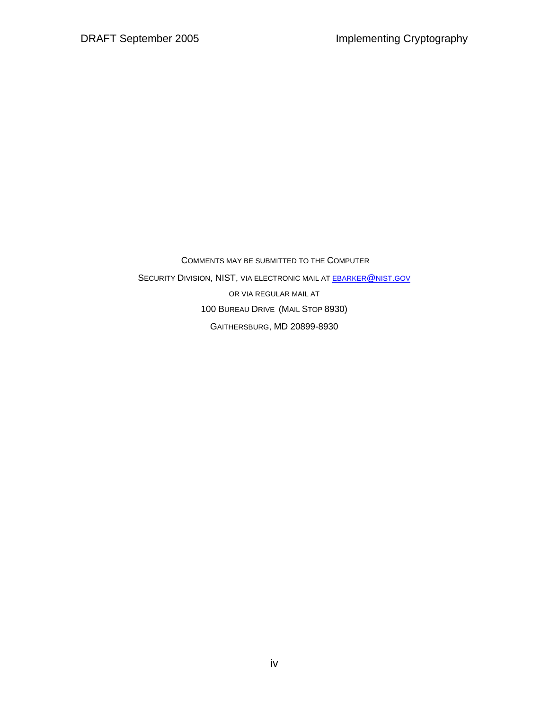COMMENTS MAY BE SUBMITTED TO THE COMPUTER SECURITY DIVISION, NIST, VIA ELECTRONIC MAIL AT **EBARKER@NIST.GOV** OR VIA REGULAR MAIL AT 100 BUREAU DRIVE (MAIL STOP 8930) GAITHERSBURG, MD 20899-8930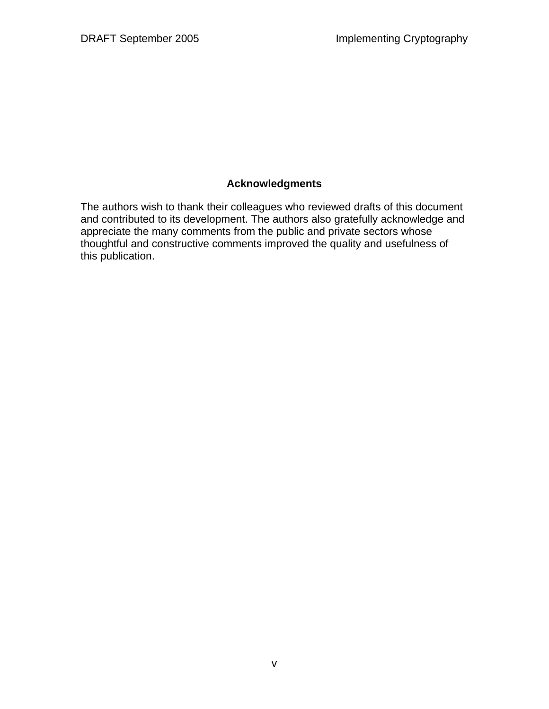#### **Acknowledgments**

The authors wish to thank their colleagues who reviewed drafts of this document and contributed to its development. The authors also gratefully acknowledge and appreciate the many comments from the public and private sectors whose thoughtful and constructive comments improved the quality and usefulness of this publication.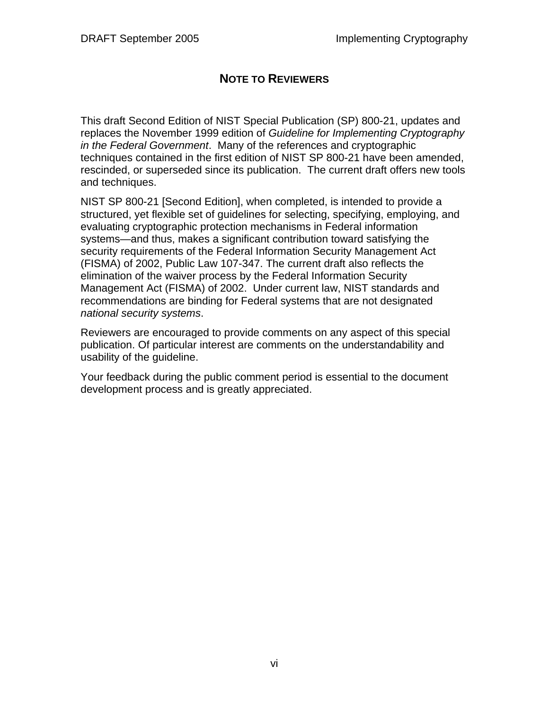#### **NOTE TO REVIEWERS**

This draft Second Edition of NIST Special Publication (SP) 800-21, updates and replaces the November 1999 edition of *Guideline for Implementing Cryptography in the Federal Government*. Many of the references and cryptographic techniques contained in the first edition of NIST SP 800-21 have been amended, rescinded, or superseded since its publication. The current draft offers new tools and techniques.

NIST SP 800-21 [Second Edition], when completed, is intended to provide a structured, yet flexible set of guidelines for selecting, specifying, employing, and evaluating cryptographic protection mechanisms in Federal information systems—and thus, makes a significant contribution toward satisfying the security requirements of the Federal Information Security Management Act (FISMA) of 2002, Public Law 107-347. The current draft also reflects the elimination of the waiver process by the Federal Information Security Management Act (FISMA) of 2002. Under current law, NIST standards and recommendations are binding for Federal systems that are not designated *national security systems*.

Reviewers are encouraged to provide comments on any aspect of this special publication. Of particular interest are comments on the understandability and usability of the guideline.

Your feedback during the public comment period is essential to the document development process and is greatly appreciated.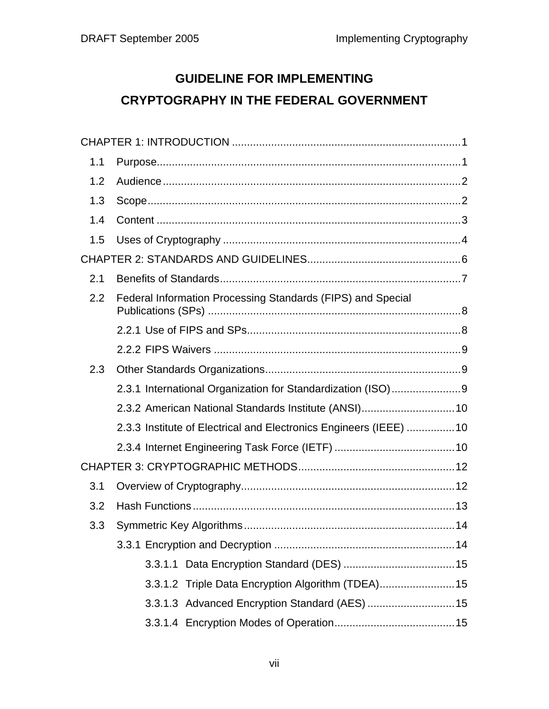## **GUIDELINE FOR IMPLEMENTING CRYPTOGRAPHY IN THE FEDERAL GOVERNMENT**

| 1.1 |                                                                   |  |  |  |
|-----|-------------------------------------------------------------------|--|--|--|
| 1.2 |                                                                   |  |  |  |
| 1.3 |                                                                   |  |  |  |
| 1.4 |                                                                   |  |  |  |
| 1.5 |                                                                   |  |  |  |
|     |                                                                   |  |  |  |
| 2.1 |                                                                   |  |  |  |
| 2.2 | Federal Information Processing Standards (FIPS) and Special       |  |  |  |
|     |                                                                   |  |  |  |
|     |                                                                   |  |  |  |
| 2.3 |                                                                   |  |  |  |
|     |                                                                   |  |  |  |
|     | 2.3.2 American National Standards Institute (ANSI) 10             |  |  |  |
|     | 2.3.3 Institute of Electrical and Electronics Engineers (IEEE) 10 |  |  |  |
|     |                                                                   |  |  |  |
|     |                                                                   |  |  |  |
| 3.1 |                                                                   |  |  |  |
| 3.2 |                                                                   |  |  |  |
| 3.3 |                                                                   |  |  |  |
|     |                                                                   |  |  |  |
|     |                                                                   |  |  |  |
|     | 3.3.1.2 Triple Data Encryption Algorithm (TDEA) 15                |  |  |  |
|     |                                                                   |  |  |  |
|     |                                                                   |  |  |  |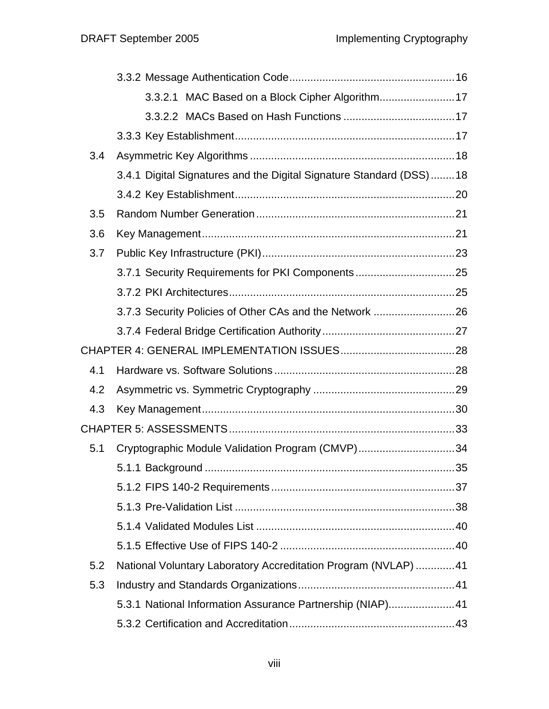|     | 3.3.2.1 MAC Based on a Block Cipher Algorithm 17                    |
|-----|---------------------------------------------------------------------|
|     |                                                                     |
|     |                                                                     |
| 3.4 |                                                                     |
|     | 3.4.1 Digital Signatures and the Digital Signature Standard (DSS)18 |
|     |                                                                     |
| 3.5 |                                                                     |
| 3.6 |                                                                     |
| 3.7 |                                                                     |
|     | 3.7.1 Security Requirements for PKI Components25                    |
|     |                                                                     |
|     | 3.7.3 Security Policies of Other CAs and the Network 26             |
|     |                                                                     |
|     |                                                                     |
| 4.1 |                                                                     |
| 4.2 |                                                                     |
| 4.3 |                                                                     |
|     |                                                                     |
| 5.1 | Cryptographic Module Validation Program (CMVP)34                    |
|     |                                                                     |
|     |                                                                     |
|     |                                                                     |
|     |                                                                     |
|     |                                                                     |
| 5.2 | National Voluntary Laboratory Accreditation Program (NVLAP) 41      |
| 5.3 |                                                                     |
|     | 5.3.1 National Information Assurance Partnership (NIAP)41           |
|     |                                                                     |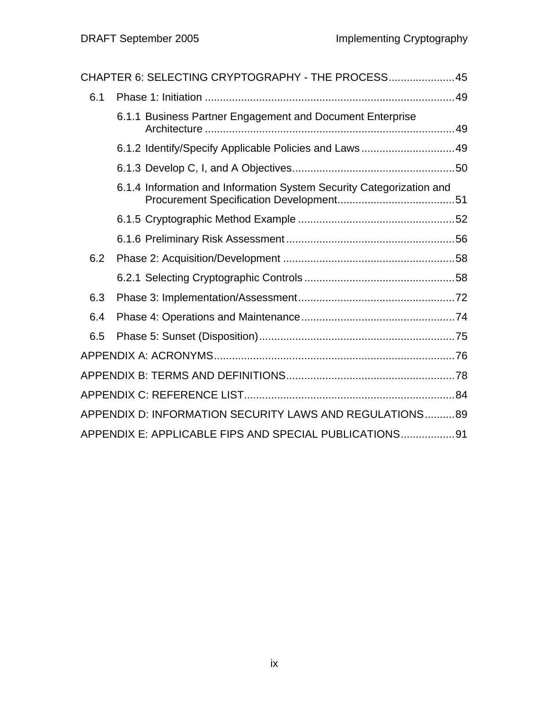|     | CHAPTER 6: SELECTING CRYPTOGRAPHY - THE PROCESS 45                   |  |
|-----|----------------------------------------------------------------------|--|
| 6.1 |                                                                      |  |
|     | 6.1.1 Business Partner Engagement and Document Enterprise            |  |
|     | 6.1.2 Identify/Specify Applicable Policies and Laws 49               |  |
|     |                                                                      |  |
|     | 6.1.4 Information and Information System Security Categorization and |  |
|     |                                                                      |  |
|     |                                                                      |  |
| 6.2 |                                                                      |  |
|     |                                                                      |  |
| 6.3 |                                                                      |  |
| 6.4 |                                                                      |  |
| 6.5 |                                                                      |  |
|     |                                                                      |  |
|     |                                                                      |  |
|     |                                                                      |  |
|     | APPENDIX D: INFORMATION SECURITY LAWS AND REGULATIONS89              |  |
|     | APPENDIX E: APPLICABLE FIPS AND SPECIAL PUBLICATIONS 91              |  |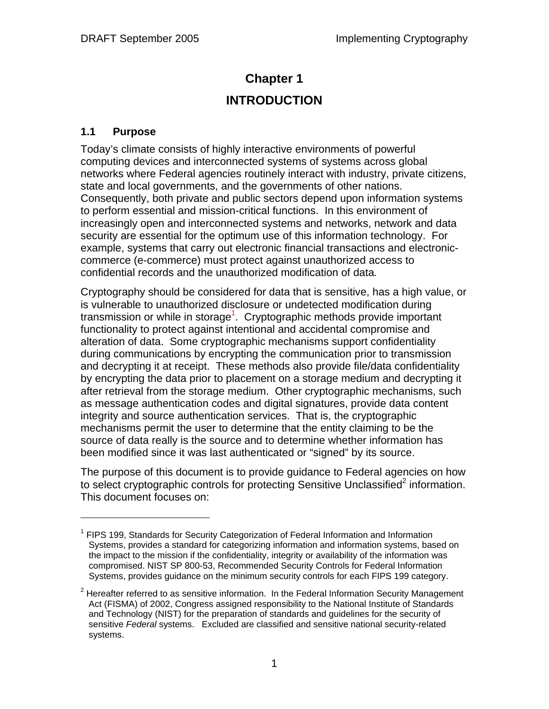## **Chapter 1 INTRODUCTION**

#### **1.1 Purpose**

 $\overline{a}$ 

Today's climate consists of highly interactive environments of powerful computing devices and interconnected systems of systems across global networks where Federal agencies routinely interact with industry, private citizens, state and local governments, and the governments of other nations. Consequently, both private and public sectors depend upon information systems to perform essential and mission-critical functions. In this environment of increasingly open and interconnected systems and networks, network and data security are essential for the optimum use of this information technology. For example, systems that carry out electronic financial transactions and electroniccommerce (e-commerce) must protect against unauthorized access to confidential records and the unauthorized modification of data*.*

Cryptography should be considered for data that is sensitive, has a high value, or is vulnerable to unauthorized disclosure or undetected modification during transmission or while in storage<sup>1</sup>. Cryptographic methods provide important functionality to protect against intentional and accidental compromise and alteration of data. Some cryptographic mechanisms support confidentiality during communications by encrypting the communication prior to transmission and decrypting it at receipt. These methods also provide file/data confidentiality by encrypting the data prior to placement on a storage medium and decrypting it after retrieval from the storage medium. Other cryptographic mechanisms, such as message authentication codes and digital signatures, provide data content integrity and source authentication services. That is, the cryptographic mechanisms permit the user to determine that the entity claiming to be the source of data really is the source and to determine whether information has been modified since it was last authenticated or "signed" by its source.

The purpose of this document is to provide guidance to Federal agencies on how to select cryptographic controls for protecting Sensitive Unclassified<sup>2</sup> information. This document focuses on:

<sup>&</sup>lt;sup>1</sup> FIPS 199, Standards for Security Categorization of Federal Information and Information Systems, provides a standard for categorizing information and information systems, based on the impact to the mission if the confidentiality, integrity or availability of the information was compromised. NIST SP 800-53, Recommended Security Controls for Federal Information Systems, provides guidance on the minimum security controls for each FIPS 199 category.

 $2$  Hereafter referred to as sensitive information. In the Federal Information Security Management Act (FISMA) of 2002, Congress assigned responsibility to the National Institute of Standards and Technology (NIST) for the preparation of standards and guidelines for the security of sensitive *Federal* systems. Excluded are classified and sensitive national security-related systems.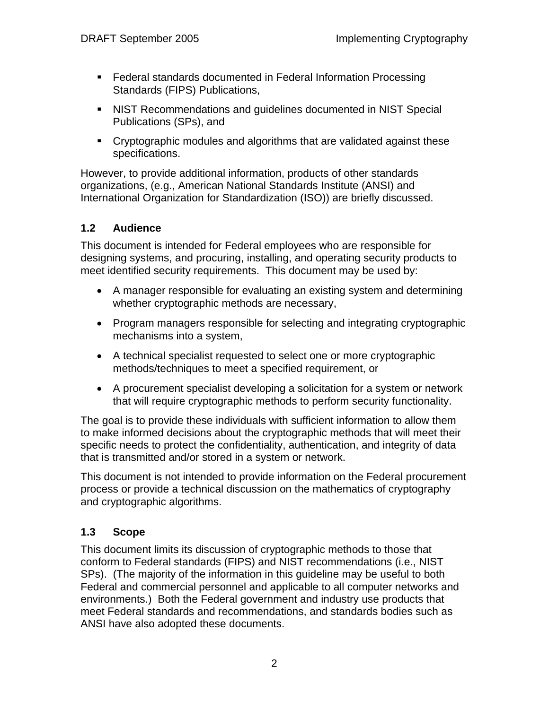- Federal standards documented in Federal Information Processing Standards (FIPS) Publications,
- NIST Recommendations and guidelines documented in NIST Special Publications (SPs), and
- Cryptographic modules and algorithms that are validated against these specifications.

However, to provide additional information, products of other standards organizations, (e.g., American National Standards Institute (ANSI) and International Organization for Standardization (ISO)) are briefly discussed.

#### **1.2 Audience**

This document is intended for Federal employees who are responsible for designing systems, and procuring, installing, and operating security products to meet identified security requirements. This document may be used by:

- A manager responsible for evaluating an existing system and determining whether cryptographic methods are necessary,
- Program managers responsible for selecting and integrating cryptographic mechanisms into a system,
- A technical specialist requested to select one or more cryptographic methods/techniques to meet a specified requirement, or
- A procurement specialist developing a solicitation for a system or network that will require cryptographic methods to perform security functionality.

The goal is to provide these individuals with sufficient information to allow them to make informed decisions about the cryptographic methods that will meet their specific needs to protect the confidentiality, authentication, and integrity of data that is transmitted and/or stored in a system or network.

This document is not intended to provide information on the Federal procurement process or provide a technical discussion on the mathematics of cryptography and cryptographic algorithms.

#### **1.3 Scope**

This document limits its discussion of cryptographic methods to those that conform to Federal standards (FIPS) and NIST recommendations (i.e., NIST SPs). (The majority of the information in this guideline may be useful to both Federal and commercial personnel and applicable to all computer networks and environments.) Both the Federal government and industry use products that meet Federal standards and recommendations, and standards bodies such as ANSI have also adopted these documents.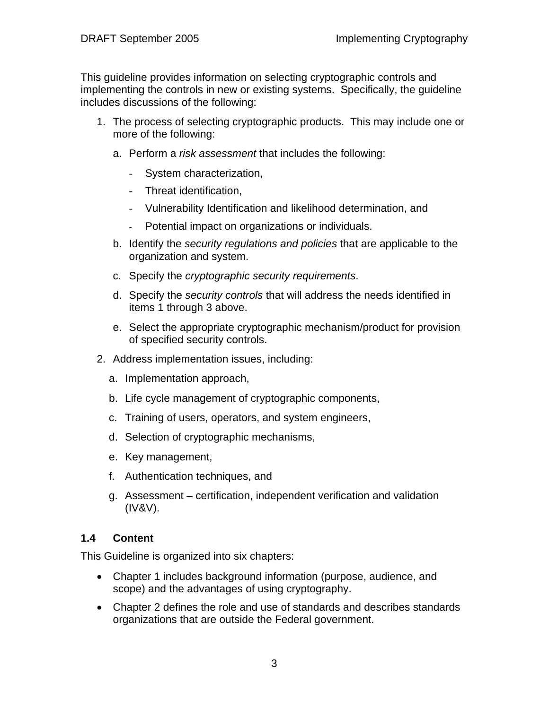This guideline provides information on selecting cryptographic controls and implementing the controls in new or existing systems. Specifically, the guideline includes discussions of the following:

- 1. The process of selecting cryptographic products. This may include one or more of the following:
	- a. Perform a *risk assessment* that includes the following:
		- System characterization,
		- Threat identification,
		- Vulnerability Identification and likelihood determination, and
		- Potential impact on organizations or individuals.
	- b. Identify the *security regulations and policies* that are applicable to the organization and system.
	- c. Specify the *cryptographic security requirements*.
	- d. Specify the *security controls* that will address the needs identified in items 1 through 3 above.
	- e. Select the appropriate cryptographic mechanism/product for provision of specified security controls.
- 2. Address implementation issues, including:
	- a. Implementation approach,
	- b. Life cycle management of cryptographic components,
	- c. Training of users, operators, and system engineers,
	- d. Selection of cryptographic mechanisms,
	- e. Key management,
	- f. Authentication techniques, and
	- g. Assessment certification, independent verification and validation (IV&V).

#### **1.4 Content**

This Guideline is organized into six chapters:

- Chapter 1 includes background information (purpose, audience, and scope) and the advantages of using cryptography.
- Chapter 2 defines the role and use of standards and describes standards organizations that are outside the Federal government.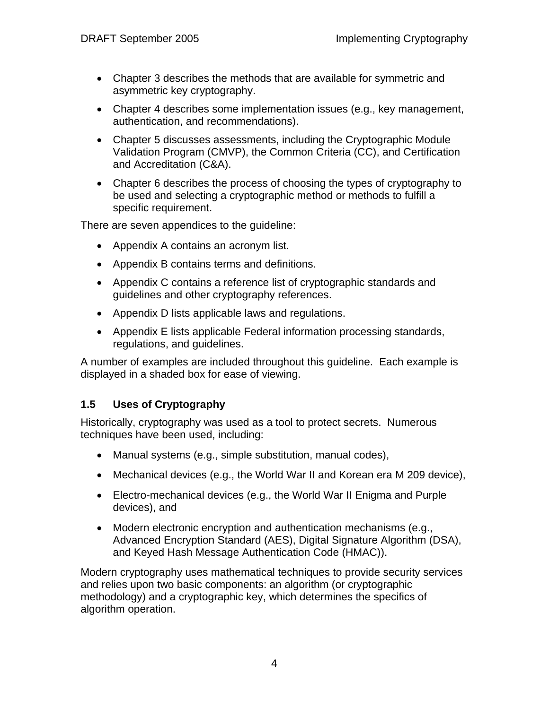- Chapter 3 describes the methods that are available for symmetric and asymmetric key cryptography.
- Chapter 4 describes some implementation issues (e.g., key management, authentication, and recommendations).
- Chapter 5 discusses assessments, including the Cryptographic Module Validation Program (CMVP), the Common Criteria (CC), and Certification and Accreditation (C&A).
- Chapter 6 describes the process of choosing the types of cryptography to be used and selecting a cryptographic method or methods to fulfill a specific requirement.

There are seven appendices to the guideline:

- Appendix A contains an acronym list.
- Appendix B contains terms and definitions.
- Appendix C contains a reference list of cryptographic standards and guidelines and other cryptography references.
- Appendix D lists applicable laws and regulations.
- Appendix E lists applicable Federal information processing standards, regulations, and guidelines.

A number of examples are included throughout this guideline. Each example is displayed in a shaded box for ease of viewing.

#### **1.5 Uses of Cryptography**

Historically, cryptography was used as a tool to protect secrets. Numerous techniques have been used, including:

- Manual systems (e.g., simple substitution, manual codes),
- Mechanical devices (e.g., the World War II and Korean era M 209 device),
- Electro-mechanical devices (e.g., the World War II Enigma and Purple devices), and
- Modern electronic encryption and authentication mechanisms (e.g., Advanced Encryption Standard (AES), Digital Signature Algorithm (DSA), and Keyed Hash Message Authentication Code (HMAC)).

Modern cryptography uses mathematical techniques to provide security services and relies upon two basic components: an algorithm (or cryptographic methodology) and a cryptographic key, which determines the specifics of algorithm operation.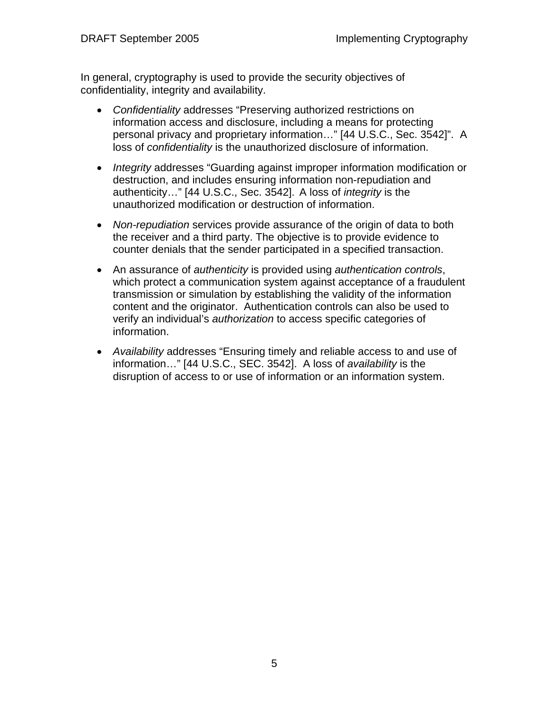In general, cryptography is used to provide the security objectives of confidentiality, integrity and availability.

- *Confidentiality* addresses "Preserving authorized restrictions on information access and disclosure, including a means for protecting personal privacy and proprietary information…" [44 U.S.C., Sec. 3542]". A loss of *confidentiality* is the unauthorized disclosure of information.
- *Integrity* addresses "Guarding against improper information modification or destruction, and includes ensuring information non-repudiation and authenticity…" [44 U.S.C., Sec. 3542]. A loss of *integrity* is the unauthorized modification or destruction of information.
- *Non-repudiation* services provide assurance of the origin of data to both the receiver and a third party. The objective is to provide evidence to counter denials that the sender participated in a specified transaction.
- An assurance of *authenticity* is provided using *authentication controls*, which protect a communication system against acceptance of a fraudulent transmission or simulation by establishing the validity of the information content and the originator. Authentication controls can also be used to verify an individual's *authorization* to access specific categories of information.
- *Availability* addresses "Ensuring timely and reliable access to and use of information…" [44 U.S.C., SEC. 3542]. A loss of *availability* is the disruption of access to or use of information or an information system.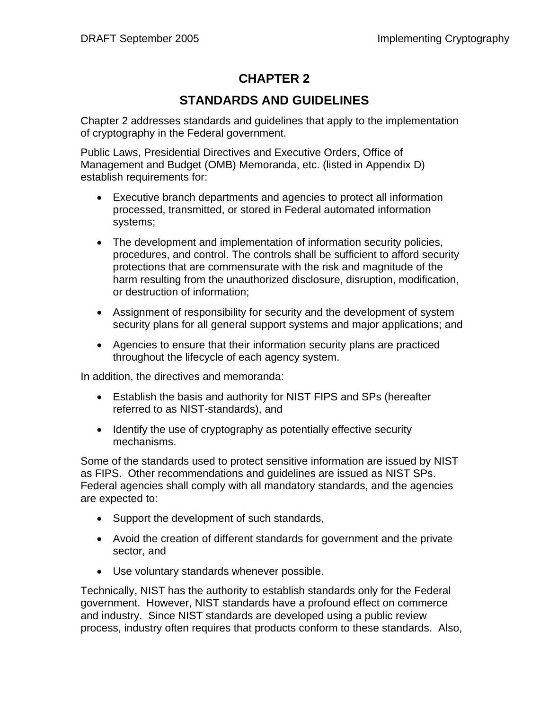### **CHAPTER 2**

#### **STANDARDS AND GUIDELINES**

Chapter 2 addresses standards and guidelines that apply to the implementation of cryptography in the Federal government.

Public Laws, Presidential Directives and Executive Orders, Office of Management and Budget (OMB) Memoranda, etc. (listed in Appendix D) establish requirements for:

- Executive branch departments and agencies to protect all information processed, transmitted, or stored in Federal automated information systems;
- The development and implementation of information security policies, procedures, and control. The controls shall be sufficient to afford security protections that are commensurate with the risk and magnitude of the harm resulting from the unauthorized disclosure, disruption, modification, or destruction of information;
- Assignment of responsibility for security and the development of system security plans for all general support systems and major applications; and
- Agencies to ensure that their information security plans are practiced throughout the lifecycle of each agency system.

In addition, the directives and memoranda:

- Establish the basis and authority for NIST FIPS and SPs (hereafter referred to as NIST-standards), and
- Identify the use of cryptography as potentially effective security mechanisms.

Some of the standards used to protect sensitive information are issued by NIST as FIPS. Other recommendations and guidelines are issued as NIST SPs. Federal agencies shall comply with all mandatory standards, and the agencies are expected to:

- Support the development of such standards,
- Avoid the creation of different standards for government and the private sector, and
- Use voluntary standards whenever possible.

Technically, NIST has the authority to establish standards only for the Federal government. However, NIST standards have a profound effect on commerce and industry. Since NIST standards are developed using a public review process, industry often requires that products conform to these standards. Also,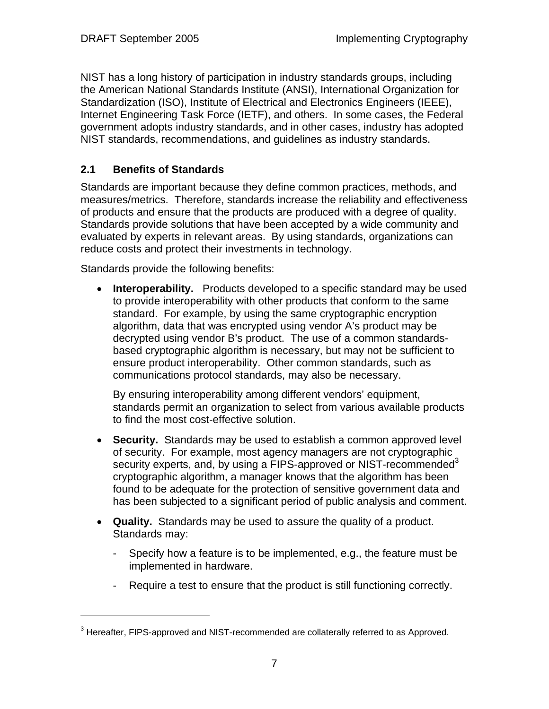NIST has a long history of participation in industry standards groups, including the American National Standards Institute (ANSI), International Organization for Standardization (ISO), Institute of Electrical and Electronics Engineers (IEEE), Internet Engineering Task Force (IETF), and others. In some cases, the Federal government adopts industry standards, and in other cases, industry has adopted NIST standards, recommendations, and guidelines as industry standards.

#### **2.1 Benefits of Standards**

1

Standards are important because they define common practices, methods, and measures/metrics. Therefore, standards increase the reliability and effectiveness of products and ensure that the products are produced with a degree of quality. Standards provide solutions that have been accepted by a wide community and evaluated by experts in relevant areas. By using standards, organizations can reduce costs and protect their investments in technology.

Standards provide the following benefits:

• **Interoperability.** Products developed to a specific standard may be used to provide interoperability with other products that conform to the same standard. For example, by using the same cryptographic encryption algorithm, data that was encrypted using vendor A's product may be decrypted using vendor B's product. The use of a common standardsbased cryptographic algorithm is necessary, but may not be sufficient to ensure product interoperability. Other common standards, such as communications protocol standards, may also be necessary.

By ensuring interoperability among different vendors' equipment, standards permit an organization to select from various available products to find the most cost-effective solution.

- **Security.** Standards may be used to establish a common approved level of security. For example, most agency managers are not cryptographic security experts, and, by using a FIPS-approved or NIST-recommended<sup>3</sup> cryptographic algorithm, a manager knows that the algorithm has been found to be adequate for the protection of sensitive government data and has been subjected to a significant period of public analysis and comment.
- **Quality.** Standards may be used to assure the quality of a product. Standards may:
	- Specify how a feature is to be implemented, e.g., the feature must be implemented in hardware.
	- Require a test to ensure that the product is still functioning correctly.

 $3$  Hereafter, FIPS-approved and NIST-recommended are collaterally referred to as Approved.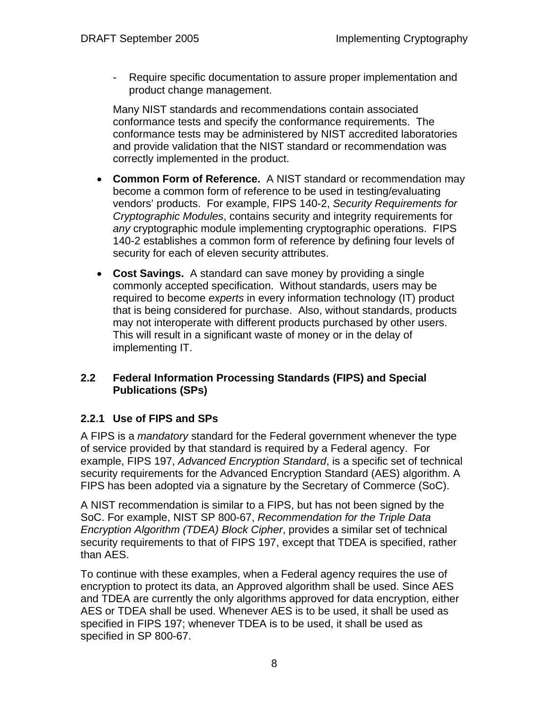- Require specific documentation to assure proper implementation and product change management.

Many NIST standards and recommendations contain associated conformance tests and specify the conformance requirements. The conformance tests may be administered by NIST accredited laboratories and provide validation that the NIST standard or recommendation was correctly implemented in the product.

- **Common Form of Reference.** A NIST standard or recommendation may become a common form of reference to be used in testing/evaluating vendors' products. For example, FIPS 140-2, *Security Requirements for Cryptographic Modules*, contains security and integrity requirements for *any* cryptographic module implementing cryptographic operations. FIPS 140-2 establishes a common form of reference by defining four levels of security for each of eleven security attributes.
- **Cost Savings.** A standard can save money by providing a single commonly accepted specification. Without standards, users may be required to become *experts* in every information technology (IT) product that is being considered for purchase. Also, without standards, products may not interoperate with different products purchased by other users. This will result in a significant waste of money or in the delay of implementing IT.

#### **2.2 Federal Information Processing Standards (FIPS) and Special Publications (SPs)**

#### **2.2.1 Use of FIPS and SPs**

A FIPS is a *mandatory* standard for the Federal government whenever the type of service provided by that standard is required by a Federal agency. For example, FIPS 197, *Advanced Encryption Standard*, is a specific set of technical security requirements for the Advanced Encryption Standard (AES) algorithm. A FIPS has been adopted via a signature by the Secretary of Commerce (SoC).

A NIST recommendation is similar to a FIPS, but has not been signed by the SoC. For example, NIST SP 800-67, *Recommendation for the Triple Data Encryption Algorithm (TDEA) Block Cipher*, provides a similar set of technical security requirements to that of FIPS 197, except that TDEA is specified, rather than AES.

To continue with these examples, when a Federal agency requires the use of encryption to protect its data, an Approved algorithm shall be used. Since AES and TDEA are currently the only algorithms approved for data encryption, either AES or TDEA shall be used. Whenever AES is to be used, it shall be used as specified in FIPS 197; whenever TDEA is to be used, it shall be used as specified in SP 800-67.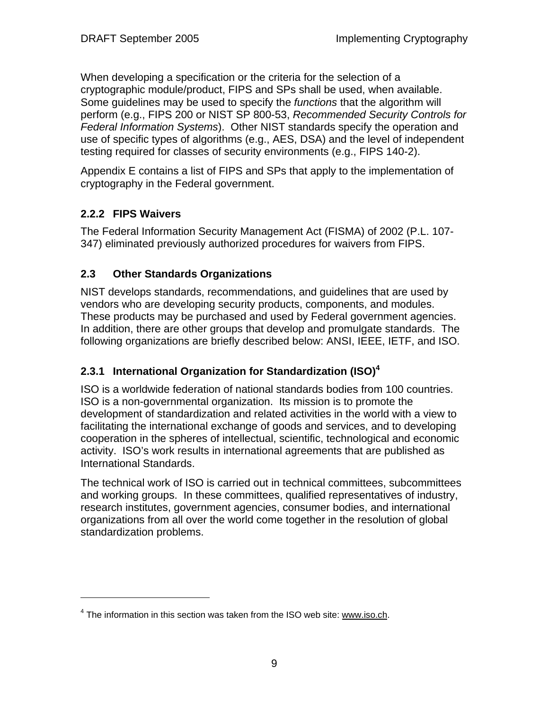When developing a specification or the criteria for the selection of a cryptographic module/product, FIPS and SPs shall be used, when available. Some guidelines may be used to specify the *functions* that the algorithm will perform (e.g., FIPS 200 or NIST SP 800-53, *Recommended Security Controls for Federal Information Systems*). Other NIST standards specify the operation and use of specific types of algorithms (e.g., AES, DSA) and the level of independent testing required for classes of security environments (e.g., FIPS 140-2).

Appendix E contains a list of FIPS and SPs that apply to the implementation of cryptography in the Federal government.

#### **2.2.2 FIPS Waivers**

 $\overline{a}$ 

The Federal Information Security Management Act (FISMA) of 2002 (P.L. 107- 347) eliminated previously authorized procedures for waivers from FIPS.

#### **2.3 Other Standards Organizations**

NIST develops standards, recommendations, and guidelines that are used by vendors who are developing security products, components, and modules. These products may be purchased and used by Federal government agencies. In addition, there are other groups that develop and promulgate standards. The following organizations are briefly described below: ANSI, IEEE, IETF, and ISO.

#### **2.3.1 International Organization for Standardization (ISO)4**

ISO is a worldwide federation of national standards bodies from 100 countries. ISO is a non-governmental organization. Its mission is to promote the development of standardization and related activities in the world with a view to facilitating the international exchange of goods and services, and to developing cooperation in the spheres of intellectual, scientific, technological and economic activity. ISO's work results in international agreements that are published as International Standards.

The technical work of ISO is carried out in technical committees, subcommittees and working groups. In these committees, qualified representatives of industry, research institutes, government agencies, consumer bodies, and international organizations from all over the world come together in the resolution of global standardization problems.

 $4$  The information in this section was taken from the ISO web site: www.iso.ch.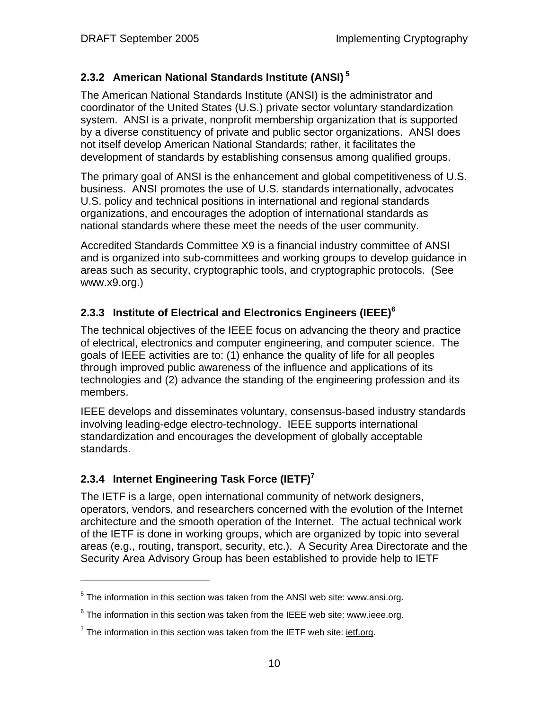#### **2.3.2 American National Standards Institute (ANSI)<sup>5</sup>**

The American National Standards Institute (ANSI) is the administrator and coordinator of the United States (U.S.) private sector voluntary standardization system. ANSI is a private, nonprofit membership organization that is supported by a diverse constituency of private and public sector organizations. ANSI does not itself develop American National Standards; rather, it facilitates the development of standards by establishing consensus among qualified groups.

The primary goal of ANSI is the enhancement and global competitiveness of U.S. business. ANSI promotes the use of U.S. standards internationally, advocates U.S. policy and technical positions in international and regional standards organizations, and encourages the adoption of international standards as national standards where these meet the needs of the user community.

Accredited Standards Committee X9 is a financial industry committee of ANSI and is organized into sub-committees and working groups to develop guidance in areas such as security, cryptographic tools, and cryptographic protocols. (See www.x9.org.)

#### **2.3.3 Institute of Electrical and Electronics Engineers (IEEE)<sup>6</sup>**

The technical objectives of the IEEE focus on advancing the theory and practice of electrical, electronics and computer engineering, and computer science. The goals of IEEE activities are to: (1) enhance the quality of life for all peoples through improved public awareness of the influence and applications of its technologies and (2) advance the standing of the engineering profession and its members.

IEEE develops and disseminates voluntary, consensus-based industry standards involving leading-edge electro-technology. IEEE supports international standardization and encourages the development of globally acceptable standards.

#### **2.3.4 Internet Engineering Task Force (IETF)7**

 $\overline{a}$ 

The IETF is a large, open international community of network designers, operators, vendors, and researchers concerned with the evolution of the Internet architecture and the smooth operation of the Internet. The actual technical work of the IETF is done in working groups, which are organized by topic into several areas (e.g., routing, transport, security, etc.). A Security Area Directorate and the Security Area Advisory Group has been established to provide help to IETF

 $5$  The information in this section was taken from the ANSI web site: www.ansi.org.

 $6$  The information in this section was taken from the IEEE web site: www.ieee.org.

 $7$  The information in this section was taken from the IETF web site: *ietf.org.*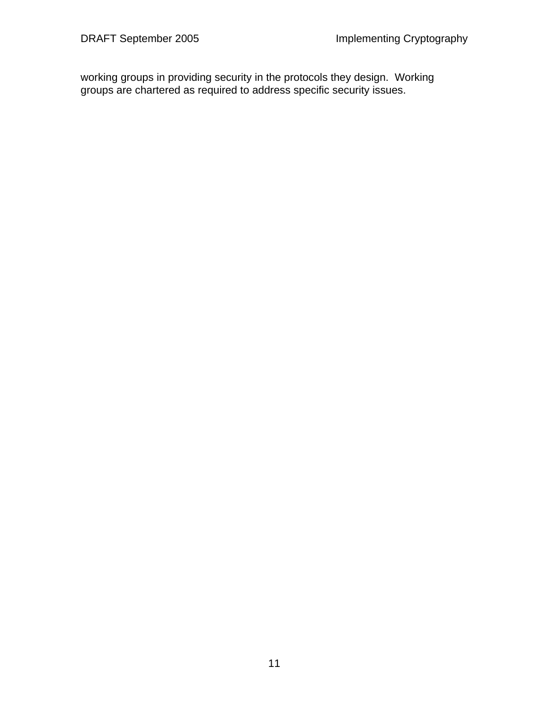working groups in providing security in the protocols they design. Working groups are chartered as required to address specific security issues.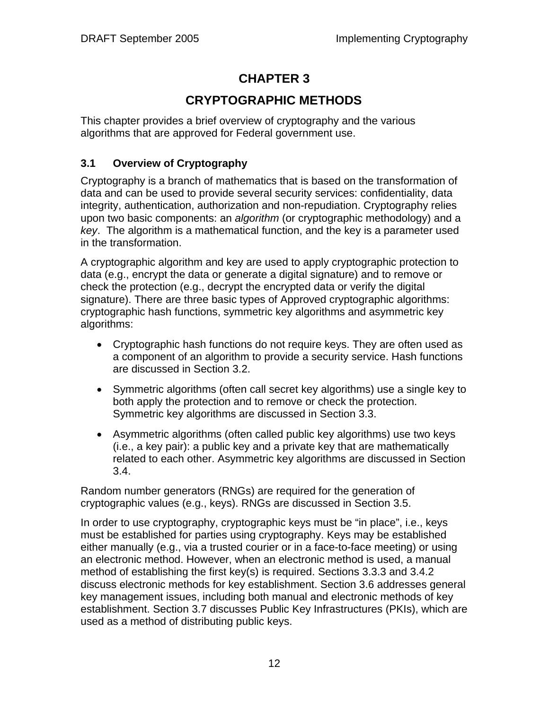### **CHAPTER 3**

### **CRYPTOGRAPHIC METHODS**

This chapter provides a brief overview of cryptography and the various algorithms that are approved for Federal government use.

#### **3.1 Overview of Cryptography**

Cryptography is a branch of mathematics that is based on the transformation of data and can be used to provide several security services: confidentiality, data integrity, authentication, authorization and non-repudiation. Cryptography relies upon two basic components: an *algorithm* (or cryptographic methodology) and a *key*. The algorithm is a mathematical function, and the key is a parameter used in the transformation.

A cryptographic algorithm and key are used to apply cryptographic protection to data (e.g., encrypt the data or generate a digital signature) and to remove or check the protection (e.g., decrypt the encrypted data or verify the digital signature). There are three basic types of Approved cryptographic algorithms: cryptographic hash functions, symmetric key algorithms and asymmetric key algorithms:

- Cryptographic hash functions do not require keys. They are often used as a component of an algorithm to provide a security service. Hash functions are discussed in Section 3.2.
- Symmetric algorithms (often call secret key algorithms) use a single key to both apply the protection and to remove or check the protection. Symmetric key algorithms are discussed in Section 3.3.
- Asymmetric algorithms (often called public key algorithms) use two keys (i.e., a key pair): a public key and a private key that are mathematically related to each other. Asymmetric key algorithms are discussed in Section 3.4.

Random number generators (RNGs) are required for the generation of cryptographic values (e.g., keys). RNGs are discussed in Section 3.5.

In order to use cryptography, cryptographic keys must be "in place", i.e., keys must be established for parties using cryptography. Keys may be established either manually (e.g., via a trusted courier or in a face-to-face meeting) or using an electronic method. However, when an electronic method is used, a manual method of establishing the first key(s) is required. Sections 3.3.3 and 3.4.2 discuss electronic methods for key establishment. Section 3.6 addresses general key management issues, including both manual and electronic methods of key establishment. Section 3.7 discusses Public Key Infrastructures (PKIs), which are used as a method of distributing public keys.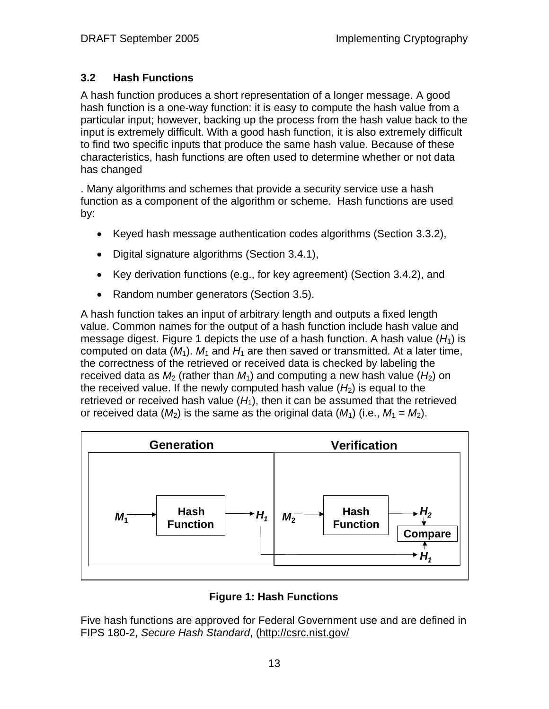#### **3.2 Hash Functions**

A hash function produces a short representation of a longer message. A good hash function is a one-way function: it is easy to compute the hash value from a particular input; however, backing up the process from the hash value back to the input is extremely difficult. With a good hash function, it is also extremely difficult to find two specific inputs that produce the same hash value. Because of these characteristics, hash functions are often used to determine whether or not data has changed

. Many algorithms and schemes that provide a security service use a hash function as a component of the algorithm or scheme. Hash functions are used by:

- Keyed hash message authentication codes algorithms (Section 3.3.2),
- Digital signature algorithms (Section 3.4.1),
- Key derivation functions (e.g., for key agreement) (Section 3.4.2), and
- Random number generators (Section 3.5).

A hash function takes an input of arbitrary length and outputs a fixed length value. Common names for the output of a hash function include hash value and message digest. Figure 1 depicts the use of a hash function. A hash value (*H*1) is computed on data  $(M_1)$ .  $M_1$  and  $H_1$  are then saved or transmitted. At a later time, the correctness of the retrieved or received data is checked by labeling the received data as  $M_2$  (rather than  $M_1$ ) and computing a new hash value ( $H_2$ ) on the received value. If the newly computed hash value  $(H<sub>2</sub>)$  is equal to the retrieved or received hash value  $(H_1)$ , then it can be assumed that the retrieved or received data  $(M_2)$  is the same as the original data  $(M_1)$  (i.e.,  $M_1 = M_2$ ).



#### **Figure 1: Hash Functions**

Five hash functions are approved for Federal Government use and are defined in FIPS 180-2, *Secure Hash Standard*, (http://csrc.nist.gov/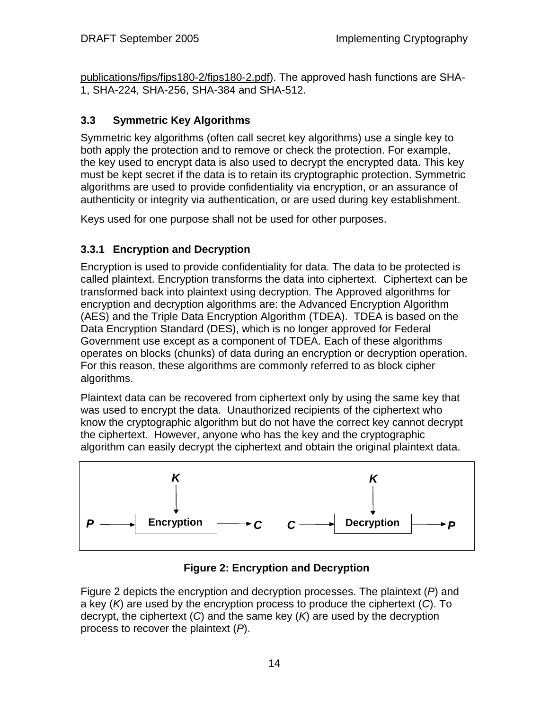publications/fips/fips180-2/fips180-2.pdf). The approved hash functions are SHA-1, SHA-224, SHA-256, SHA-384 and SHA-512.

#### **3.3 Symmetric Key Algorithms**

Symmetric key algorithms (often call secret key algorithms) use a single key to both apply the protection and to remove or check the protection. For example, the key used to encrypt data is also used to decrypt the encrypted data. This key must be kept secret if the data is to retain its cryptographic protection. Symmetric algorithms are used to provide confidentiality via encryption, or an assurance of authenticity or integrity via authentication, or are used during key establishment.

Keys used for one purpose shall not be used for other purposes.

#### **3.3.1 Encryption and Decryption**

Encryption is used to provide confidentiality for data. The data to be protected is called plaintext. Encryption transforms the data into ciphertext. Ciphertext can be transformed back into plaintext using decryption. The Approved algorithms for encryption and decryption algorithms are: the Advanced Encryption Algorithm (AES) and the Triple Data Encryption Algorithm (TDEA). TDEA is based on the Data Encryption Standard (DES), which is no longer approved for Federal Government use except as a component of TDEA. Each of these algorithms operates on blocks (chunks) of data during an encryption or decryption operation. For this reason, these algorithms are commonly referred to as block cipher algorithms.

Plaintext data can be recovered from ciphertext only by using the same key that was used to encrypt the data. Unauthorized recipients of the ciphertext who know the cryptographic algorithm but do not have the correct key cannot decrypt the ciphertext. However, anyone who has the key and the cryptographic algorithm can easily decrypt the ciphertext and obtain the original plaintext data.



#### **Figure 2: Encryption and Decryption**

Figure 2 depicts the encryption and decryption processes. The plaintext (*P*) and a key (*K*) are used by the encryption process to produce the ciphertext (*C*). To decrypt, the ciphertext (*C*) and the same key (*K*) are used by the decryption process to recover the plaintext (*P*).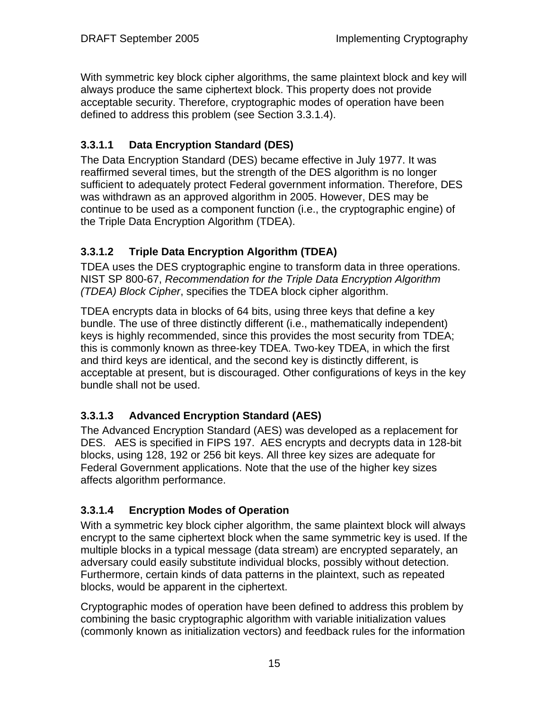With symmetric key block cipher algorithms, the same plaintext block and key will always produce the same ciphertext block. This property does not provide acceptable security. Therefore, cryptographic modes of operation have been defined to address this problem (see Section 3.3.1.4).

#### **3.3.1.1 Data Encryption Standard (DES)**

The Data Encryption Standard (DES) became effective in July 1977. It was reaffirmed several times, but the strength of the DES algorithm is no longer sufficient to adequately protect Federal government information. Therefore, DES was withdrawn as an approved algorithm in 2005. However, DES may be continue to be used as a component function (i.e., the cryptographic engine) of the Triple Data Encryption Algorithm (TDEA).

#### **3.3.1.2 Triple Data Encryption Algorithm (TDEA)**

TDEA uses the DES cryptographic engine to transform data in three operations. NIST SP 800-67, *Recommendation for the Triple Data Encryption Algorithm (TDEA) Block Cipher*, specifies the TDEA block cipher algorithm.

TDEA encrypts data in blocks of 64 bits, using three keys that define a key bundle. The use of three distinctly different (i.e., mathematically independent) keys is highly recommended, since this provides the most security from TDEA; this is commonly known as three-key TDEA. Two-key TDEA, in which the first and third keys are identical, and the second key is distinctly different, is acceptable at present, but is discouraged. Other configurations of keys in the key bundle shall not be used.

#### **3.3.1.3 Advanced Encryption Standard (AES)**

The Advanced Encryption Standard (AES) was developed as a replacement for DES. AES is specified in FIPS 197. AES encrypts and decrypts data in 128-bit blocks, using 128, 192 or 256 bit keys. All three key sizes are adequate for Federal Government applications. Note that the use of the higher key sizes affects algorithm performance.

#### **3.3.1.4 Encryption Modes of Operation**

With a symmetric key block cipher algorithm, the same plaintext block will always encrypt to the same ciphertext block when the same symmetric key is used. If the multiple blocks in a typical message (data stream) are encrypted separately, an adversary could easily substitute individual blocks, possibly without detection. Furthermore, certain kinds of data patterns in the plaintext, such as repeated blocks, would be apparent in the ciphertext.

Cryptographic modes of operation have been defined to address this problem by combining the basic cryptographic algorithm with variable initialization values (commonly known as initialization vectors) and feedback rules for the information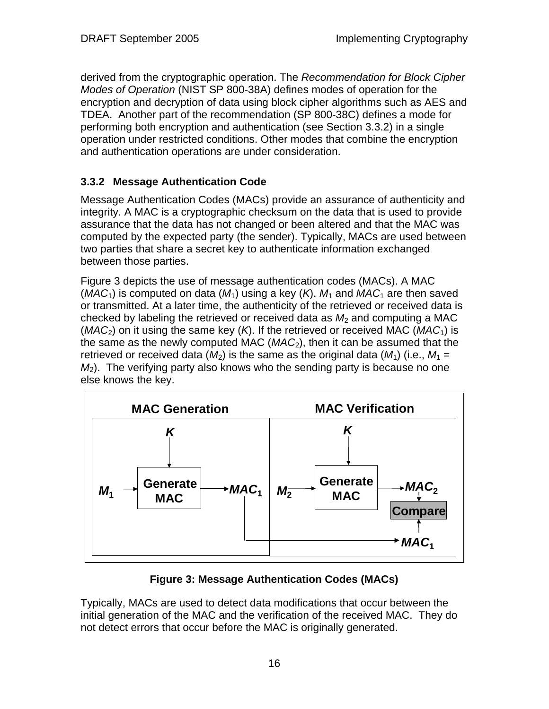derived from the cryptographic operation. The *Recommendation for Block Cipher Modes of Operation* (NIST SP 800-38A) defines modes of operation for the encryption and decryption of data using block cipher algorithms such as AES and TDEA. Another part of the recommendation (SP 800-38C) defines a mode for performing both encryption and authentication (see Section 3.3.2) in a single operation under restricted conditions. Other modes that combine the encryption and authentication operations are under consideration.

#### **3.3.2 Message Authentication Code**

Message Authentication Codes (MACs) provide an assurance of authenticity and integrity. A MAC is a cryptographic checksum on the data that is used to provide assurance that the data has not changed or been altered and that the MAC was computed by the expected party (the sender). Typically, MACs are used between two parties that share a secret key to authenticate information exchanged between those parties.

Figure 3 depicts the use of message authentication codes (MACs). A MAC (*MAC*<sub>1</sub>) is computed on data ( $M_1$ ) using a key ( $K$ ).  $M_1$  and  $MAC_1$  are then saved or transmitted. At a later time, the authenticity of the retrieved or received data is checked by labeling the retrieved or received data as  $M_2$  and computing a MAC  $(MAC<sub>2</sub>)$  on it using the same key  $(K)$ . If the retrieved or received MAC  $(MAC<sub>1</sub>)$  is the same as the newly computed MAC (*MAC*<sub>2</sub>), then it can be assumed that the retrieved or received data  $(M_2)$  is the same as the original data  $(M_1)$  (i.e.,  $M_1 =$ *M*<sub>2</sub>). The verifying party also knows who the sending party is because no one else knows the key.



#### **Figure 3: Message Authentication Codes (MACs)**

Typically, MACs are used to detect data modifications that occur between the initial generation of the MAC and the verification of the received MAC. They do not detect errors that occur before the MAC is originally generated.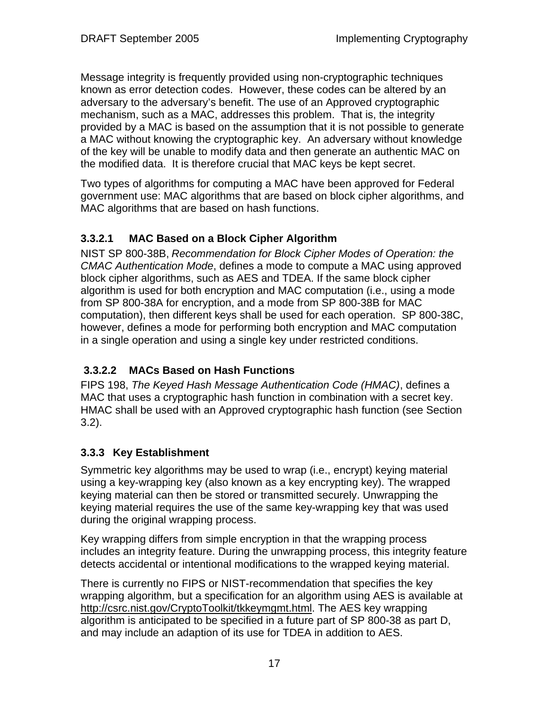Message integrity is frequently provided using non-cryptographic techniques known as error detection codes. However, these codes can be altered by an adversary to the adversary's benefit. The use of an Approved cryptographic mechanism, such as a MAC, addresses this problem. That is, the integrity provided by a MAC is based on the assumption that it is not possible to generate a MAC without knowing the cryptographic key. An adversary without knowledge of the key will be unable to modify data and then generate an authentic MAC on the modified data. It is therefore crucial that MAC keys be kept secret.

Two types of algorithms for computing a MAC have been approved for Federal government use: MAC algorithms that are based on block cipher algorithms, and MAC algorithms that are based on hash functions.

#### **3.3.2.1 MAC Based on a Block Cipher Algorithm**

NIST SP 800-38B, *Recommendation for Block Cipher Modes of Operation: the CMAC Authentication Mode*, defines a mode to compute a MAC using approved block cipher algorithms, such as AES and TDEA. If the same block cipher algorithm is used for both encryption and MAC computation (i.e., using a mode from SP 800-38A for encryption, and a mode from SP 800-38B for MAC computation), then different keys shall be used for each operation. SP 800-38C, however, defines a mode for performing both encryption and MAC computation in a single operation and using a single key under restricted conditions.

#### **3.3.2.2 MACs Based on Hash Functions**

FIPS 198, *The Keyed Hash Message Authentication Code (HMAC)*, defines a MAC that uses a cryptographic hash function in combination with a secret key. HMAC shall be used with an Approved cryptographic hash function (see Section 3.2).

#### **3.3.3 Key Establishment**

Symmetric key algorithms may be used to wrap (i.e., encrypt) keying material using a key-wrapping key (also known as a key encrypting key). The wrapped keying material can then be stored or transmitted securely. Unwrapping the keying material requires the use of the same key-wrapping key that was used during the original wrapping process.

Key wrapping differs from simple encryption in that the wrapping process includes an integrity feature. During the unwrapping process, this integrity feature detects accidental or intentional modifications to the wrapped keying material.

There is currently no FIPS or NIST-recommendation that specifies the key wrapping algorithm, but a specification for an algorithm using AES is available at http://csrc.nist.gov/CryptoToolkit/tkkeymgmt.html. The AES key wrapping algorithm is anticipated to be specified in a future part of SP 800-38 as part D, and may include an adaption of its use for TDEA in addition to AES.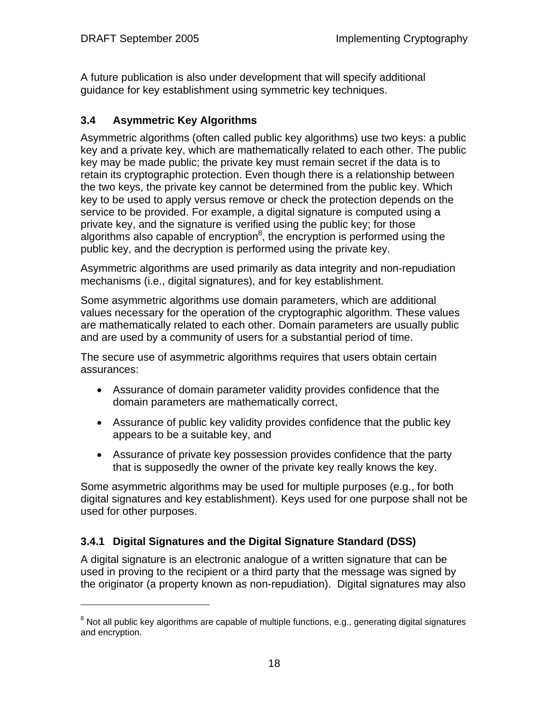$\overline{a}$ 

A future publication is also under development that will specify additional guidance for key establishment using symmetric key techniques.

#### **3.4 Asymmetric Key Algorithms**

Asymmetric algorithms (often called public key algorithms) use two keys: a public key and a private key, which are mathematically related to each other. The public key may be made public; the private key must remain secret if the data is to retain its cryptographic protection. Even though there is a relationship between the two keys, the private key cannot be determined from the public key. Which key to be used to apply versus remove or check the protection depends on the service to be provided. For example, a digital signature is computed using a private key, and the signature is verified using the public key; for those algorithms also capable of encryption $^{8}$ , the encryption is performed using the public key, and the decryption is performed using the private key.

Asymmetric algorithms are used primarily as data integrity and non-repudiation mechanisms (i.e., digital signatures), and for key establishment.

Some asymmetric algorithms use domain parameters, which are additional values necessary for the operation of the cryptographic algorithm. These values are mathematically related to each other. Domain parameters are usually public and are used by a community of users for a substantial period of time.

The secure use of asymmetric algorithms requires that users obtain certain assurances:

- Assurance of domain parameter validity provides confidence that the domain parameters are mathematically correct,
- Assurance of public key validity provides confidence that the public key appears to be a suitable key, and
- Assurance of private key possession provides confidence that the party that is supposedly the owner of the private key really knows the key.

Some asymmetric algorithms may be used for multiple purposes (e.g., for both digital signatures and key establishment). Keys used for one purpose shall not be used for other purposes.

#### **3.4.1 Digital Signatures and the Digital Signature Standard (DSS)**

A digital signature is an electronic analogue of a written signature that can be used in proving to the recipient or a third party that the message was signed by the originator (a property known as non-repudiation). Digital signatures may also

 $8$  Not all public key algorithms are capable of multiple functions, e.g., generating digital signatures and encryption.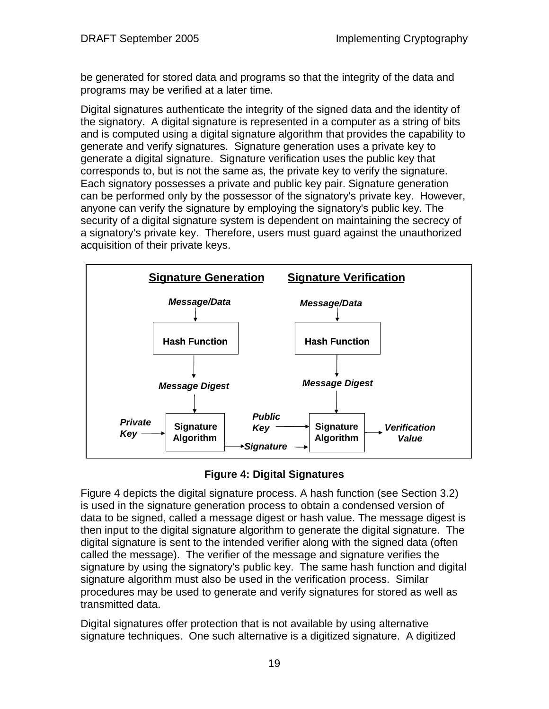be generated for stored data and programs so that the integrity of the data and programs may be verified at a later time.

Digital signatures authenticate the integrity of the signed data and the identity of the signatory. A digital signature is represented in a computer as a string of bits and is computed using a digital signature algorithm that provides the capability to generate and verify signatures. Signature generation uses a private key to generate a digital signature. Signature verification uses the public key that corresponds to, but is not the same as, the private key to verify the signature. Each signatory possesses a private and public key pair. Signature generation can be performed only by the possessor of the signatory's private key. However, anyone can verify the signature by employing the signatory's public key. The security of a digital signature system is dependent on maintaining the secrecy of a signatory's private key. Therefore, users must guard against the unauthorized acquisition of their private keys.



#### **Figure 4: Digital Signatures**

Figure 4 depicts the digital signature process. A hash function (see Section 3.2) is used in the signature generation process to obtain a condensed version of data to be signed, called a message digest or hash value. The message digest is then input to the digital signature algorithm to generate the digital signature. The digital signature is sent to the intended verifier along with the signed data (often called the message). The verifier of the message and signature verifies the signature by using the signatory's public key. The same hash function and digital signature algorithm must also be used in the verification process. Similar procedures may be used to generate and verify signatures for stored as well as transmitted data.

Digital signatures offer protection that is not available by using alternative signature techniques. One such alternative is a digitized signature. A digitized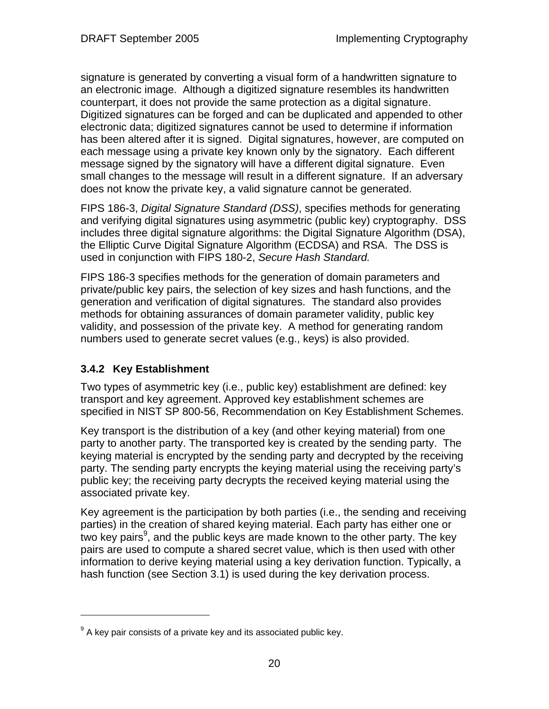signature is generated by converting a visual form of a handwritten signature to an electronic image. Although a digitized signature resembles its handwritten counterpart, it does not provide the same protection as a digital signature. Digitized signatures can be forged and can be duplicated and appended to other electronic data; digitized signatures cannot be used to determine if information has been altered after it is signed. Digital signatures, however, are computed on each message using a private key known only by the signatory. Each different message signed by the signatory will have a different digital signature. Even small changes to the message will result in a different signature. If an adversary does not know the private key, a valid signature cannot be generated.

FIPS 186-3, *Digital Signature Standard (DSS)*, specifies methods for generating and verifying digital signatures using asymmetric (public key) cryptography. DSS includes three digital signature algorithms: the Digital Signature Algorithm (DSA), the Elliptic Curve Digital Signature Algorithm (ECDSA) and RSA. The DSS is used in conjunction with FIPS 180-2, *Secure Hash Standard.* 

FIPS 186-3 specifies methods for the generation of domain parameters and private/public key pairs, the selection of key sizes and hash functions, and the generation and verification of digital signatures. The standard also provides methods for obtaining assurances of domain parameter validity, public key validity, and possession of the private key. A method for generating random numbers used to generate secret values (e.g., keys) is also provided.

#### **3.4.2 Key Establishment**

1

Two types of asymmetric key (i.e., public key) establishment are defined: key transport and key agreement. Approved key establishment schemes are specified in NIST SP 800-56, Recommendation on Key Establishment Schemes.

Key transport is the distribution of a key (and other keying material) from one party to another party. The transported key is created by the sending party. The keying material is encrypted by the sending party and decrypted by the receiving party. The sending party encrypts the keying material using the receiving party's public key; the receiving party decrypts the received keying material using the associated private key.

Key agreement is the participation by both parties (i.e., the sending and receiving parties) in the creation of shared keying material. Each party has either one or two key pairs<sup>9</sup>, and the public keys are made known to the other party. The key pairs are used to compute a shared secret value, which is then used with other information to derive keying material using a key derivation function. Typically, a hash function (see Section 3.1) is used during the key derivation process.

 $9^9$  A key pair consists of a private key and its associated public key.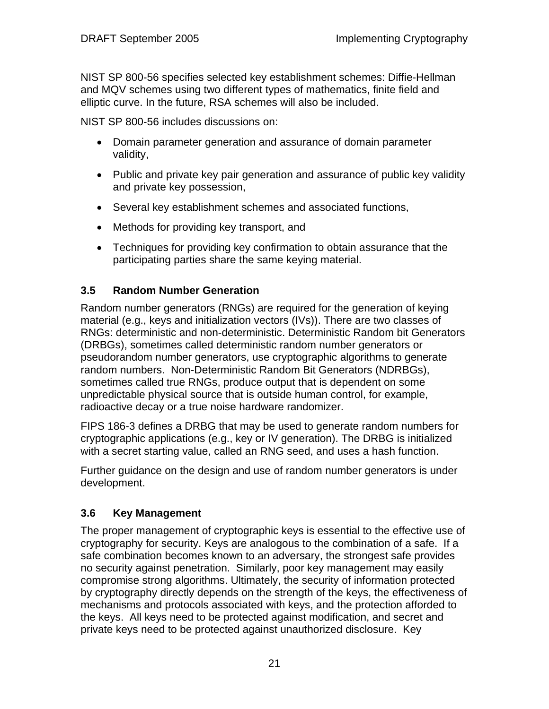NIST SP 800-56 specifies selected key establishment schemes: Diffie-Hellman and MQV schemes using two different types of mathematics, finite field and elliptic curve. In the future, RSA schemes will also be included.

NIST SP 800-56 includes discussions on:

- Domain parameter generation and assurance of domain parameter validity,
- Public and private key pair generation and assurance of public key validity and private key possession,
- Several key establishment schemes and associated functions,
- Methods for providing key transport, and
- Techniques for providing key confirmation to obtain assurance that the participating parties share the same keying material.

#### **3.5 Random Number Generation**

Random number generators (RNGs) are required for the generation of keying material (e.g., keys and initialization vectors (IVs)). There are two classes of RNGs: deterministic and non-deterministic. Deterministic Random bit Generators (DRBGs), sometimes called deterministic random number generators or pseudorandom number generators, use cryptographic algorithms to generate random numbers. Non-Deterministic Random Bit Generators (NDRBGs), sometimes called true RNGs, produce output that is dependent on some unpredictable physical source that is outside human control, for example, radioactive decay or a true noise hardware randomizer.

FIPS 186-3 defines a DRBG that may be used to generate random numbers for cryptographic applications (e.g., key or IV generation). The DRBG is initialized with a secret starting value, called an RNG seed, and uses a hash function.

Further guidance on the design and use of random number generators is under development.

#### **3.6 Key Management**

The proper management of cryptographic keys is essential to the effective use of cryptography for security. Keys are analogous to the combination of a safe. If a safe combination becomes known to an adversary, the strongest safe provides no security against penetration. Similarly, poor key management may easily compromise strong algorithms. Ultimately, the security of information protected by cryptography directly depends on the strength of the keys, the effectiveness of mechanisms and protocols associated with keys, and the protection afforded to the keys. All keys need to be protected against modification, and secret and private keys need to be protected against unauthorized disclosure. Key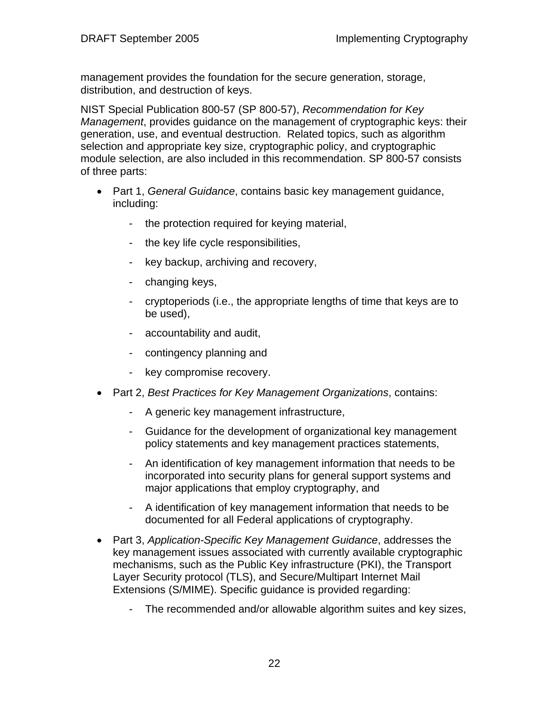management provides the foundation for the secure generation, storage, distribution, and destruction of keys.

NIST Special Publication 800-57 (SP 800-57), *Recommendation for Key Management*, provides guidance on the management of cryptographic keys: their generation, use, and eventual destruction. Related topics, such as algorithm selection and appropriate key size, cryptographic policy, and cryptographic module selection, are also included in this recommendation. SP 800-57 consists of three parts:

- Part 1, *General Guidance*, contains basic key management guidance, including:
	- the protection required for keying material,
	- the key life cycle responsibilities,
	- key backup, archiving and recovery,
	- changing keys,
	- cryptoperiods (i.e., the appropriate lengths of time that keys are to be used),
	- accountability and audit,
	- contingency planning and
	- key compromise recovery.
- Part 2, *Best Practices for Key Management Organizations*, contains:
	- A generic key management infrastructure,
	- Guidance for the development of organizational key management policy statements and key management practices statements,
	- An identification of key management information that needs to be incorporated into security plans for general support systems and major applications that employ cryptography, and
	- A identification of key management information that needs to be documented for all Federal applications of cryptography.
- Part 3, *Application-Specific Key Management Guidance*, addresses the key management issues associated with currently available cryptographic mechanisms, such as the Public Key infrastructure (PKI), the Transport Layer Security protocol (TLS), and Secure/Multipart Internet Mail Extensions (S/MIME). Specific guidance is provided regarding:
	- The recommended and/or allowable algorithm suites and key sizes,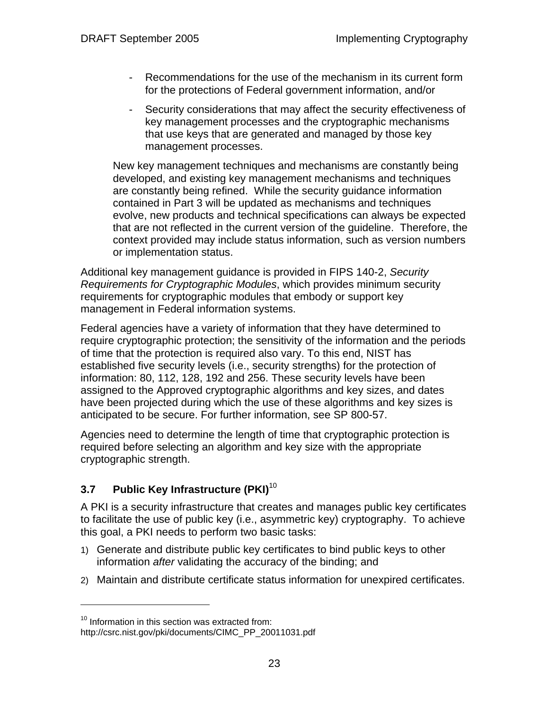- Recommendations for the use of the mechanism in its current form for the protections of Federal government information, and/or
- Security considerations that may affect the security effectiveness of key management processes and the cryptographic mechanisms that use keys that are generated and managed by those key management processes.

New key management techniques and mechanisms are constantly being developed, and existing key management mechanisms and techniques are constantly being refined. While the security guidance information contained in Part 3 will be updated as mechanisms and techniques evolve, new products and technical specifications can always be expected that are not reflected in the current version of the guideline. Therefore, the context provided may include status information, such as version numbers or implementation status.

Additional key management guidance is provided in FIPS 140-2, *Security Requirements for Cryptographic Modules*, which provides minimum security requirements for cryptographic modules that embody or support key management in Federal information systems.

Federal agencies have a variety of information that they have determined to require cryptographic protection; the sensitivity of the information and the periods of time that the protection is required also vary. To this end, NIST has established five security levels (i.e., security strengths) for the protection of information: 80, 112, 128, 192 and 256. These security levels have been assigned to the Approved cryptographic algorithms and key sizes, and dates have been projected during which the use of these algorithms and key sizes is anticipated to be secure. For further information, see SP 800-57.

Agencies need to determine the length of time that cryptographic protection is required before selecting an algorithm and key size with the appropriate cryptographic strength.

#### **3.7 Public Key Infrastructure (PKI)**<sup>10</sup>

A PKI is a security infrastructure that creates and manages public key certificates to facilitate the use of public key (i.e., asymmetric key) cryptography. To achieve this goal, a PKI needs to perform two basic tasks:

- 1) Generate and distribute public key certificates to bind public keys to other information *after* validating the accuracy of the binding; and
- 2) Maintain and distribute certificate status information for unexpired certificates.

 $\overline{a}$ 

 $10$  Information in this section was extracted from:

http://csrc.nist.gov/pki/documents/CIMC\_PP\_20011031.pdf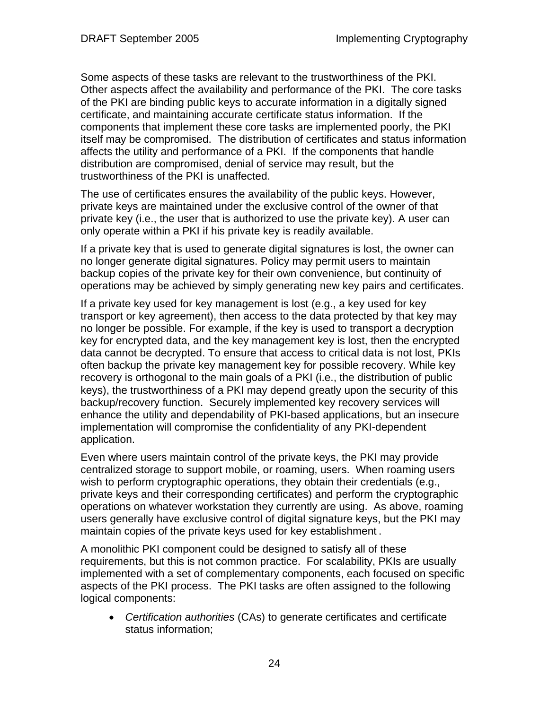Some aspects of these tasks are relevant to the trustworthiness of the PKI. Other aspects affect the availability and performance of the PKI. The core tasks of the PKI are binding public keys to accurate information in a digitally signed certificate, and maintaining accurate certificate status information. If the components that implement these core tasks are implemented poorly, the PKI itself may be compromised. The distribution of certificates and status information affects the utility and performance of a PKI. If the components that handle distribution are compromised, denial of service may result, but the trustworthiness of the PKI is unaffected.

The use of certificates ensures the availability of the public keys. However, private keys are maintained under the exclusive control of the owner of that private key (i.e., the user that is authorized to use the private key). A user can only operate within a PKI if his private key is readily available.

If a private key that is used to generate digital signatures is lost, the owner can no longer generate digital signatures. Policy may permit users to maintain backup copies of the private key for their own convenience, but continuity of operations may be achieved by simply generating new key pairs and certificates.

If a private key used for key management is lost (e.g., a key used for key transport or key agreement), then access to the data protected by that key may no longer be possible. For example, if the key is used to transport a decryption key for encrypted data, and the key management key is lost, then the encrypted data cannot be decrypted. To ensure that access to critical data is not lost, PKIs often backup the private key management key for possible recovery. While key recovery is orthogonal to the main goals of a PKI (i.e., the distribution of public keys), the trustworthiness of a PKI may depend greatly upon the security of this backup/recovery function. Securely implemented key recovery services will enhance the utility and dependability of PKI-based applications, but an insecure implementation will compromise the confidentiality of any PKI-dependent application.

Even where users maintain control of the private keys, the PKI may provide centralized storage to support mobile, or roaming, users. When roaming users wish to perform cryptographic operations, they obtain their credentials (e.g., private keys and their corresponding certificates) and perform the cryptographic operations on whatever workstation they currently are using. As above, roaming users generally have exclusive control of digital signature keys, but the PKI may maintain copies of the private keys used for key establishment .

A monolithic PKI component could be designed to satisfy all of these requirements, but this is not common practice. For scalability, PKIs are usually implemented with a set of complementary components, each focused on specific aspects of the PKI process. The PKI tasks are often assigned to the following logical components:

• *Certification authorities* (CAs) to generate certificates and certificate status information;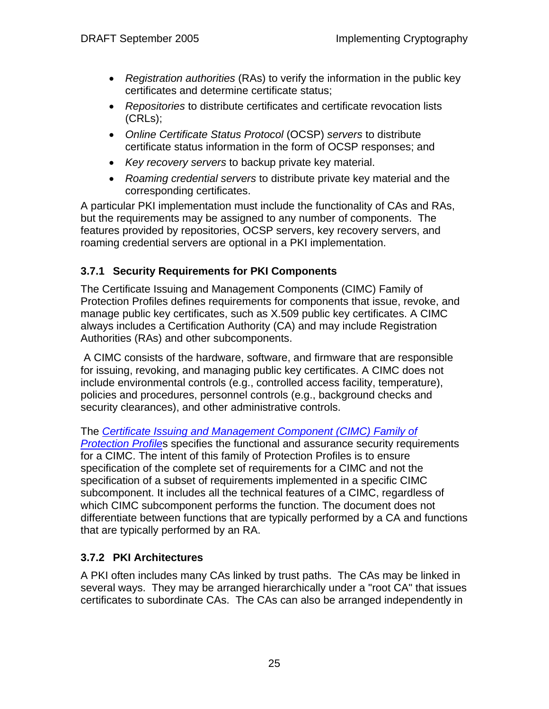- *Registration authorities* (RAs) to verify the information in the public key certificates and determine certificate status;
- *Repositories* to distribute certificates and certificate revocation lists (CRLs);
- *Online Certificate Status Protocol* (OCSP) *servers* to distribute certificate status information in the form of OCSP responses; and
- *Key recovery servers* to backup private key material.
- *Roaming credential servers* to distribute private key material and the corresponding certificates.

A particular PKI implementation must include the functionality of CAs and RAs, but the requirements may be assigned to any number of components. The features provided by repositories, OCSP servers, key recovery servers, and roaming credential servers are optional in a PKI implementation.

#### **3.7.1 Security Requirements for PKI Components**

The Certificate Issuing and Management Components (CIMC) Family of Protection Profiles defines requirements for components that issue, revoke, and manage public key certificates, such as X.509 public key certificates. A CIMC always includes a Certification Authority (CA) and may include Registration Authorities (RAs) and other subcomponents.

 A CIMC consists of the hardware, software, and firmware that are responsible for issuing, revoking, and managing public key certificates. A CIMC does not include environmental controls (e.g., controlled access facility, temperature), policies and procedures, personnel controls (e.g., background checks and security clearances), and other administrative controls.

The *Certificate Issuing and Management Component (CIMC) Family of Protection Profile*s specifies the functional and assurance security requirements for a CIMC. The intent of this family of Protection Profiles is to ensure specification of the complete set of requirements for a CIMC and not the specification of a subset of requirements implemented in a specific CIMC subcomponent. It includes all the technical features of a CIMC, regardless of which CIMC subcomponent performs the function. The document does not differentiate between functions that are typically performed by a CA and functions that are typically performed by an RA.

#### **3.7.2 PKI Architectures**

A PKI often includes many CAs linked by trust paths. The CAs may be linked in several ways. They may be arranged hierarchically under a "root CA" that issues certificates to subordinate CAs. The CAs can also be arranged independently in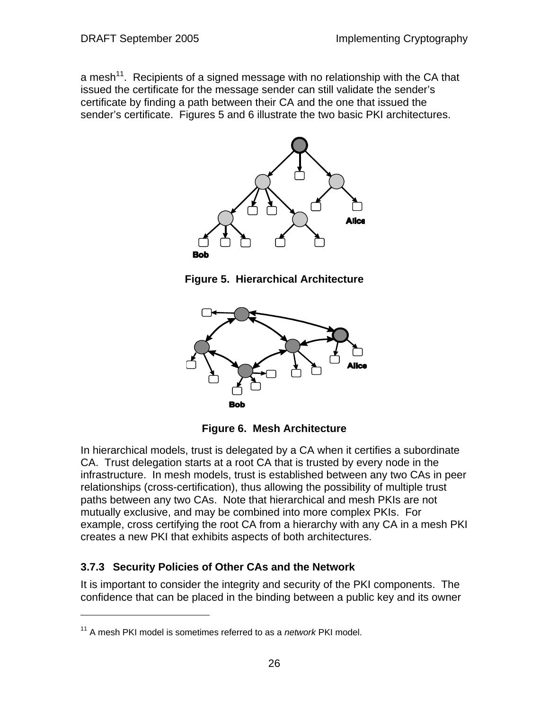a mesh<sup>11</sup>. Recipients of a signed message with no relationship with the CA that issued the certificate for the message sender can still validate the sender's certificate by finding a path between their CA and the one that issued the sender's certificate. Figures 5 and 6 illustrate the two basic PKI architectures.



**Figure 5. Hierarchical Architecture** 



**Figure 6. Mesh Architecture** 

In hierarchical models, trust is delegated by a CA when it certifies a subordinate CA. Trust delegation starts at a root CA that is trusted by every node in the infrastructure. In mesh models, trust is established between any two CAs in peer relationships (cross-certification), thus allowing the possibility of multiple trust paths between any two CAs. Note that hierarchical and mesh PKIs are not mutually exclusive, and may be combined into more complex PKIs. For example, cross certifying the root CA from a hierarchy with any CA in a mesh PKI creates a new PKI that exhibits aspects of both architectures.

#### **3.7.3 Security Policies of Other CAs and the Network**

It is important to consider the integrity and security of the PKI components. The confidence that can be placed in the binding between a public key and its owner

 $\overline{a}$ 

<sup>11</sup> A mesh PKI model is sometimes referred to as a *network* PKI model.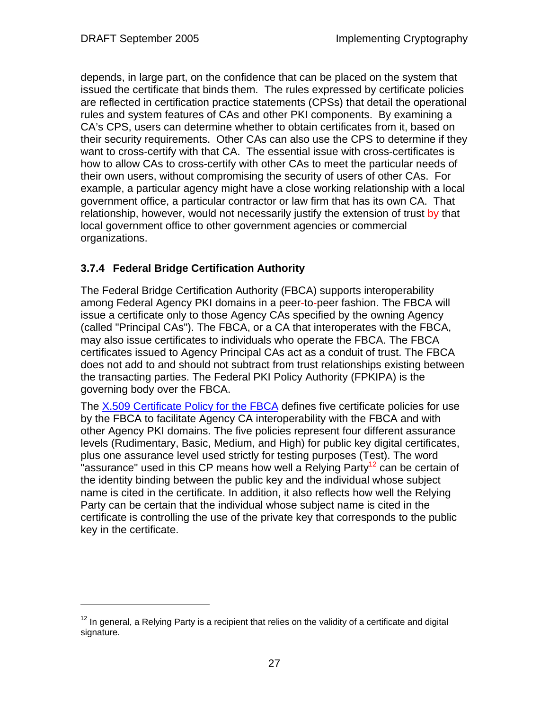$\overline{a}$ 

depends, in large part, on the confidence that can be placed on the system that issued the certificate that binds them. The rules expressed by certificate policies are reflected in certification practice statements (CPSs) that detail the operational rules and system features of CAs and other PKI components. By examining a CA's CPS, users can determine whether to obtain certificates from it, based on their security requirements. Other CAs can also use the CPS to determine if they want to cross-certify with that CA. The essential issue with cross-certificates is how to allow CAs to cross-certify with other CAs to meet the particular needs of their own users, without compromising the security of users of other CAs. For example, a particular agency might have a close working relationship with a local government office, a particular contractor or law firm that has its own CA. That relationship, however, would not necessarily justify the extension of trust by that local government office to other government agencies or commercial organizations.

#### **3.7.4 Federal Bridge Certification Authority**

The Federal Bridge Certification Authority (FBCA) supports interoperability among Federal Agency PKI domains in a peer-to-peer fashion. The FBCA will issue a certificate only to those Agency CAs specified by the owning Agency (called "Principal CAs"). The FBCA, or a CA that interoperates with the FBCA, may also issue certificates to individuals who operate the FBCA. The FBCA certificates issued to Agency Principal CAs act as a conduit of trust. The FBCA does not add to and should not subtract from trust relationships existing between the transacting parties. The Federal PKI Policy Authority (FPKIPA) is the governing body over the FBCA.

The X.509 Certificate Policy for the FBCA defines five certificate policies for use by the FBCA to facilitate Agency CA interoperability with the FBCA and with other Agency PKI domains. The five policies represent four different assurance levels (Rudimentary, Basic, Medium, and High) for public key digital certificates, plus one assurance level used strictly for testing purposes (Test). The word "assurance" used in this CP means how well a Relying Party<sup>12</sup> can be certain of the identity binding between the public key and the individual whose subject name is cited in the certificate. In addition, it also reflects how well the Relying Party can be certain that the individual whose subject name is cited in the certificate is controlling the use of the private key that corresponds to the public key in the certificate.

 $12$  In general, a Relying Party is a recipient that relies on the validity of a certificate and digital signature.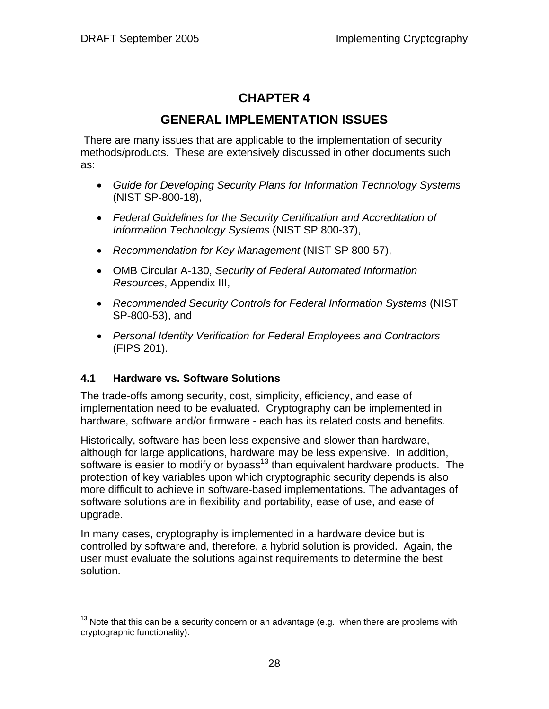# **CHAPTER 4**

# **GENERAL IMPLEMENTATION ISSUES**

 There are many issues that are applicable to the implementation of security methods/products. These are extensively discussed in other documents such as:

- *Guide for Developing Security Plans for Information Technology Systems* (NIST SP-800-18),
- *Federal Guidelines for the Security Certification and Accreditation of Information Technology Systems* (NIST SP 800-37),
- *Recommendation for Key Management* (NIST SP 800-57),
- OMB Circular A-130, *Security of Federal Automated Information Resources*, Appendix III,
- *Recommended Security Controls for Federal Information Systems* (NIST SP-800-53), and
- *Personal Identity Verification for Federal Employees and Contractors*  (FIPS 201).

#### **4.1 Hardware vs. Software Solutions**

 $\overline{a}$ 

The trade-offs among security, cost, simplicity, efficiency, and ease of implementation need to be evaluated. Cryptography can be implemented in hardware, software and/or firmware - each has its related costs and benefits.

Historically, software has been less expensive and slower than hardware, although for large applications, hardware may be less expensive. In addition, software is easier to modify or bypass<sup>13</sup> than equivalent hardware products. The protection of key variables upon which cryptographic security depends is also more difficult to achieve in software-based implementations. The advantages of software solutions are in flexibility and portability, ease of use, and ease of upgrade.

In many cases, cryptography is implemented in a hardware device but is controlled by software and, therefore, a hybrid solution is provided. Again, the user must evaluate the solutions against requirements to determine the best solution.

 $13$  Note that this can be a security concern or an advantage (e.g., when there are problems with cryptographic functionality).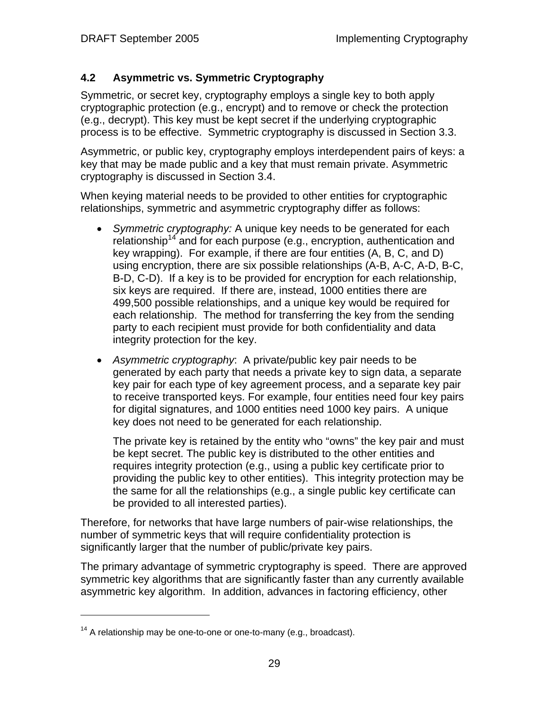# **4.2 Asymmetric vs. Symmetric Cryptography**

Symmetric, or secret key, cryptography employs a single key to both apply cryptographic protection (e.g., encrypt) and to remove or check the protection (e.g., decrypt). This key must be kept secret if the underlying cryptographic process is to be effective. Symmetric cryptography is discussed in Section 3.3.

Asymmetric, or public key, cryptography employs interdependent pairs of keys: a key that may be made public and a key that must remain private. Asymmetric cryptography is discussed in Section 3.4.

When keying material needs to be provided to other entities for cryptographic relationships, symmetric and asymmetric cryptography differ as follows:

- *Symmetric cryptography:* A unique key needs to be generated for each relationship<sup>14</sup> and for each purpose (e.g., encryption, authentication and key wrapping). For example, if there are four entities (A, B, C, and D) using encryption, there are six possible relationships (A-B, A-C, A-D, B-C, B-D, C-D). If a key is to be provided for encryption for each relationship, six keys are required. If there are, instead, 1000 entities there are 499,500 possible relationships, and a unique key would be required for each relationship. The method for transferring the key from the sending party to each recipient must provide for both confidentiality and data integrity protection for the key.
- *Asymmetric cryptography*: A private/public key pair needs to be generated by each party that needs a private key to sign data, a separate key pair for each type of key agreement process, and a separate key pair to receive transported keys. For example, four entities need four key pairs for digital signatures, and 1000 entities need 1000 key pairs. A unique key does not need to be generated for each relationship.

The private key is retained by the entity who "owns" the key pair and must be kept secret. The public key is distributed to the other entities and requires integrity protection (e.g., using a public key certificate prior to providing the public key to other entities). This integrity protection may be the same for all the relationships (e.g., a single public key certificate can be provided to all interested parties).

Therefore, for networks that have large numbers of pair-wise relationships, the number of symmetric keys that will require confidentiality protection is significantly larger that the number of public/private key pairs.

The primary advantage of symmetric cryptography is speed. There are approved symmetric key algorithms that are significantly faster than any currently available asymmetric key algorithm. In addition, advances in factoring efficiency, other

 $\overline{a}$ 

 $14$  A relationship may be one-to-one or one-to-many (e.g., broadcast).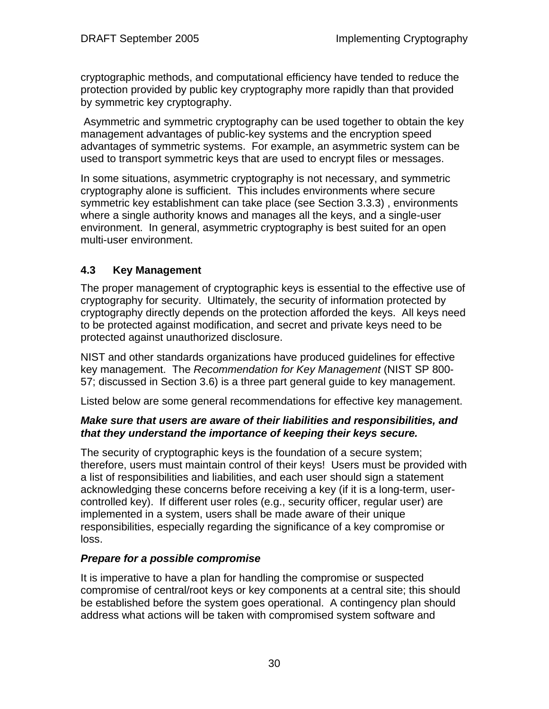cryptographic methods, and computational efficiency have tended to reduce the protection provided by public key cryptography more rapidly than that provided by symmetric key cryptography.

 Asymmetric and symmetric cryptography can be used together to obtain the key management advantages of public-key systems and the encryption speed advantages of symmetric systems. For example, an asymmetric system can be used to transport symmetric keys that are used to encrypt files or messages.

In some situations, asymmetric cryptography is not necessary, and symmetric cryptography alone is sufficient. This includes environments where secure symmetric key establishment can take place (see Section 3.3.3) , environments where a single authority knows and manages all the keys, and a single-user environment. In general, asymmetric cryptography is best suited for an open multi-user environment.

# **4.3 Key Management**

The proper management of cryptographic keys is essential to the effective use of cryptography for security. Ultimately, the security of information protected by cryptography directly depends on the protection afforded the keys. All keys need to be protected against modification, and secret and private keys need to be protected against unauthorized disclosure.

NIST and other standards organizations have produced guidelines for effective key management. The *Recommendation for Key Management* (NIST SP 800- 57; discussed in Section 3.6) is a three part general guide to key management.

Listed below are some general recommendations for effective key management.

### *Make sure that users are aware of their liabilities and responsibilities, and that they understand the importance of keeping their keys secure.*

The security of cryptographic keys is the foundation of a secure system; therefore, users must maintain control of their keys! Users must be provided with a list of responsibilities and liabilities, and each user should sign a statement acknowledging these concerns before receiving a key (if it is a long-term, usercontrolled key). If different user roles (e.g., security officer, regular user) are implemented in a system, users shall be made aware of their unique responsibilities, especially regarding the significance of a key compromise or loss.

# *Prepare for a possible compromise*

It is imperative to have a plan for handling the compromise or suspected compromise of central/root keys or key components at a central site; this should be established before the system goes operational. A contingency plan should address what actions will be taken with compromised system software and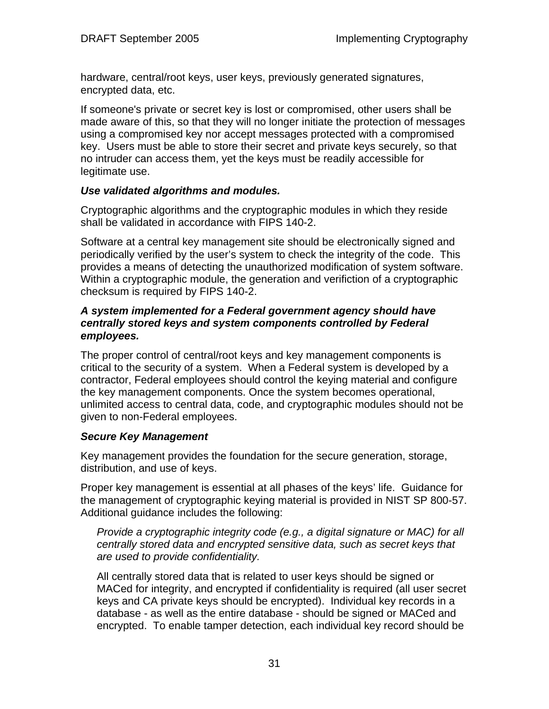hardware, central/root keys, user keys, previously generated signatures, encrypted data, etc.

If someone's private or secret key is lost or compromised, other users shall be made aware of this, so that they will no longer initiate the protection of messages using a compromised key nor accept messages protected with a compromised key. Users must be able to store their secret and private keys securely, so that no intruder can access them, yet the keys must be readily accessible for legitimate use.

### *Use validated algorithms and modules.*

Cryptographic algorithms and the cryptographic modules in which they reside shall be validated in accordance with FIPS 140-2.

Software at a central key management site should be electronically signed and periodically verified by the user's system to check the integrity of the code. This provides a means of detecting the unauthorized modification of system software. Within a cryptographic module, the generation and verifiction of a cryptographic checksum is required by FIPS 140-2.

#### *A system implemented for a Federal government agency should have centrally stored keys and system components controlled by Federal employees.*

The proper control of central/root keys and key management components is critical to the security of a system. When a Federal system is developed by a contractor, Federal employees should control the keying material and configure the key management components. Once the system becomes operational, unlimited access to central data, code, and cryptographic modules should not be given to non-Federal employees.

# *Secure Key Management*

Key management provides the foundation for the secure generation, storage, distribution, and use of keys.

Proper key management is essential at all phases of the keys' life. Guidance for the management of cryptographic keying material is provided in NIST SP 800-57. Additional guidance includes the following:

*Provide a cryptographic integrity code (e.g., a digital signature or MAC) for all centrally stored data and encrypted sensitive data, such as secret keys that are used to provide confidentiality.* 

All centrally stored data that is related to user keys should be signed or MACed for integrity, and encrypted if confidentiality is required (all user secret keys and CA private keys should be encrypted). Individual key records in a database - as well as the entire database - should be signed or MACed and encrypted. To enable tamper detection, each individual key record should be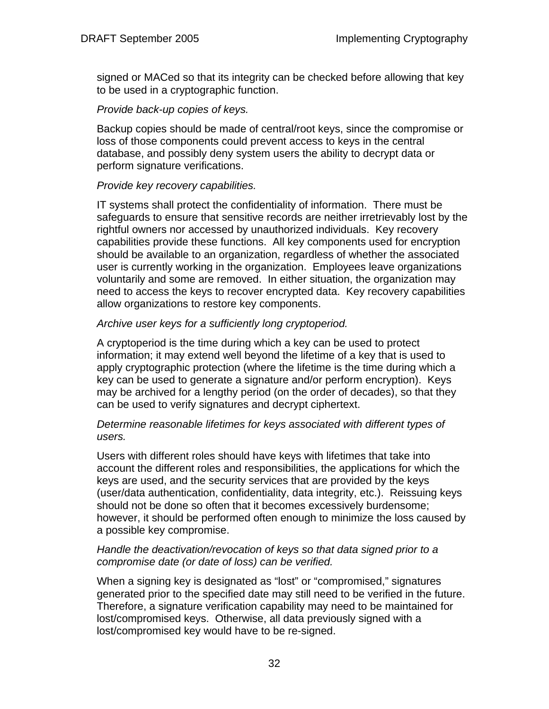signed or MACed so that its integrity can be checked before allowing that key to be used in a cryptographic function.

#### *Provide back-up copies of keys.*

Backup copies should be made of central/root keys, since the compromise or loss of those components could prevent access to keys in the central database, and possibly deny system users the ability to decrypt data or perform signature verifications.

#### *Provide key recovery capabilities.*

IT systems shall protect the confidentiality of information. There must be safeguards to ensure that sensitive records are neither irretrievably lost by the rightful owners nor accessed by unauthorized individuals. Key recovery capabilities provide these functions. All key components used for encryption should be available to an organization, regardless of whether the associated user is currently working in the organization. Employees leave organizations voluntarily and some are removed. In either situation, the organization may need to access the keys to recover encrypted data. Key recovery capabilities allow organizations to restore key components.

#### *Archive user keys for a sufficiently long cryptoperiod.*

A cryptoperiod is the time during which a key can be used to protect information; it may extend well beyond the lifetime of a key that is used to apply cryptographic protection (where the lifetime is the time during which a key can be used to generate a signature and/or perform encryption). Keys may be archived for a lengthy period (on the order of decades), so that they can be used to verify signatures and decrypt ciphertext.

#### *Determine reasonable lifetimes for keys associated with different types of users.*

Users with different roles should have keys with lifetimes that take into account the different roles and responsibilities, the applications for which the keys are used, and the security services that are provided by the keys (user/data authentication, confidentiality, data integrity, etc.). Reissuing keys should not be done so often that it becomes excessively burdensome; however, it should be performed often enough to minimize the loss caused by a possible key compromise.

#### *Handle the deactivation/revocation of keys so that data signed prior to a compromise date (or date of loss) can be verified.*

When a signing key is designated as "lost" or "compromised," signatures generated prior to the specified date may still need to be verified in the future. Therefore, a signature verification capability may need to be maintained for lost/compromised keys. Otherwise, all data previously signed with a lost/compromised key would have to be re-signed.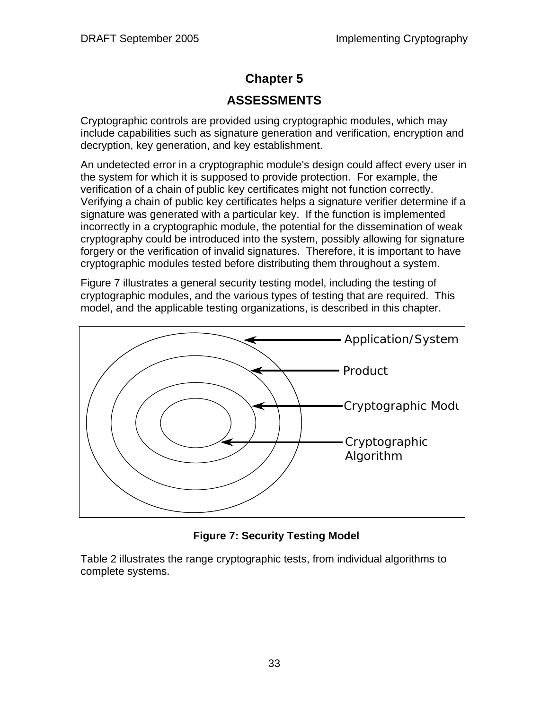# **Chapter 5**

# **ASSESSMENTS**

Cryptographic controls are provided using cryptographic modules, which may include capabilities such as signature generation and verification, encryption and decryption, key generation, and key establishment.

An undetected error in a cryptographic module's design could affect every user in the system for which it is supposed to provide protection. For example, the verification of a chain of public key certificates might not function correctly. Verifying a chain of public key certificates helps a signature verifier determine if a signature was generated with a particular key. If the function is implemented incorrectly in a cryptographic module, the potential for the dissemination of weak cryptography could be introduced into the system, possibly allowing for signature forgery or the verification of invalid signatures. Therefore, it is important to have cryptographic modules tested before distributing them throughout a system.

Figure 7 illustrates a general security testing model, including the testing of cryptographic modules, and the various types of testing that are required. This model, and the applicable testing organizations, is described in this chapter.



**Figure 7: Security Testing Model** 

Table 2 illustrates the range cryptographic tests, from individual algorithms to complete systems.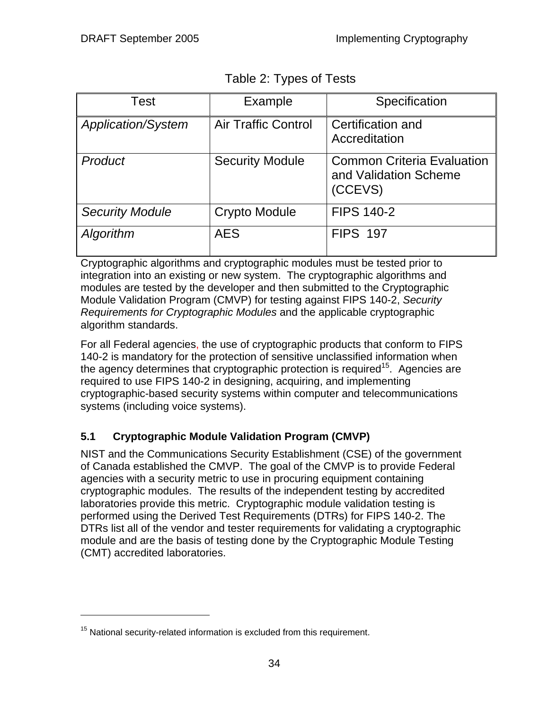| Test                      | Example                    | Specification                                                         |
|---------------------------|----------------------------|-----------------------------------------------------------------------|
| <b>Application/System</b> | <b>Air Traffic Control</b> | Certification and<br>Accreditation                                    |
| Product                   | <b>Security Module</b>     | <b>Common Criteria Evaluation</b><br>and Validation Scheme<br>(CCEVS) |
| <b>Security Module</b>    | Crypto Module              | <b>FIPS 140-2</b>                                                     |
| Algorithm                 | <b>AES</b>                 | <b>FIPS 197</b>                                                       |

Table 2: Types of Tests

Cryptographic algorithms and cryptographic modules must be tested prior to integration into an existing or new system. The cryptographic algorithms and modules are tested by the developer and then submitted to the Cryptographic Module Validation Program (CMVP) for testing against FIPS 140-2, *Security Requirements for Cryptographic Modules* and the applicable cryptographic algorithm standards.

For all Federal agencies, the use of cryptographic products that conform to FIPS 140-2 is mandatory for the protection of sensitive unclassified information when the agency determines that cryptographic protection is required<sup>15</sup>. Agencies are required to use FIPS 140-2 in designing, acquiring, and implementing cryptographic-based security systems within computer and telecommunications systems (including voice systems).

# **5.1 Cryptographic Module Validation Program (CMVP)**

NIST and the Communications Security Establishment (CSE) of the government of Canada established the CMVP. The goal of the CMVP is to provide Federal agencies with a security metric to use in procuring equipment containing cryptographic modules. The results of the independent testing by accredited laboratories provide this metric. Cryptographic module validation testing is performed using the Derived Test Requirements (DTRs) for FIPS 140-2. The DTRs list all of the vendor and tester requirements for validating a cryptographic module and are the basis of testing done by the Cryptographic Module Testing (CMT) accredited laboratories.

1

 $15$  National security-related information is excluded from this requirement.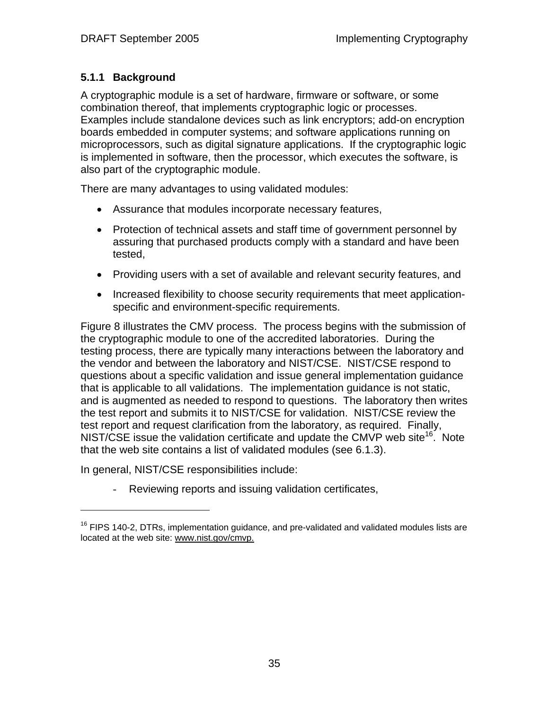# **5.1.1 Background**

A cryptographic module is a set of hardware, firmware or software, or some combination thereof, that implements cryptographic logic or processes. Examples include standalone devices such as link encryptors; add-on encryption boards embedded in computer systems; and software applications running on microprocessors, such as digital signature applications. If the cryptographic logic is implemented in software, then the processor, which executes the software, is also part of the cryptographic module.

There are many advantages to using validated modules:

- Assurance that modules incorporate necessary features,
- Protection of technical assets and staff time of government personnel by assuring that purchased products comply with a standard and have been tested,
- Providing users with a set of available and relevant security features, and
- Increased flexibility to choose security requirements that meet applicationspecific and environment-specific requirements.

Figure 8 illustrates the CMV process. The process begins with the submission of the cryptographic module to one of the accredited laboratories. During the testing process, there are typically many interactions between the laboratory and the vendor and between the laboratory and NIST/CSE. NIST/CSE respond to questions about a specific validation and issue general implementation guidance that is applicable to all validations. The implementation guidance is not static, and is augmented as needed to respond to questions. The laboratory then writes the test report and submits it to NIST/CSE for validation. NIST/CSE review the test report and request clarification from the laboratory, as required. Finally, NIST/CSE issue the validation certificate and update the CMVP web site<sup>16</sup>. Note that the web site contains a list of validated modules (see 6.1.3).

In general, NIST/CSE responsibilities include:

 $\overline{a}$ 

Reviewing reports and issuing validation certificates,

 $16$  FIPS 140-2, DTRs, implementation guidance, and pre-validated and validated modules lists are located at the web site: www.nist.gov/cmvp.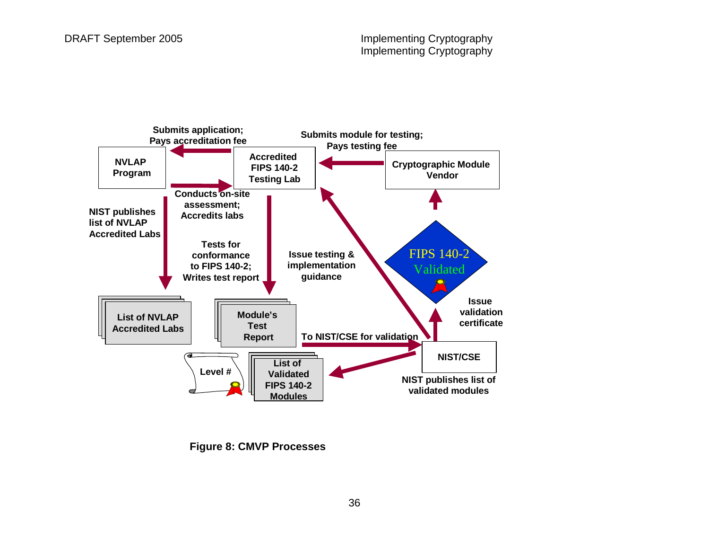

**Figure 8: CMVP Processes**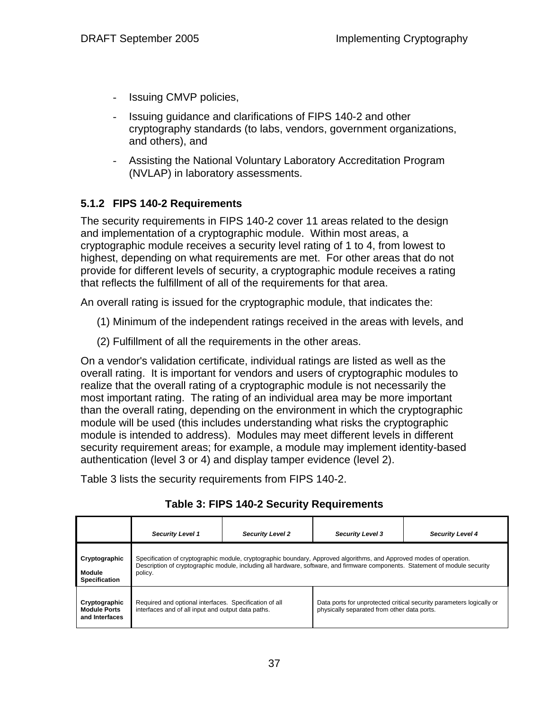- Issuing CMVP policies,
- Issuing guidance and clarifications of FIPS 140-2 and other cryptography standards (to labs, vendors, government organizations, and others), and
- Assisting the National Voluntary Laboratory Accreditation Program (NVLAP) in laboratory assessments.

#### **5.1.2 FIPS 140-2 Requirements**

The security requirements in FIPS 140-2 cover 11 areas related to the design and implementation of a cryptographic module. Within most areas, a cryptographic module receives a security level rating of 1 to 4, from lowest to highest, depending on what requirements are met. For other areas that do not provide for different levels of security, a cryptographic module receives a rating that reflects the fulfillment of all of the requirements for that area.

An overall rating is issued for the cryptographic module, that indicates the:

- (1) Minimum of the independent ratings received in the areas with levels, and
- (2) Fulfillment of all the requirements in the other areas.

On a vendor's validation certificate, individual ratings are listed as well as the overall rating. It is important for vendors and users of cryptographic modules to realize that the overall rating of a cryptographic module is not necessarily the most important rating. The rating of an individual area may be more important than the overall rating, depending on the environment in which the cryptographic module will be used (this includes understanding what risks the cryptographic module is intended to address). Modules may meet different levels in different security requirement areas; for example, a module may implement identity-based authentication (level 3 or 4) and display tamper evidence (level 2).

Table 3 lists the security requirements from FIPS 140-2.

|                                                        | <b>Security Level 1</b>                                                                                                                                                                                                                                         | <b>Security Level 2</b> | <b>Security Level 3</b>                     | <b>Security Level 4</b>                                              |
|--------------------------------------------------------|-----------------------------------------------------------------------------------------------------------------------------------------------------------------------------------------------------------------------------------------------------------------|-------------------------|---------------------------------------------|----------------------------------------------------------------------|
| Cryptographic<br>Module<br><b>Specification</b>        | Specification of cryptographic module, cryptographic boundary, Approved algorithms, and Approved modes of operation.<br>Description of cryptographic module, including all hardware, software, and firmware components. Statement of module security<br>policy. |                         |                                             |                                                                      |
| Cryptographic<br><b>Module Ports</b><br>and Interfaces | Required and optional interfaces. Specification of all<br>interfaces and of all input and output data paths.                                                                                                                                                    |                         | physically separated from other data ports. | Data ports for unprotected critical security parameters logically or |

# **Table 3: FIPS 140-2 Security Requirements**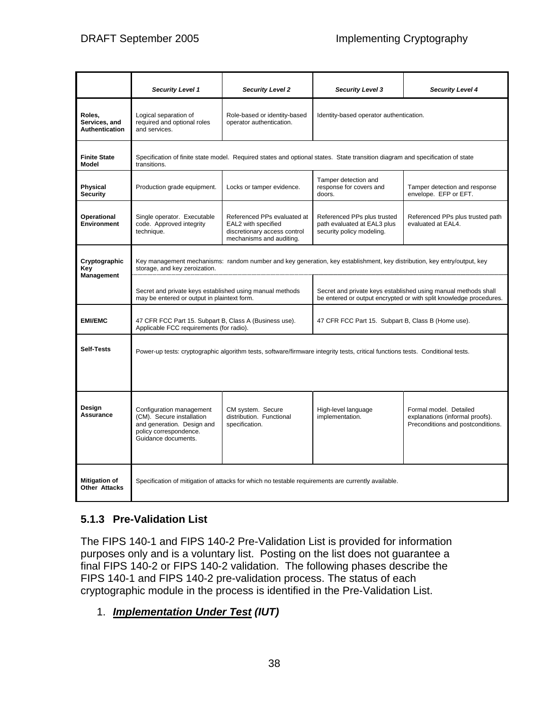|                                                  | <b>Security Level 1</b>                                                                                                                                                                                                                         | <b>Security Level 2</b>                                                                                        | <b>Security Level 3</b>                                                                                                       | <b>Security Level 4</b>                                                                        |
|--------------------------------------------------|-------------------------------------------------------------------------------------------------------------------------------------------------------------------------------------------------------------------------------------------------|----------------------------------------------------------------------------------------------------------------|-------------------------------------------------------------------------------------------------------------------------------|------------------------------------------------------------------------------------------------|
| Roles,<br>Services, and<br><b>Authentication</b> | Logical separation of<br>Role-based or identity-based<br>required and optional roles<br>operator authentication.<br>and services.                                                                                                               |                                                                                                                | Identity-based operator authentication.                                                                                       |                                                                                                |
| <b>Finite State</b><br><b>Model</b>              | transitions.                                                                                                                                                                                                                                    |                                                                                                                | Specification of finite state model. Required states and optional states. State transition diagram and specification of state |                                                                                                |
| Physical<br><b>Security</b>                      | Production grade equipment.                                                                                                                                                                                                                     | Locks or tamper evidence.                                                                                      | Tamper detection and<br>response for covers and<br>doors.                                                                     | Tamper detection and response<br>envelope. EFP or EFT.                                         |
| <b>Operational</b><br><b>Environment</b>         | Single operator. Executable<br>code. Approved integrity<br>technique.                                                                                                                                                                           | Referenced PPs evaluated at<br>EAL2 with specified<br>discretionary access control<br>mechanisms and auditing. | Referenced PPs plus trusted<br>path evaluated at EAL3 plus<br>security policy modeling.                                       | Referenced PPs plus trusted path<br>evaluated at EAL4.                                         |
| Cryptographic<br>Kev<br>Management               | storage, and key zeroization.                                                                                                                                                                                                                   |                                                                                                                | Key management mechanisms: random number and key generation, key establishment, key distribution, key entry/output, key       |                                                                                                |
|                                                  | Secret and private keys established using manual methods<br>Secret and private keys established using manual methods shall<br>may be entered or output in plaintext form.<br>be entered or output encrypted or with split knowledge procedures. |                                                                                                                |                                                                                                                               |                                                                                                |
| <b>EMI/EMC</b>                                   | 47 CFR FCC Part 15. Subpart B, Class A (Business use).<br>47 CFR FCC Part 15. Subpart B, Class B (Home use).<br>Applicable FCC requirements (for radio).                                                                                        |                                                                                                                |                                                                                                                               |                                                                                                |
| Self-Tests                                       | Power-up tests: cryptographic algorithm tests, software/firmware integrity tests, critical functions tests. Conditional tests.                                                                                                                  |                                                                                                                |                                                                                                                               |                                                                                                |
|                                                  |                                                                                                                                                                                                                                                 |                                                                                                                |                                                                                                                               |                                                                                                |
| Design<br>Assurance                              | Configuration management<br>(CM). Secure installation<br>and generation. Design and<br>policy correspondence.<br>Guidance documents.                                                                                                            | CM system. Secure<br>distribution. Functional<br>specification.                                                | High-level language<br>implementation.                                                                                        | Formal model. Detailed<br>explanations (informal proofs).<br>Preconditions and postconditions. |
| <b>Mitigation of</b><br><b>Other Attacks</b>     | Specification of mitigation of attacks for which no testable requirements are currently available.                                                                                                                                              |                                                                                                                |                                                                                                                               |                                                                                                |

# **5.1.3 Pre-Validation List**

The FIPS 140-1 and FIPS 140-2 Pre-Validation List is provided for information purposes only and is a voluntary list. Posting on the list does not guarantee a final FIPS 140-2 or FIPS 140-2 validation. The following phases describe the FIPS 140-1 and FIPS 140-2 pre-validation process. The status of each cryptographic module in the process is identified in the Pre-Validation List.

# 1. *Implementation Under Test (IUT)*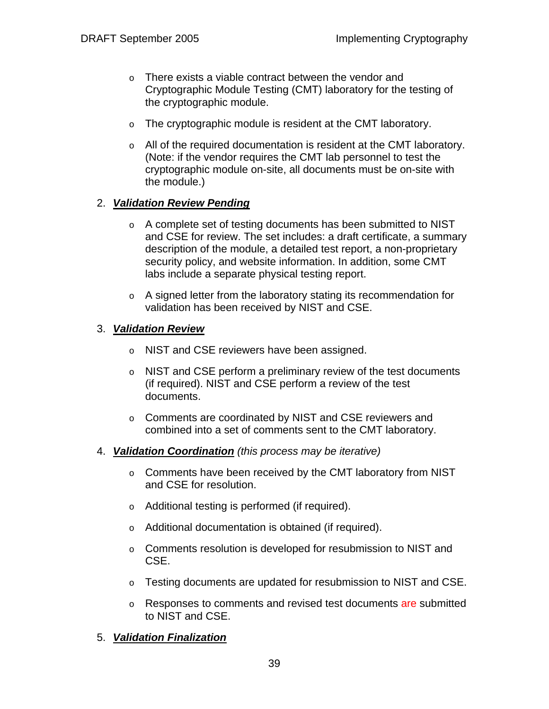- o There exists a viable contract between the vendor and Cryptographic Module Testing (CMT) laboratory for the testing of the cryptographic module.
- o The cryptographic module is resident at the CMT laboratory.
- $\circ$  All of the required documentation is resident at the CMT laboratory. (Note: if the vendor requires the CMT lab personnel to test the cryptographic module on-site, all documents must be on-site with the module.)

#### 2. *Validation Review Pending*

- o A complete set of testing documents has been submitted to NIST and CSE for review. The set includes: a draft certificate, a summary description of the module, a detailed test report, a non-proprietary security policy, and website information. In addition, some CMT labs include a separate physical testing report.
- o A signed letter from the laboratory stating its recommendation for validation has been received by NIST and CSE.

#### 3. *Validation Review*

- o NIST and CSE reviewers have been assigned.
- o NIST and CSE perform a preliminary review of the test documents (if required). NIST and CSE perform a review of the test documents.
- o Comments are coordinated by NIST and CSE reviewers and combined into a set of comments sent to the CMT laboratory.
- 4. *Validation Coordination (this process may be iterative)* 
	- o Comments have been received by the CMT laboratory from NIST and CSE for resolution.
	- o Additional testing is performed (if required).
	- o Additional documentation is obtained (if required).
	- o Comments resolution is developed for resubmission to NIST and CSE.
	- o Testing documents are updated for resubmission to NIST and CSE.
	- o Responses to comments and revised test documents are submitted to NIST and CSE.

#### 5. *Validation Finalization*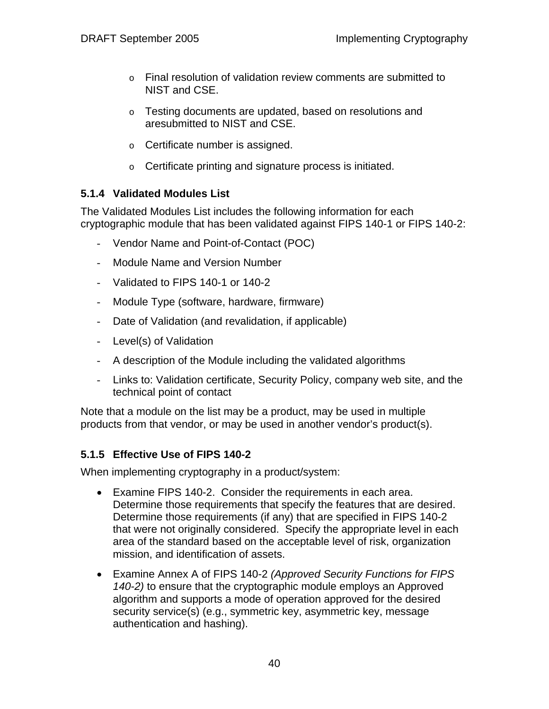- o Final resolution of validation review comments are submitted to NIST and CSE.
- o Testing documents are updated, based on resolutions and aresubmitted to NIST and CSE.
- o Certificate number is assigned.
- o Certificate printing and signature process is initiated.

#### **5.1.4 Validated Modules List**

The Validated Modules List includes the following information for each cryptographic module that has been validated against FIPS 140-1 or FIPS 140-2:

- Vendor Name and Point-of-Contact (POC)
- Module Name and Version Number
- Validated to FIPS 140-1 or 140-2
- Module Type (software, hardware, firmware)
- Date of Validation (and revalidation, if applicable)
- Level(s) of Validation
- A description of the Module including the validated algorithms
- Links to: Validation certificate, Security Policy, company web site, and the technical point of contact

Note that a module on the list may be a product, may be used in multiple products from that vendor, or may be used in another vendor's product(s).

#### **5.1.5 Effective Use of FIPS 140-2**

When implementing cryptography in a product/system:

- Examine FIPS 140-2. Consider the requirements in each area. Determine those requirements that specify the features that are desired. Determine those requirements (if any) that are specified in FIPS 140-2 that were not originally considered. Specify the appropriate level in each area of the standard based on the acceptable level of risk, organization mission, and identification of assets.
- Examine Annex A of FIPS 140-2 *(Approved Security Functions for FIPS 140-2)* to ensure that the cryptographic module employs an Approved algorithm and supports a mode of operation approved for the desired security service(s) (e.g., symmetric key, asymmetric key, message authentication and hashing).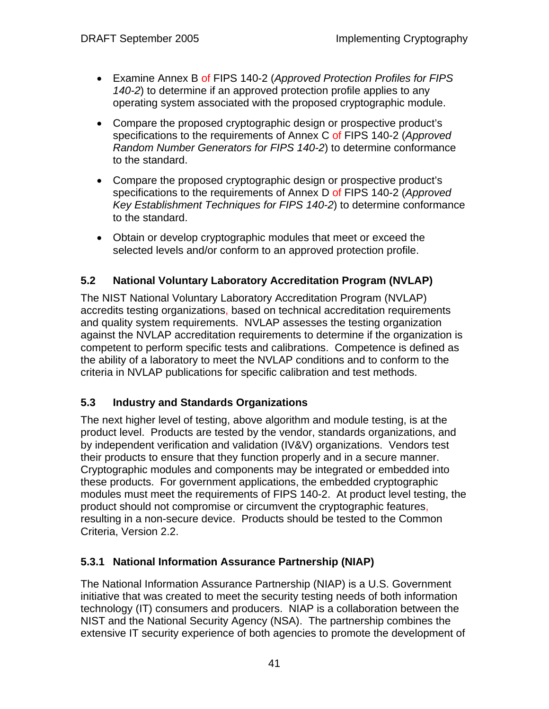- Examine Annex B of FIPS 140-2 (*Approved Protection Profiles for FIPS 140-2*) to determine if an approved protection profile applies to any operating system associated with the proposed cryptographic module.
- Compare the proposed cryptographic design or prospective product's specifications to the requirements of Annex C of FIPS 140-2 (*Approved Random Number Generators for FIPS 140-2*) to determine conformance to the standard.
- Compare the proposed cryptographic design or prospective product's specifications to the requirements of Annex D of FIPS 140-2 (*Approved Key Establishment Techniques for FIPS 140-2*) to determine conformance to the standard.
- Obtain or develop cryptographic modules that meet or exceed the selected levels and/or conform to an approved protection profile.

# **5.2 National Voluntary Laboratory Accreditation Program (NVLAP)**

The NIST National Voluntary Laboratory Accreditation Program (NVLAP) accredits testing organizations, based on technical accreditation requirements and quality system requirements. NVLAP assesses the testing organization against the NVLAP accreditation requirements to determine if the organization is competent to perform specific tests and calibrations. Competence is defined as the ability of a laboratory to meet the NVLAP conditions and to conform to the criteria in NVLAP publications for specific calibration and test methods.

# **5.3 Industry and Standards Organizations**

The next higher level of testing, above algorithm and module testing, is at the product level. Products are tested by the vendor, standards organizations, and by independent verification and validation (IV&V) organizations. Vendors test their products to ensure that they function properly and in a secure manner. Cryptographic modules and components may be integrated or embedded into these products. For government applications, the embedded cryptographic modules must meet the requirements of FIPS 140-2. At product level testing, the product should not compromise or circumvent the cryptographic features, resulting in a non-secure device. Products should be tested to the Common Criteria, Version 2.2.

# **5.3.1 National Information Assurance Partnership (NIAP)**

The National Information Assurance Partnership (NIAP) is a U.S. Government initiative that was created to meet the security testing needs of both information technology (IT) consumers and producers. NIAP is a collaboration between the NIST and the National Security Agency (NSA). The partnership combines the extensive IT security experience of both agencies to promote the development of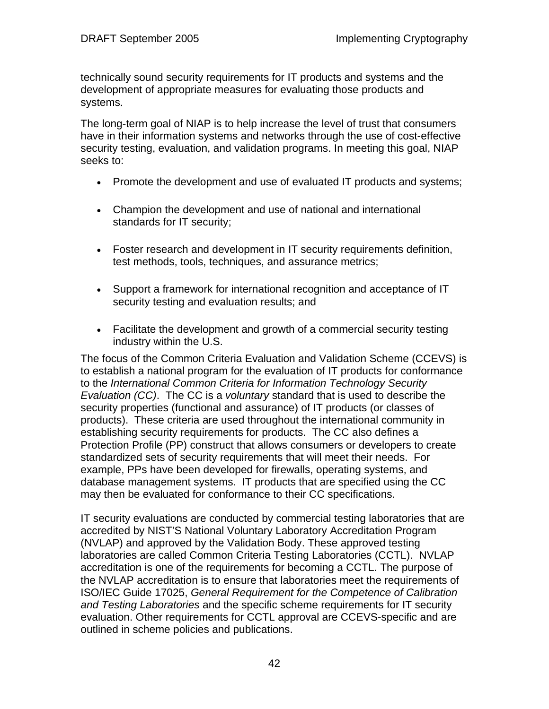technically sound security requirements for IT products and systems and the development of appropriate measures for evaluating those products and systems.

The long-term goal of NIAP is to help increase the level of trust that consumers have in their information systems and networks through the use of cost-effective security testing, evaluation, and validation programs. In meeting this goal, NIAP seeks to:

- Promote the development and use of evaluated IT products and systems;
- Champion the development and use of national and international standards for IT security;
- Foster research and development in IT security requirements definition, test methods, tools, techniques, and assurance metrics;
- Support a framework for international recognition and acceptance of IT security testing and evaluation results; and
- Facilitate the development and growth of a commercial security testing industry within the U.S.

The focus of the Common Criteria Evaluation and Validation Scheme (CCEVS) is to establish a national program for the evaluation of IT products for conformance to the *International Common Criteria for Information Technology Security Evaluation (CC)*. The CC is a *voluntary* standard that is used to describe the security properties (functional and assurance) of IT products (or classes of products). These criteria are used throughout the international community in establishing security requirements for products. The CC also defines a Protection Profile (PP) construct that allows consumers or developers to create standardized sets of security requirements that will meet their needs. For example, PPs have been developed for firewalls, operating systems, and database management systems. IT products that are specified using the CC may then be evaluated for conformance to their CC specifications.

IT security evaluations are conducted by commercial testing laboratories that are accredited by NIST'S National Voluntary Laboratory Accreditation Program (NVLAP) and approved by the Validation Body. These approved testing laboratories are called Common Criteria Testing Laboratories (CCTL). NVLAP accreditation is one of the requirements for becoming a CCTL. The purpose of the NVLAP accreditation is to ensure that laboratories meet the requirements of ISO/IEC Guide 17025, *General Requirement for the Competence of Calibration and Testing Laboratories* and the specific scheme requirements for IT security evaluation. Other requirements for CCTL approval are CCEVS-specific and are outlined in scheme policies and publications.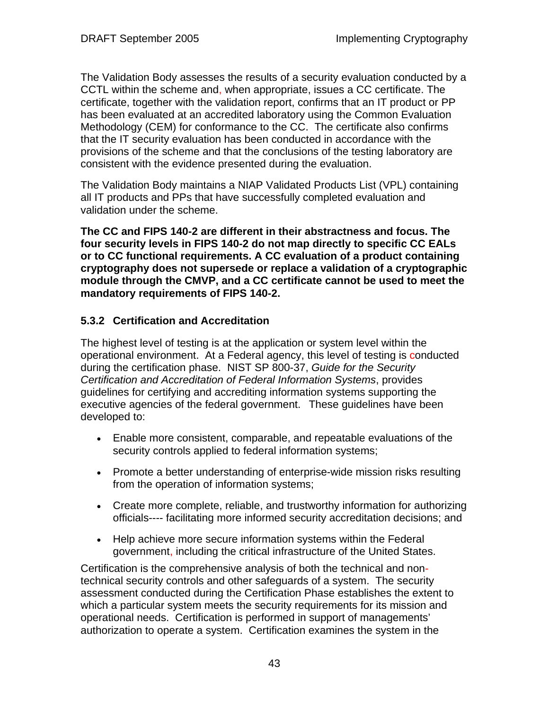The Validation Body assesses the results of a security evaluation conducted by a CCTL within the scheme and, when appropriate, issues a CC certificate. The certificate, together with the validation report, confirms that an IT product or PP has been evaluated at an accredited laboratory using the Common Evaluation Methodology (CEM) for conformance to the CC. The certificate also confirms that the IT security evaluation has been conducted in accordance with the provisions of the scheme and that the conclusions of the testing laboratory are consistent with the evidence presented during the evaluation.

The Validation Body maintains a NIAP Validated Products List (VPL) containing all IT products and PPs that have successfully completed evaluation and validation under the scheme.

**The CC and FIPS 140-2 are different in their abstractness and focus. The four security levels in FIPS 140-2 do not map directly to specific CC EALs or to CC functional requirements. A CC evaluation of a product containing cryptography does not supersede or replace a validation of a cryptographic module through the CMVP, and a CC certificate cannot be used to meet the mandatory requirements of FIPS 140-2.** 

### **5.3.2 Certification and Accreditation**

The highest level of testing is at the application or system level within the operational environment. At a Federal agency, this level of testing is conducted during the certification phase. NIST SP 800-37, *Guide for the Security Certification and Accreditation of Federal Information Systems*, provides guidelines for certifying and accrediting information systems supporting the executive agencies of the federal government. These guidelines have been developed to:

- Enable more consistent, comparable, and repeatable evaluations of the security controls applied to federal information systems;
- Promote a better understanding of enterprise-wide mission risks resulting from the operation of information systems;
- Create more complete, reliable, and trustworthy information for authorizing officials---- facilitating more informed security accreditation decisions; and
- Help achieve more secure information systems within the Federal government, including the critical infrastructure of the United States.

Certification is the comprehensive analysis of both the technical and nontechnical security controls and other safeguards of a system. The security assessment conducted during the Certification Phase establishes the extent to which a particular system meets the security requirements for its mission and operational needs. Certification is performed in support of managements' authorization to operate a system. Certification examines the system in the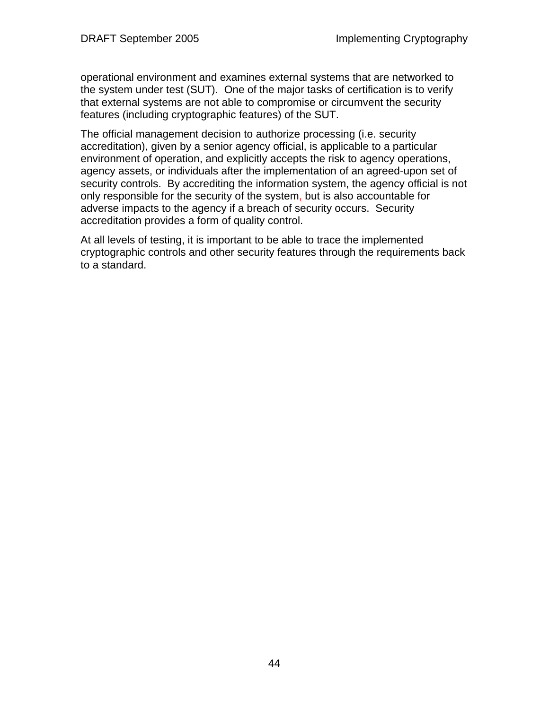operational environment and examines external systems that are networked to the system under test (SUT). One of the major tasks of certification is to verify that external systems are not able to compromise or circumvent the security features (including cryptographic features) of the SUT.

The official management decision to authorize processing (i.e. security accreditation), given by a senior agency official, is applicable to a particular environment of operation, and explicitly accepts the risk to agency operations, agency assets, or individuals after the implementation of an agreed-upon set of security controls. By accrediting the information system, the agency official is not only responsible for the security of the system, but is also accountable for adverse impacts to the agency if a breach of security occurs. Security accreditation provides a form of quality control.

At all levels of testing, it is important to be able to trace the implemented cryptographic controls and other security features through the requirements back to a standard.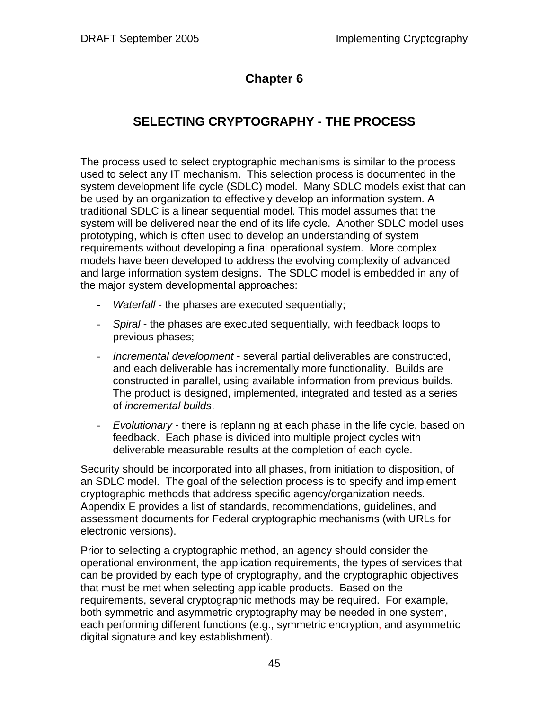# **Chapter 6**

# **SELECTING CRYPTOGRAPHY - THE PROCESS**

The process used to select cryptographic mechanisms is similar to the process used to select any IT mechanism. This selection process is documented in the system development life cycle (SDLC) model. Many SDLC models exist that can be used by an organization to effectively develop an information system. A traditional SDLC is a linear sequential model. This model assumes that the system will be delivered near the end of its life cycle. Another SDLC model uses prototyping, which is often used to develop an understanding of system requirements without developing a final operational system. More complex models have been developed to address the evolving complexity of advanced and large information system designs. The SDLC model is embedded in any of the major system developmental approaches:

- *Waterfall* the phases are executed sequentially;
- *Spiral* the phases are executed sequentially, with feedback loops to previous phases;
- *Incremental development* several partial deliverables are constructed, and each deliverable has incrementally more functionality. Builds are constructed in parallel, using available information from previous builds. The product is designed, implemented, integrated and tested as a series of *incremental builds*.
- *Evolutionary* there is replanning at each phase in the life cycle, based on feedback. Each phase is divided into multiple project cycles with deliverable measurable results at the completion of each cycle.

Security should be incorporated into all phases, from initiation to disposition, of an SDLC model. The goal of the selection process is to specify and implement cryptographic methods that address specific agency/organization needs. Appendix E provides a list of standards, recommendations, guidelines, and assessment documents for Federal cryptographic mechanisms (with URLs for electronic versions).

Prior to selecting a cryptographic method, an agency should consider the operational environment, the application requirements, the types of services that can be provided by each type of cryptography, and the cryptographic objectives that must be met when selecting applicable products. Based on the requirements, several cryptographic methods may be required. For example, both symmetric and asymmetric cryptography may be needed in one system, each performing different functions (e.g., symmetric encryption, and asymmetric digital signature and key establishment).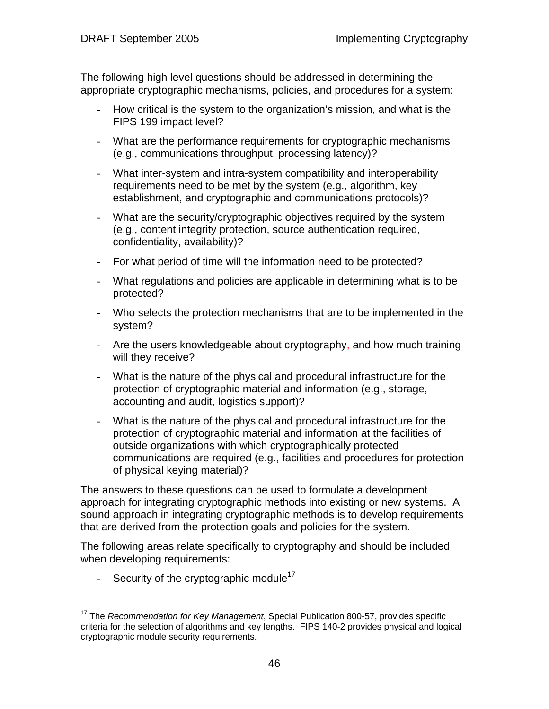The following high level questions should be addressed in determining the appropriate cryptographic mechanisms, policies, and procedures for a system:

- How critical is the system to the organization's mission, and what is the FIPS 199 impact level?
- What are the performance requirements for cryptographic mechanisms (e.g., communications throughput, processing latency)?
- What inter-system and intra-system compatibility and interoperability requirements need to be met by the system (e.g., algorithm, key establishment, and cryptographic and communications protocols)?
- What are the security/cryptographic objectives required by the system (e.g., content integrity protection, source authentication required, confidentiality, availability)?
- For what period of time will the information need to be protected?
- What regulations and policies are applicable in determining what is to be protected?
- Who selects the protection mechanisms that are to be implemented in the system?
- Are the users knowledgeable about cryptography, and how much training will they receive?
- What is the nature of the physical and procedural infrastructure for the protection of cryptographic material and information (e.g., storage, accounting and audit, logistics support)?
- What is the nature of the physical and procedural infrastructure for the protection of cryptographic material and information at the facilities of outside organizations with which cryptographically protected communications are required (e.g., facilities and procedures for protection of physical keying material)?

The answers to these questions can be used to formulate a development approach for integrating cryptographic methods into existing or new systems. A sound approach in integrating cryptographic methods is to develop requirements that are derived from the protection goals and policies for the system.

The following areas relate specifically to cryptography and should be included when developing requirements:

- Security of the cryptographic module<sup>17</sup>

 $\overline{a}$ 

<sup>17</sup> The *Recommendation for Key Management*, Special Publication 800-57, provides specific criteria for the selection of algorithms and key lengths. FIPS 140-2 provides physical and logical cryptographic module security requirements.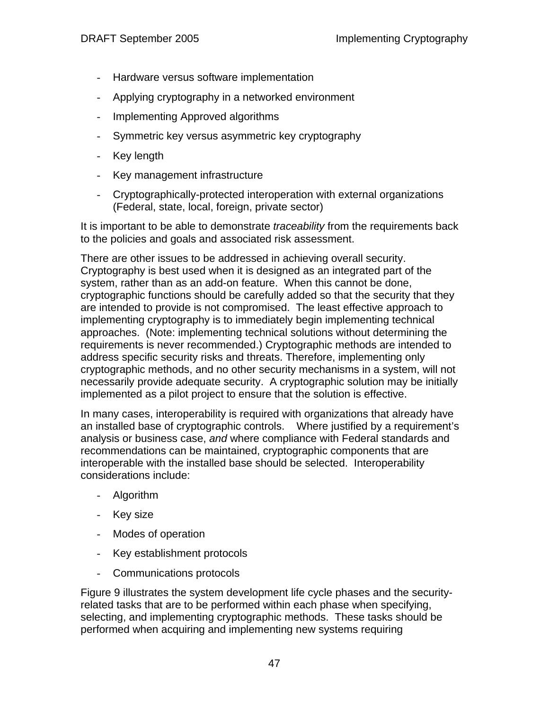- Hardware versus software implementation
- Applying cryptography in a networked environment
- Implementing Approved algorithms
- Symmetric key versus asymmetric key cryptography
- Key length
- Key management infrastructure
- Cryptographically-protected interoperation with external organizations (Federal, state, local, foreign, private sector)

It is important to be able to demonstrate *traceability* from the requirements back to the policies and goals and associated risk assessment.

There are other issues to be addressed in achieving overall security. Cryptography is best used when it is designed as an integrated part of the system, rather than as an add-on feature. When this cannot be done, cryptographic functions should be carefully added so that the security that they are intended to provide is not compromised. The least effective approach to implementing cryptography is to immediately begin implementing technical approaches. (Note: implementing technical solutions without determining the requirements is never recommended.) Cryptographic methods are intended to address specific security risks and threats. Therefore, implementing only cryptographic methods, and no other security mechanisms in a system, will not necessarily provide adequate security. A cryptographic solution may be initially implemented as a pilot project to ensure that the solution is effective.

In many cases, interoperability is required with organizations that already have an installed base of cryptographic controls. Where justified by a requirement's analysis or business case, *and* where compliance with Federal standards and recommendations can be maintained, cryptographic components that are interoperable with the installed base should be selected. Interoperability considerations include:

- Algorithm
- Key size
- Modes of operation
- Key establishment protocols
- Communications protocols

Figure 9 illustrates the system development life cycle phases and the securityrelated tasks that are to be performed within each phase when specifying, selecting, and implementing cryptographic methods. These tasks should be performed when acquiring and implementing new systems requiring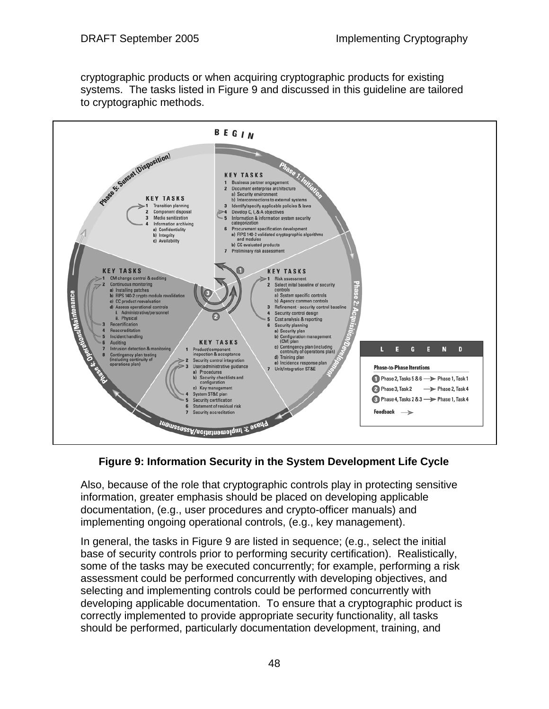cryptographic products or when acquiring cryptographic products for existing systems. The tasks listed in Figure 9 and discussed in this guideline are tailored to cryptographic methods.



# **Figure 9: Information Security in the System Development Life Cycle**

Also, because of the role that cryptographic controls play in protecting sensitive information, greater emphasis should be placed on developing applicable documentation, (e.g., user procedures and crypto-officer manuals) and implementing ongoing operational controls, (e.g., key management).

In general, the tasks in Figure 9 are listed in sequence; (e.g., select the initial base of security controls prior to performing security certification). Realistically, some of the tasks may be executed concurrently; for example, performing a risk assessment could be performed concurrently with developing objectives, and selecting and implementing controls could be performed concurrently with developing applicable documentation. To ensure that a cryptographic product is correctly implemented to provide appropriate security functionality, all tasks should be performed, particularly documentation development, training, and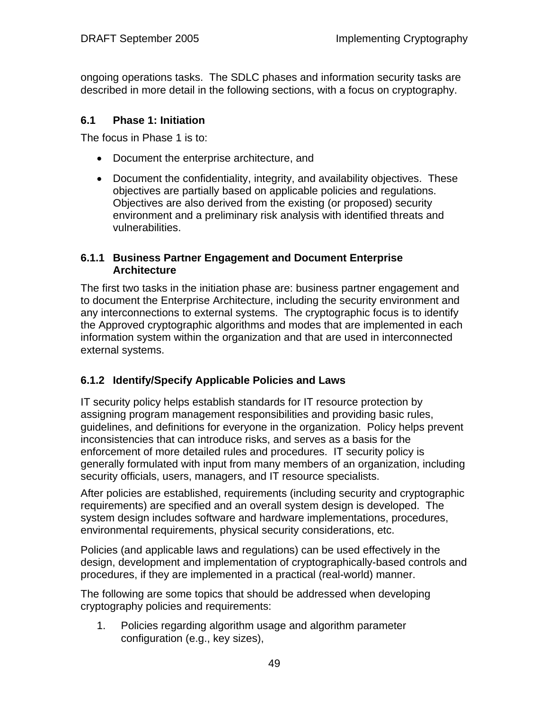ongoing operations tasks. The SDLC phases and information security tasks are described in more detail in the following sections, with a focus on cryptography.

# **6.1 Phase 1: Initiation**

The focus in Phase 1 is to:

- Document the enterprise architecture, and
- Document the confidentiality, integrity, and availability objectives. These objectives are partially based on applicable policies and regulations. Objectives are also derived from the existing (or proposed) security environment and a preliminary risk analysis with identified threats and vulnerabilities.

#### **6.1.1 Business Partner Engagement and Document Enterprise Architecture**

The first two tasks in the initiation phase are: business partner engagement and to document the Enterprise Architecture, including the security environment and any interconnections to external systems. The cryptographic focus is to identify the Approved cryptographic algorithms and modes that are implemented in each information system within the organization and that are used in interconnected external systems.

# **6.1.2 Identify/Specify Applicable Policies and Laws**

IT security policy helps establish standards for IT resource protection by assigning program management responsibilities and providing basic rules, guidelines, and definitions for everyone in the organization. Policy helps prevent inconsistencies that can introduce risks, and serves as a basis for the enforcement of more detailed rules and procedures. IT security policy is generally formulated with input from many members of an organization, including security officials, users, managers, and IT resource specialists.

After policies are established, requirements (including security and cryptographic requirements) are specified and an overall system design is developed. The system design includes software and hardware implementations, procedures, environmental requirements, physical security considerations, etc.

Policies (and applicable laws and regulations) can be used effectively in the design, development and implementation of cryptographically-based controls and procedures, if they are implemented in a practical (real-world) manner.

The following are some topics that should be addressed when developing cryptography policies and requirements:

1. Policies regarding algorithm usage and algorithm parameter configuration (e.g., key sizes),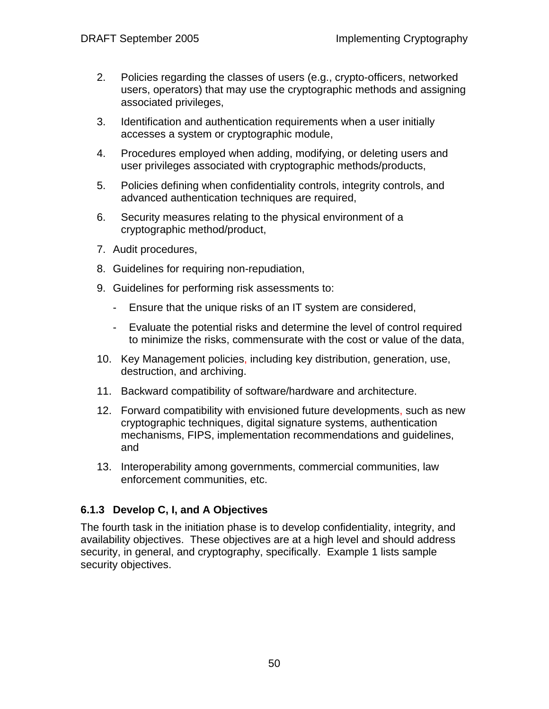- 2. Policies regarding the classes of users (e.g., crypto-officers, networked users, operators) that may use the cryptographic methods and assigning associated privileges,
- 3. Identification and authentication requirements when a user initially accesses a system or cryptographic module,
- 4. Procedures employed when adding, modifying, or deleting users and user privileges associated with cryptographic methods/products,
- 5. Policies defining when confidentiality controls, integrity controls, and advanced authentication techniques are required,
- 6. Security measures relating to the physical environment of a cryptographic method/product,
- 7. Audit procedures,
- 8. Guidelines for requiring non-repudiation,
- 9. Guidelines for performing risk assessments to:
	- Ensure that the unique risks of an IT system are considered,
	- Evaluate the potential risks and determine the level of control required to minimize the risks, commensurate with the cost or value of the data,
- 10. Key Management policies, including key distribution, generation, use, destruction, and archiving.
- 11. Backward compatibility of software/hardware and architecture.
- 12. Forward compatibility with envisioned future developments, such as new cryptographic techniques, digital signature systems, authentication mechanisms, FIPS, implementation recommendations and guidelines, and
- 13. Interoperability among governments, commercial communities, law enforcement communities, etc.

#### **6.1.3 Develop C, I, and A Objectives**

The fourth task in the initiation phase is to develop confidentiality, integrity, and availability objectives. These objectives are at a high level and should address security, in general, and cryptography, specifically. Example 1 lists sample security objectives.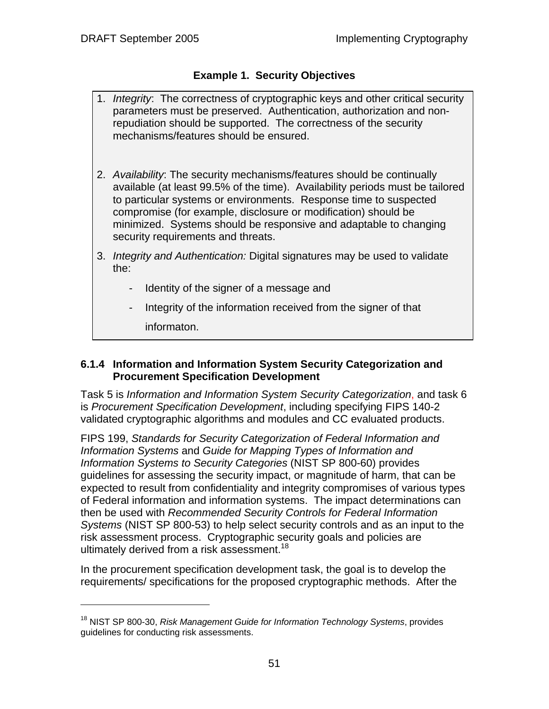## **Example 1. Security Objectives**

- 1. *Integrity*: The correctness of cryptographic keys and other critical security parameters must be preserved. Authentication, authorization and nonrepudiation should be supported. The correctness of the security mechanisms/features should be ensured.
- 2. *Availability*: The security mechanisms/features should be continually available (at least 99.5% of the time). Availability periods must be tailored to particular systems or environments. Response time to suspected compromise (for example, disclosure or modification) should be minimized. Systems should be responsive and adaptable to changing security requirements and threats.
- 3. *Integrity and Authentication:* Digital signatures may be used to validate the:
	- Identity of the signer of a message and
	- Integrity of the information received from the signer of that

informaton.

 $\overline{a}$ 

#### **6.1.4 Information and Information System Security Categorization and Procurement Specification Development**

Task 5 is *Information and Information System Security Categorization*, and task 6 is *Procurement Specification Development*, including specifying FIPS 140-2 validated cryptographic algorithms and modules and CC evaluated products.

FIPS 199, *Standards for Security Categorization of Federal Information and Information Systems* and *Guide for Mapping Types of Information and Information Systems to Security Categories* (NIST SP 800-60) provides guidelines for assessing the security impact, or magnitude of harm, that can be expected to result from confidentiality and integrity compromises of various types of Federal information and information systems. The impact determinations can then be used with *Recommended Security Controls for Federal Information Systems* (NIST SP 800-53) to help select security controls and as an input to the risk assessment process. Cryptographic security goals and policies are ultimately derived from a risk assessment.<sup>18</sup>

In the procurement specification development task, the goal is to develop the requirements/ specifications for the proposed cryptographic methods. After the

<sup>18</sup> NIST SP 800-30, *Risk Management Guide for Information Technology Systems*, provides guidelines for conducting risk assessments.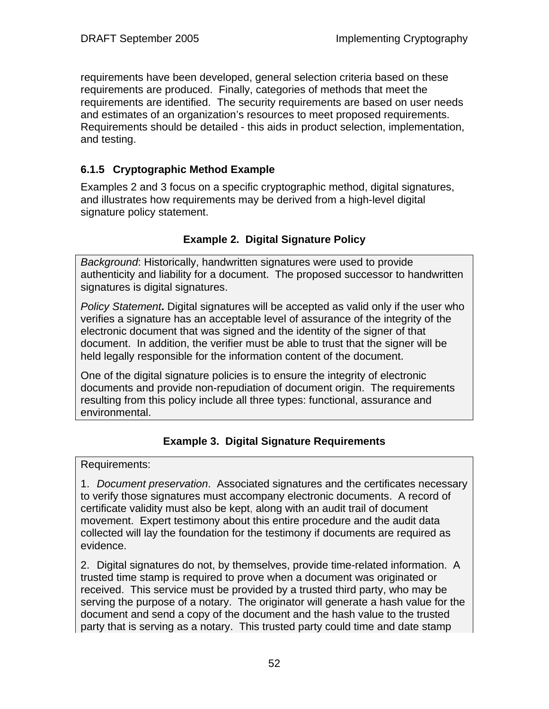requirements have been developed, general selection criteria based on these requirements are produced. Finally, categories of methods that meet the requirements are identified. The security requirements are based on user needs and estimates of an organization's resources to meet proposed requirements. Requirements should be detailed - this aids in product selection, implementation, and testing.

## **6.1.5 Cryptographic Method Example**

Examples 2 and 3 focus on a specific cryptographic method, digital signatures, and illustrates how requirements may be derived from a high-level digital signature policy statement.

### **Example 2. Digital Signature Policy**

*Background*: Historically, handwritten signatures were used to provide authenticity and liability for a document. The proposed successor to handwritten signatures is digital signatures.

*Policy Statement***.** Digital signatures will be accepted as valid only if the user who verifies a signature has an acceptable level of assurance of the integrity of the electronic document that was signed and the identity of the signer of that document. In addition, the verifier must be able to trust that the signer will be held legally responsible for the information content of the document.

One of the digital signature policies is to ensure the integrity of electronic documents and provide non-repudiation of document origin. The requirements resulting from this policy include all three types: functional, assurance and environmental.

#### **Example 3. Digital Signature Requirements**

Requirements:

1. *Document preservation*. Associated signatures and the certificates necessary to verify those signatures must accompany electronic documents. A record of certificate validity must also be kept, along with an audit trail of document movement. Expert testimony about this entire procedure and the audit data collected will lay the foundation for the testimony if documents are required as evidence.

2. Digital signatures do not, by themselves, provide time-related information. A trusted time stamp is required to prove when a document was originated or received. This service must be provided by a trusted third party, who may be serving the purpose of a notary. The originator will generate a hash value for the document and send a copy of the document and the hash value to the trusted party that is serving as a notary. This trusted party could time and date stamp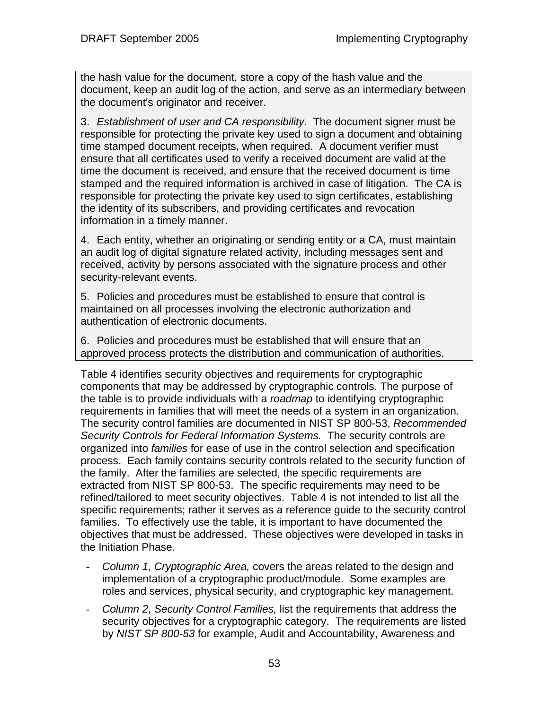the hash value for the document, store a copy of the hash value and the document, keep an audit log of the action, and serve as an intermediary between the document's originator and receiver.

3. *Establishment of user and CA responsibility*. The document signer must be responsible for protecting the private key used to sign a document and obtaining time stamped document receipts, when required. A document verifier must ensure that all certificates used to verify a received document are valid at the time the document is received, and ensure that the received document is time stamped and the required information is archived in case of litigation. The CA is responsible for protecting the private key used to sign certificates, establishing the identity of its subscribers, and providing certificates and revocation information in a timely manner.

4. Each entity, whether an originating or sending entity or a CA, must maintain an audit log of digital signature related activity, including messages sent and received, activity by persons associated with the signature process and other security-relevant events.

5. Policies and procedures must be established to ensure that control is maintained on all processes involving the electronic authorization and authentication of electronic documents.

6. Policies and procedures must be established that will ensure that an approved process protects the distribution and communication of authorities.

Table 4 identifies security objectives and requirements for cryptographic components that may be addressed by cryptographic controls. The purpose of the table is to provide individuals with a *roadmap* to identifying cryptographic requirements in families that will meet the needs of a system in an organization. The security control families are documented in NIST SP 800-53, *Recommended Security Controls for Federal Information Systems.* The security controls are organized into *families* for ease of use in the control selection and specification process. Each family contains security controls related to the security function of the family. After the families are selected, the specific requirements are extracted from NIST SP 800-53. The specific requirements may need to be refined/tailored to meet security objectives. Table 4 is not intended to list all the specific requirements; rather it serves as a reference guide to the security control families. To effectively use the table, it is important to have documented the objectives that must be addressed. These objectives were developed in tasks in the Initiation Phase.

- *Column 1*, *Cryptographic Area,* covers the areas related to the design and implementation of a cryptographic product/module. Some examples are roles and services, physical security, and cryptographic key management.
- *Column 2*, *Security Control Families,* list the requirements that address the security objectives for a cryptographic category. The requirements are listed by *NIST SP 800-53* for example, Audit and Accountability, Awareness and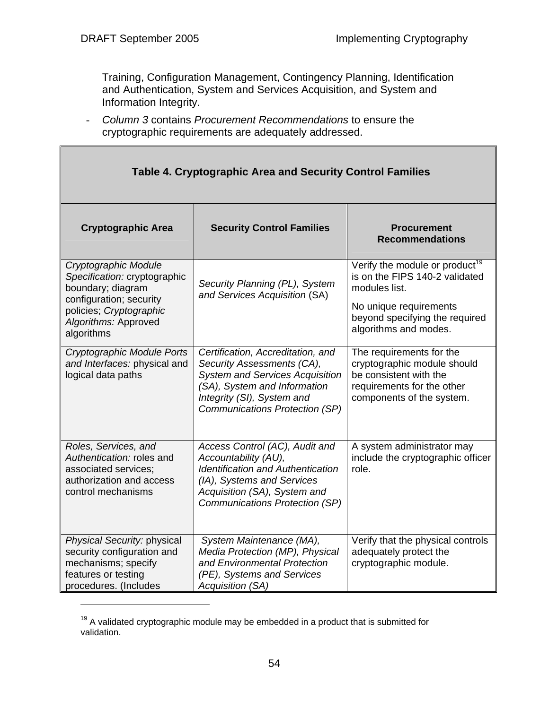$\overline{a}$ 

Training, Configuration Management, Contingency Planning, Identification and Authentication, System and Services Acquisition, and System and Information Integrity.

- *Column 3* contains *Procurement Recommendations* to ensure the cryptographic requirements are adequately addressed.

| <b>Table 4. Cryptographic Area and Security Control Families</b>                                                                                                      |                                                                                                                                                                                                           |                                                                                                                                                                                    |  |  |
|-----------------------------------------------------------------------------------------------------------------------------------------------------------------------|-----------------------------------------------------------------------------------------------------------------------------------------------------------------------------------------------------------|------------------------------------------------------------------------------------------------------------------------------------------------------------------------------------|--|--|
| <b>Cryptographic Area</b>                                                                                                                                             | <b>Security Control Families</b>                                                                                                                                                                          | <b>Procurement</b><br><b>Recommendations</b>                                                                                                                                       |  |  |
| Cryptographic Module<br>Specification: cryptographic<br>boundary; diagram<br>configuration; security<br>policies; Cryptographic<br>Algorithms: Approved<br>algorithms | Security Planning (PL), System<br>and Services Acquisition (SA)                                                                                                                                           | Verify the module or product <sup>19</sup><br>is on the FIPS 140-2 validated<br>modules list.<br>No unique requirements<br>beyond specifying the required<br>algorithms and modes. |  |  |
| Cryptographic Module Ports<br>and Interfaces: physical and<br>logical data paths                                                                                      | Certification, Accreditation, and<br>Security Assessments (CA),<br><b>System and Services Acquisition</b><br>(SA), System and Information<br>Integrity (SI), System and<br>Communications Protection (SP) | The requirements for the<br>cryptographic module should<br>be consistent with the<br>requirements for the other<br>components of the system.                                       |  |  |
| Roles, Services, and<br>Authentication: roles and<br>associated services;<br>authorization and access<br>control mechanisms                                           | Access Control (AC), Audit and<br>Accountability (AU),<br><b>Identification and Authentication</b><br>(IA), Systems and Services<br>Acquisition (SA), System and<br>Communications Protection (SP)        | A system administrator may<br>include the cryptographic officer<br>role.                                                                                                           |  |  |
| Physical Security: physical<br>security configuration and<br>mechanisms; specify<br>features or testing<br>procedures. (Includes                                      | System Maintenance (MA),<br>Media Protection (MP), Physical<br>and Environmental Protection<br>(PE), Systems and Services<br><b>Acquisition (SA)</b>                                                      | Verify that the physical controls<br>adequately protect the<br>cryptographic module.                                                                                               |  |  |

 $19$  A validated cryptographic module may be embedded in a product that is submitted for validation.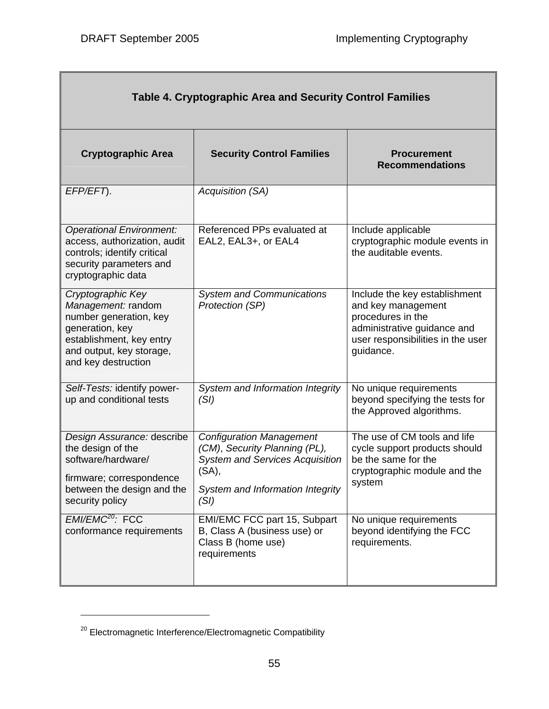Г

| <b>Table 4. Cryptographic Area and Security Control Families</b>                                                                                                    |                                                                                                                                                                 |                                                                                                                                                           |  |  |
|---------------------------------------------------------------------------------------------------------------------------------------------------------------------|-----------------------------------------------------------------------------------------------------------------------------------------------------------------|-----------------------------------------------------------------------------------------------------------------------------------------------------------|--|--|
| <b>Cryptographic Area</b><br><b>Security Control Families</b>                                                                                                       |                                                                                                                                                                 | <b>Procurement</b><br><b>Recommendations</b>                                                                                                              |  |  |
| EFP/EFT).                                                                                                                                                           | <b>Acquisition (SA)</b>                                                                                                                                         |                                                                                                                                                           |  |  |
| <b>Operational Environment:</b><br>access, authorization, audit<br>controls; identify critical<br>security parameters and<br>cryptographic data                     | Referenced PPs evaluated at<br>EAL2, EAL3+, or EAL4                                                                                                             | Include applicable<br>cryptographic module events in<br>the auditable events.                                                                             |  |  |
| Cryptographic Key<br>Management: random<br>number generation, key<br>generation, key<br>establishment, key entry<br>and output, key storage,<br>and key destruction | <b>System and Communications</b><br>Protection (SP)                                                                                                             | Include the key establishment<br>and key management<br>procedures in the<br>administrative guidance and<br>user responsibilities in the user<br>guidance. |  |  |
| Self-Tests: identify power-<br>up and conditional tests                                                                                                             | System and Information Integrity<br>(SI)                                                                                                                        | No unique requirements<br>beyond specifying the tests for<br>the Approved algorithms.                                                                     |  |  |
| Design Assurance: describe<br>the design of the<br>software/hardware/<br>firmware; correspondence<br>between the design and the<br>security policy                  | <b>Configuration Management</b><br>(CM), Security Planning (PL),<br><b>System and Services Acquisition</b><br>(SA),<br>System and Information Integrity<br>(SI) | The use of CM tools and life<br>cycle support products should<br>be the same for the<br>cryptographic module and the<br>system                            |  |  |
| EMI/EMC <sup>20</sup> : FCC<br>conformance requirements                                                                                                             | EMI/EMC FCC part 15, Subpart<br>B, Class A (business use) or<br>Class B (home use)<br>requirements                                                              | No unique requirements<br>beyond identifying the FCC<br>requirements.                                                                                     |  |  |

 $\overline{a}$ 

<sup>20</sup> Electromagnetic Interference/Electromagnetic Compatibility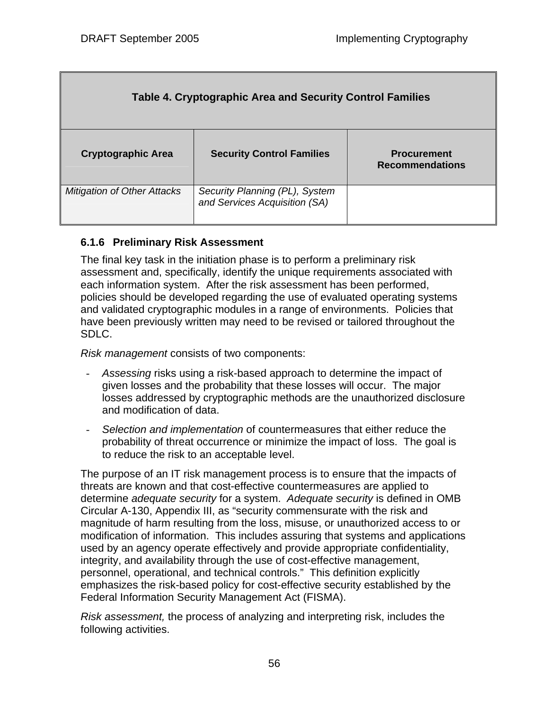| <b>Table 4. Cryptographic Area and Security Control Families</b> |                                                                                  |  |  |  |  |
|------------------------------------------------------------------|----------------------------------------------------------------------------------|--|--|--|--|
| <b>Cryptographic Area</b>                                        | <b>Security Control Families</b><br><b>Procurement</b><br><b>Recommendations</b> |  |  |  |  |
| <b>Mitigation of Other Attacks</b>                               | Security Planning (PL), System<br>and Services Acquisition (SA)                  |  |  |  |  |

### **6.1.6 Preliminary Risk Assessment**

The final key task in the initiation phase is to perform a preliminary risk assessment and, specifically, identify the unique requirements associated with each information system. After the risk assessment has been performed, policies should be developed regarding the use of evaluated operating systems and validated cryptographic modules in a range of environments. Policies that have been previously written may need to be revised or tailored throughout the SDLC.

*Risk management* consists of two components:

- *Assessing* risks using a risk-based approach to determine the impact of given losses and the probability that these losses will occur. The major losses addressed by cryptographic methods are the unauthorized disclosure and modification of data.
- *Selection and implementation* of countermeasures that either reduce the probability of threat occurrence or minimize the impact of loss. The goal is to reduce the risk to an acceptable level.

The purpose of an IT risk management process is to ensure that the impacts of threats are known and that cost-effective countermeasures are applied to determine *adequate security* for a system. *Adequate security* is defined in OMB Circular A-130, Appendix III, as "security commensurate with the risk and magnitude of harm resulting from the loss, misuse, or unauthorized access to or modification of information. This includes assuring that systems and applications used by an agency operate effectively and provide appropriate confidentiality, integrity, and availability through the use of cost-effective management, personnel, operational, and technical controls." This definition explicitly emphasizes the risk-based policy for cost-effective security established by the Federal Information Security Management Act (FISMA).

*Risk assessment,* the process of analyzing and interpreting risk, includes the following activities.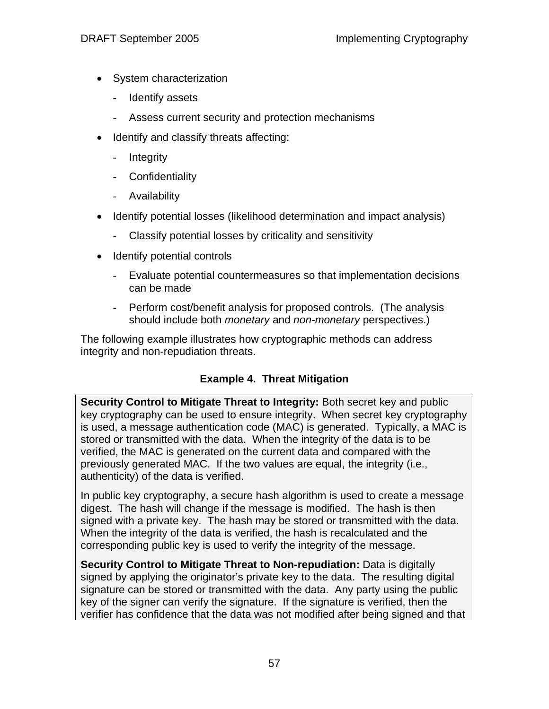- System characterization
	- Identify assets
	- Assess current security and protection mechanisms
- Identify and classify threats affecting:
	- Integrity
	- Confidentiality
	- Availability
- Identify potential losses (likelihood determination and impact analysis)
	- Classify potential losses by criticality and sensitivity
- Identify potential controls
	- Evaluate potential countermeasures so that implementation decisions can be made
	- Perform cost/benefit analysis for proposed controls. (The analysis should include both *monetary* and *non-monetary* perspectives.)

The following example illustrates how cryptographic methods can address integrity and non-repudiation threats.

#### **Example 4. Threat Mitigation**

**Security Control to Mitigate Threat to Integrity:** Both secret key and public key cryptography can be used to ensure integrity. When secret key cryptography is used, a message authentication code (MAC) is generated. Typically, a MAC is stored or transmitted with the data. When the integrity of the data is to be verified, the MAC is generated on the current data and compared with the previously generated MAC. If the two values are equal, the integrity (i.e., authenticity) of the data is verified.

In public key cryptography, a secure hash algorithm is used to create a message digest. The hash will change if the message is modified. The hash is then signed with a private key. The hash may be stored or transmitted with the data. When the integrity of the data is verified, the hash is recalculated and the corresponding public key is used to verify the integrity of the message.

**Security Control to Mitigate Threat to Non-repudiation:** Data is digitally signed by applying the originator's private key to the data. The resulting digital signature can be stored or transmitted with the data. Any party using the public key of the signer can verify the signature. If the signature is verified, then the verifier has confidence that the data was not modified after being signed and that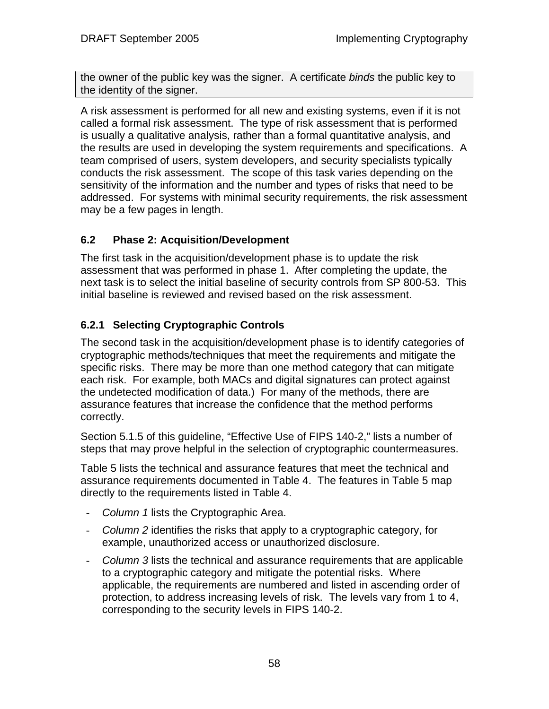the owner of the public key was the signer. A certificate *binds* the public key to the identity of the signer.

A risk assessment is performed for all new and existing systems, even if it is not called a formal risk assessment. The type of risk assessment that is performed is usually a qualitative analysis, rather than a formal quantitative analysis, and the results are used in developing the system requirements and specifications. A team comprised of users, system developers, and security specialists typically conducts the risk assessment. The scope of this task varies depending on the sensitivity of the information and the number and types of risks that need to be addressed. For systems with minimal security requirements, the risk assessment may be a few pages in length.

# **6.2 Phase 2: Acquisition/Development**

The first task in the acquisition/development phase is to update the risk assessment that was performed in phase 1. After completing the update, the next task is to select the initial baseline of security controls from SP 800-53. This initial baseline is reviewed and revised based on the risk assessment.

# **6.2.1 Selecting Cryptographic Controls**

The second task in the acquisition/development phase is to identify categories of cryptographic methods/techniques that meet the requirements and mitigate the specific risks. There may be more than one method category that can mitigate each risk. For example, both MACs and digital signatures can protect against the undetected modification of data.) For many of the methods, there are assurance features that increase the confidence that the method performs correctly.

Section 5.1.5 of this guideline, "Effective Use of FIPS 140-2," lists a number of steps that may prove helpful in the selection of cryptographic countermeasures.

Table 5 lists the technical and assurance features that meet the technical and assurance requirements documented in Table 4. The features in Table 5 map directly to the requirements listed in Table 4.

- *Column 1* lists the Cryptographic Area.
- *Column 2* identifies the risks that apply to a cryptographic category, for example, unauthorized access or unauthorized disclosure.
- *Column 3* lists the technical and assurance requirements that are applicable to a cryptographic category and mitigate the potential risks. Where applicable, the requirements are numbered and listed in ascending order of protection, to address increasing levels of risk. The levels vary from 1 to 4, corresponding to the security levels in FIPS 140-2.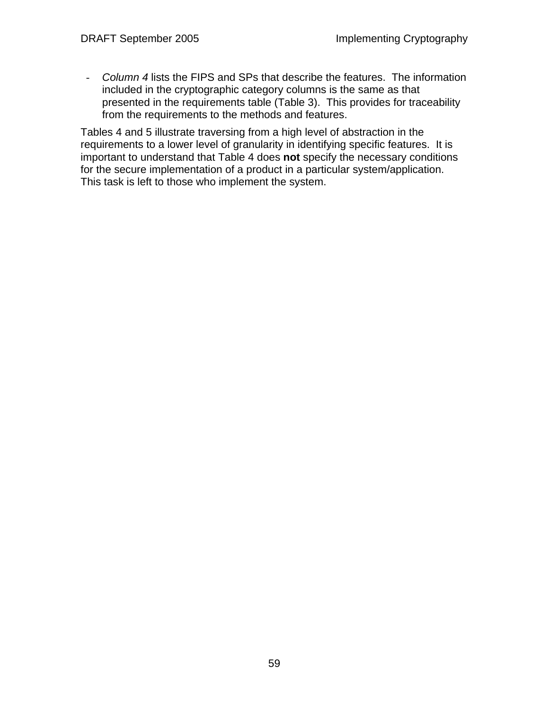- *Column 4* lists the FIPS and SPs that describe the features. The information included in the cryptographic category columns is the same as that presented in the requirements table (Table 3). This provides for traceability from the requirements to the methods and features.

Tables 4 and 5 illustrate traversing from a high level of abstraction in the requirements to a lower level of granularity in identifying specific features. It is important to understand that Table 4 does **not** specify the necessary conditions for the secure implementation of a product in a particular system/application. This task is left to those who implement the system.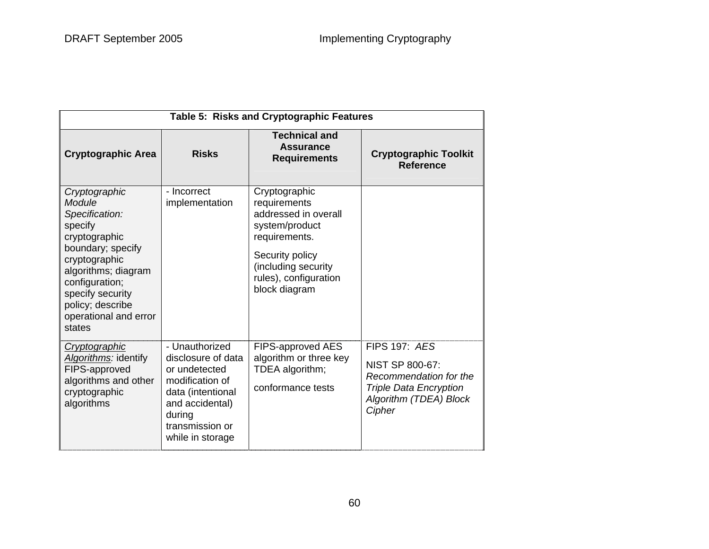| Table 5: Risks and Cryptographic Features                                                                                                                                                                                       |                                                                                                                                                                   |                                                                                                                                                                              |                                                                                                                                        |  |
|---------------------------------------------------------------------------------------------------------------------------------------------------------------------------------------------------------------------------------|-------------------------------------------------------------------------------------------------------------------------------------------------------------------|------------------------------------------------------------------------------------------------------------------------------------------------------------------------------|----------------------------------------------------------------------------------------------------------------------------------------|--|
| <b>Cryptographic Area</b>                                                                                                                                                                                                       | <b>Risks</b>                                                                                                                                                      | <b>Technical and</b><br><b>Assurance</b><br><b>Requirements</b>                                                                                                              | <b>Cryptographic Toolkit</b><br><b>Reference</b>                                                                                       |  |
| Cryptographic<br>Module<br>Specification:<br>specify<br>cryptographic<br>boundary; specify<br>cryptographic<br>algorithms; diagram<br>configuration;<br>specify security<br>policy; describe<br>operational and error<br>states | - Incorrect<br>implementation                                                                                                                                     | Cryptographic<br>requirements<br>addressed in overall<br>system/product<br>requirements.<br>Security policy<br>(including security<br>rules), configuration<br>block diagram |                                                                                                                                        |  |
| Cryptographic<br>Algorithms: identify<br>FIPS-approved<br>algorithms and other<br>cryptographic<br>algorithms                                                                                                                   | - Unauthorized<br>disclosure of data<br>or undetected<br>modification of<br>data (intentional<br>and accidental)<br>during<br>transmission or<br>while in storage | FIPS-approved AES<br>algorithm or three key<br>TDEA algorithm;<br>conformance tests                                                                                          | <b>FIPS 197: AES</b><br>NIST SP 800-67:<br>Recommendation for the<br><b>Triple Data Encryption</b><br>Algorithm (TDEA) Block<br>Cipher |  |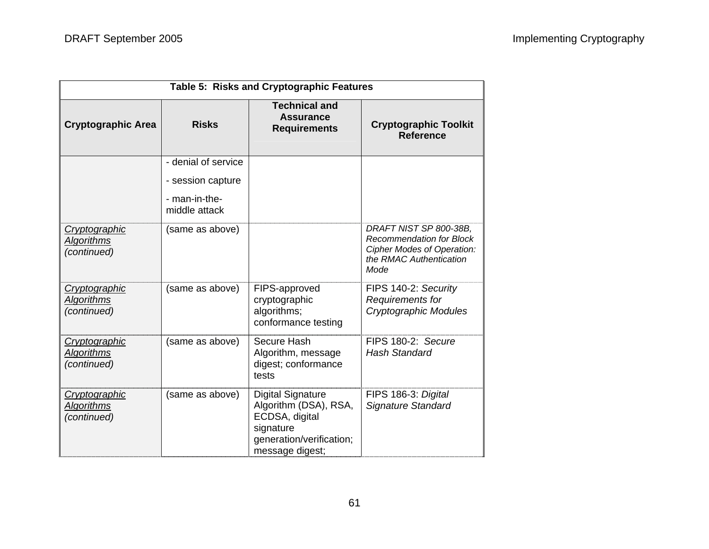| Table 5: Risks and Cryptographic Features         |                                                                            |                                                                                                                                 |                                                                                                                                   |
|---------------------------------------------------|----------------------------------------------------------------------------|---------------------------------------------------------------------------------------------------------------------------------|-----------------------------------------------------------------------------------------------------------------------------------|
| <b>Cryptographic Area</b>                         | <b>Risks</b>                                                               | <b>Technical and</b><br><b>Assurance</b><br><b>Requirements</b>                                                                 | <b>Cryptographic Toolkit</b><br><b>Reference</b>                                                                                  |
|                                                   | - denial of service<br>- session capture<br>- man-in-the-<br>middle attack |                                                                                                                                 |                                                                                                                                   |
| Cryptographic<br><b>Algorithms</b><br>(continued) | (same as above)                                                            |                                                                                                                                 | DRAFT NIST SP 800-38B,<br><b>Recommendation for Block</b><br><b>Cipher Modes of Operation:</b><br>the RMAC Authentication<br>Mode |
| Cryptographic<br><b>Algorithms</b><br>(continued) | (same as above)                                                            | FIPS-approved<br>cryptographic<br>algorithms;<br>conformance testing                                                            | FIPS 140-2: Security<br>Requirements for<br><b>Cryptographic Modules</b>                                                          |
| Cryptographic<br><b>Algorithms</b><br>(continued) | (same as above)                                                            | Secure Hash<br>Algorithm, message<br>digest; conformance<br>tests                                                               | FIPS 180-2: Secure<br><b>Hash Standard</b>                                                                                        |
| Cryptographic<br><b>Algorithms</b><br>(continued) | (same as above)                                                            | <b>Digital Signature</b><br>Algorithm (DSA), RSA,<br>ECDSA, digital<br>signature<br>generation/verification;<br>message digest; | FIPS 186-3: Digital<br>Signature Standard                                                                                         |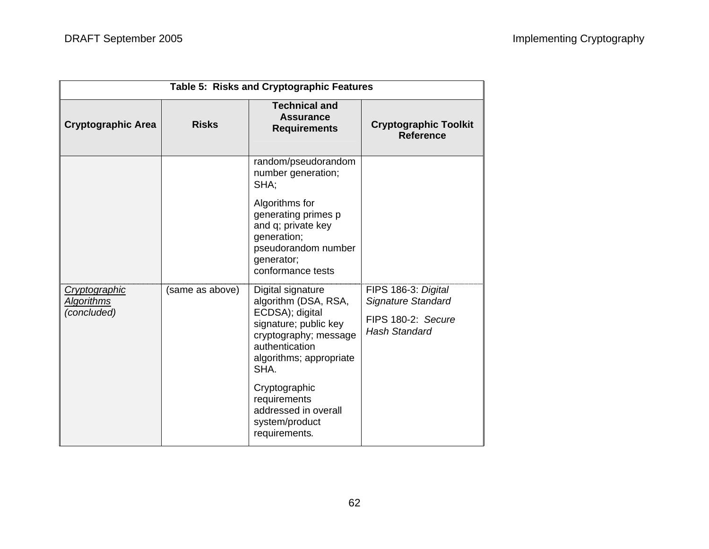| Table 5: Risks and Cryptographic Features                |                 |                                                                                                                                                                     |                                                                                         |  |
|----------------------------------------------------------|-----------------|---------------------------------------------------------------------------------------------------------------------------------------------------------------------|-----------------------------------------------------------------------------------------|--|
| <b>Cryptographic Area</b>                                | <b>Risks</b>    | <b>Technical and</b><br><b>Assurance</b><br><b>Requirements</b>                                                                                                     | <b>Cryptographic Toolkit</b><br><b>Reference</b>                                        |  |
|                                                          |                 | random/pseudorandom<br>number generation;<br>SHA:<br>Algorithms for                                                                                                 |                                                                                         |  |
|                                                          |                 | generating primes p<br>and q; private key<br>generation;<br>pseudorandom number<br>generator;<br>conformance tests                                                  |                                                                                         |  |
| <b>Cryptographic</b><br><u>Algorithms</u><br>(concluded) | (same as above) | Digital signature<br>algorithm (DSA, RSA,<br>ECDSA); digital<br>signature; public key<br>cryptography; message<br>authentication<br>algorithms; appropriate<br>SHA. | FIPS 186-3: Digital<br>Signature Standard<br>FIPS 180-2: Secure<br><b>Hash Standard</b> |  |
|                                                          |                 | Cryptographic<br>requirements<br>addressed in overall<br>system/product<br>requirements.                                                                            |                                                                                         |  |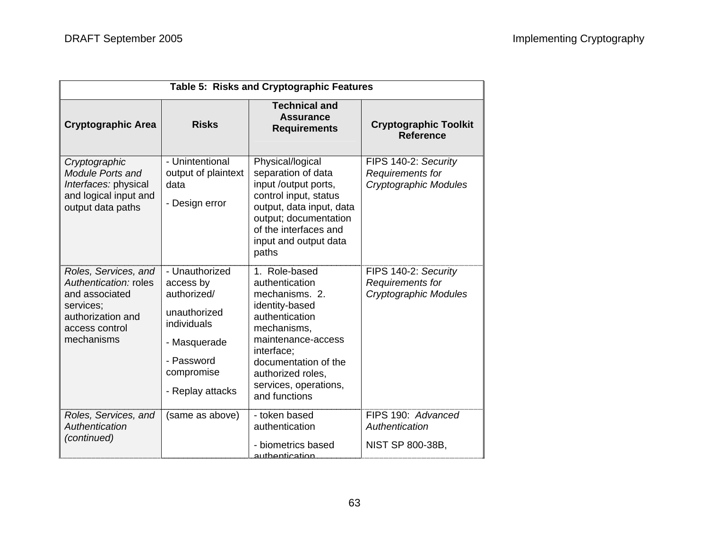| Table 5: Risks and Cryptographic Features                                                                                         |                                                                                                                                           |                                                                                                                                                                                                                                 |                                                                          |
|-----------------------------------------------------------------------------------------------------------------------------------|-------------------------------------------------------------------------------------------------------------------------------------------|---------------------------------------------------------------------------------------------------------------------------------------------------------------------------------------------------------------------------------|--------------------------------------------------------------------------|
| <b>Cryptographic Area</b>                                                                                                         | <b>Risks</b>                                                                                                                              | <b>Technical and</b><br><b>Assurance</b><br><b>Requirements</b>                                                                                                                                                                 | <b>Cryptographic Toolkit</b><br><b>Reference</b>                         |
| Cryptographic<br><b>Module Ports and</b><br>Interfaces: physical<br>and logical input and<br>output data paths                    | - Unintentional<br>output of plaintext<br>data<br>- Design error                                                                          | Physical/logical<br>separation of data<br>input /output ports,<br>control input, status<br>output, data input, data<br>output; documentation<br>of the interfaces and<br>input and output data<br>paths                         | FIPS 140-2: Security<br>Requirements for<br>Cryptographic Modules        |
| Roles, Services, and<br>Authentication: roles<br>and associated<br>services;<br>authorization and<br>access control<br>mechanisms | - Unauthorized<br>access by<br>authorized/<br>unauthorized<br>individuals<br>- Masquerade<br>- Password<br>compromise<br>- Replay attacks | 1. Role-based<br>authentication<br>mechanisms. 2.<br>identity-based<br>authentication<br>mechanisms,<br>maintenance-access<br>interface;<br>documentation of the<br>authorized roles,<br>services, operations,<br>and functions | FIPS 140-2: Security<br>Requirements for<br><b>Cryptographic Modules</b> |
| Roles, Services, and<br>Authentication<br>(continued)                                                                             | (same as above)                                                                                                                           | - token based<br>authentication<br>- biometrics based<br>authontication                                                                                                                                                         | FIPS 190: Advanced<br>Authentication<br>NIST SP 800-38B,                 |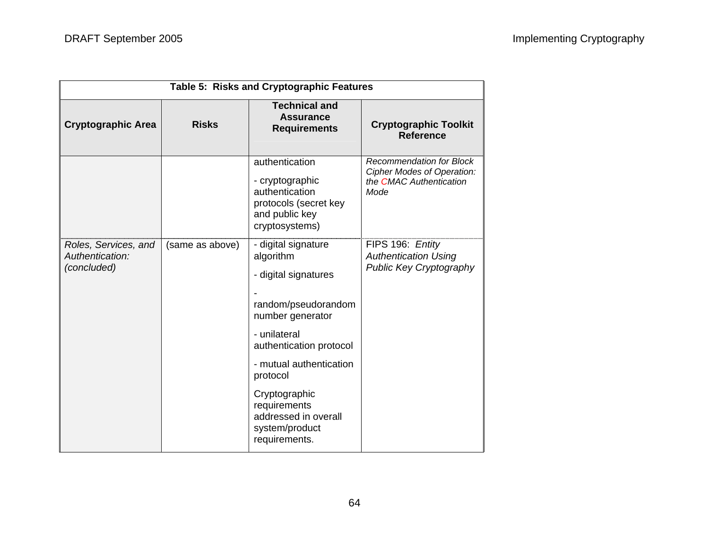| Table 5: Risks and Cryptographic Features              |                 |                                                                                                                                                                                                                                                                                   |                                                                                                         |
|--------------------------------------------------------|-----------------|-----------------------------------------------------------------------------------------------------------------------------------------------------------------------------------------------------------------------------------------------------------------------------------|---------------------------------------------------------------------------------------------------------|
| <b>Cryptographic Area</b>                              | <b>Risks</b>    | <b>Technical and</b><br><b>Assurance</b><br><b>Requirements</b>                                                                                                                                                                                                                   | <b>Cryptographic Toolkit</b><br><b>Reference</b>                                                        |
|                                                        |                 | authentication<br>- cryptographic<br>authentication<br>protocols (secret key<br>and public key<br>cryptosystems)                                                                                                                                                                  | <b>Recommendation for Block</b><br><b>Cipher Modes of Operation:</b><br>the CMAC Authentication<br>Mode |
| Roles, Services, and<br>Authentication:<br>(concluded) | (same as above) | - digital signature<br>algorithm<br>- digital signatures<br>random/pseudorandom<br>number generator<br>- unilateral<br>authentication protocol<br>- mutual authentication<br>protocol<br>Cryptographic<br>requirements<br>addressed in overall<br>system/product<br>requirements. | FIPS 196: Entity<br><b>Authentication Using</b><br><b>Public Key Cryptography</b>                       |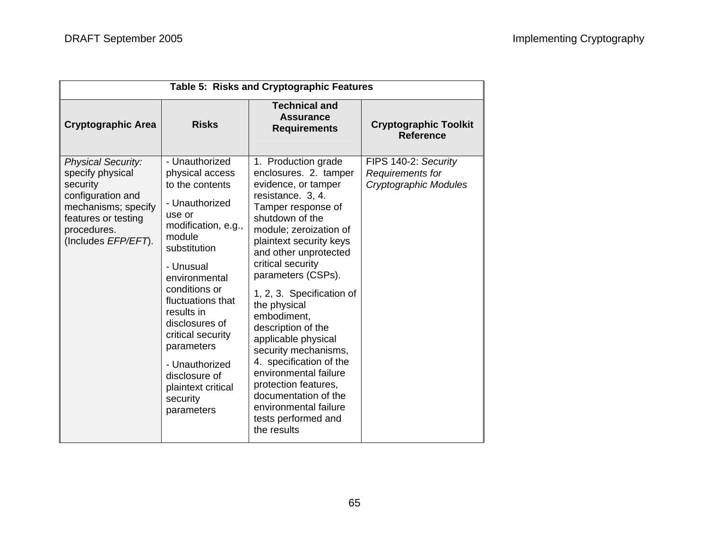| Table 5: Risks and Cryptographic Features                                                                                                                          |                                                                                                                                                                                                                                                                                                                                                             |                                                                                                                                                                                                                                                                                                                                                                                                                                                                                                                                                                |                                                                   |
|--------------------------------------------------------------------------------------------------------------------------------------------------------------------|-------------------------------------------------------------------------------------------------------------------------------------------------------------------------------------------------------------------------------------------------------------------------------------------------------------------------------------------------------------|----------------------------------------------------------------------------------------------------------------------------------------------------------------------------------------------------------------------------------------------------------------------------------------------------------------------------------------------------------------------------------------------------------------------------------------------------------------------------------------------------------------------------------------------------------------|-------------------------------------------------------------------|
| <b>Cryptographic Area</b>                                                                                                                                          | <b>Risks</b>                                                                                                                                                                                                                                                                                                                                                | <b>Technical and</b><br><b>Assurance</b><br><b>Requirements</b>                                                                                                                                                                                                                                                                                                                                                                                                                                                                                                | <b>Cryptographic Toolkit</b><br><b>Reference</b>                  |
| <b>Physical Security:</b><br>specify physical<br>security<br>configuration and<br>mechanisms; specify<br>features or testing<br>procedures.<br>(Includes EFP/EFT). | - Unauthorized<br>physical access<br>to the contents<br>- Unauthorized<br>use or<br>modification, e.g.,<br>module<br>substitution<br>- Unusual<br>environmental<br>conditions or<br>fluctuations that<br>results in<br>disclosures of<br>critical security<br>parameters<br>- Unauthorized<br>disclosure of<br>plaintext critical<br>security<br>parameters | 1. Production grade<br>enclosures. 2. tamper<br>evidence, or tamper<br>resistance. 3, 4.<br>Tamper response of<br>shutdown of the<br>module; zeroization of<br>plaintext security keys<br>and other unprotected<br>critical security<br>parameters (CSPs).<br>1, 2, 3. Specification of<br>the physical<br>embodiment,<br>description of the<br>applicable physical<br>security mechanisms,<br>4. specification of the<br>environmental failure<br>protection features,<br>documentation of the<br>environmental failure<br>tests performed and<br>the results | FIPS 140-2: Security<br>Requirements for<br>Cryptographic Modules |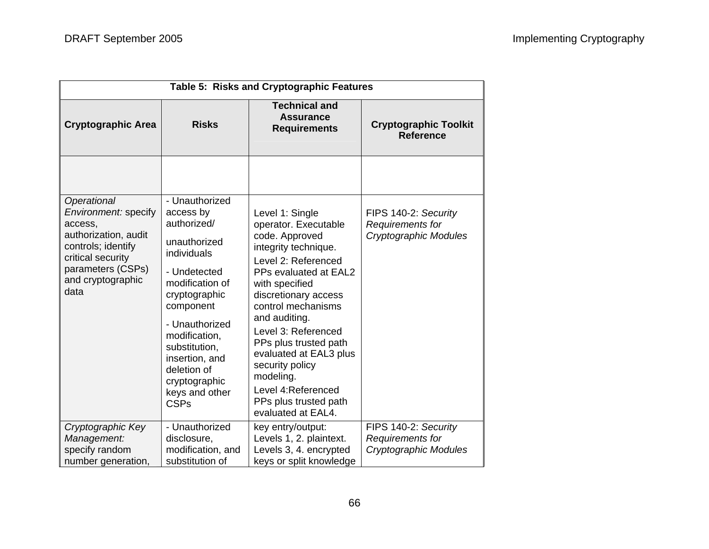| Table 5: Risks and Cryptographic Features                                                                                                                           |                                                                                                                                                                                                                                                                                   |                                                                                                                                                                                                                                                                                                                                                                                                    |                                                                          |
|---------------------------------------------------------------------------------------------------------------------------------------------------------------------|-----------------------------------------------------------------------------------------------------------------------------------------------------------------------------------------------------------------------------------------------------------------------------------|----------------------------------------------------------------------------------------------------------------------------------------------------------------------------------------------------------------------------------------------------------------------------------------------------------------------------------------------------------------------------------------------------|--------------------------------------------------------------------------|
| <b>Cryptographic Area</b>                                                                                                                                           | <b>Risks</b>                                                                                                                                                                                                                                                                      | <b>Technical and</b><br><b>Assurance</b><br><b>Requirements</b>                                                                                                                                                                                                                                                                                                                                    | <b>Cryptographic Toolkit</b><br><b>Reference</b>                         |
|                                                                                                                                                                     |                                                                                                                                                                                                                                                                                   |                                                                                                                                                                                                                                                                                                                                                                                                    |                                                                          |
| Operational<br>Environment: specify<br>access,<br>authorization, audit<br>controls; identify<br>critical security<br>parameters (CSPs)<br>and cryptographic<br>data | - Unauthorized<br>access by<br>authorized/<br>unauthorized<br>individuals<br>- Undetected<br>modification of<br>cryptographic<br>component<br>- Unauthorized<br>modification,<br>substitution,<br>insertion, and<br>deletion of<br>cryptographic<br>keys and other<br><b>CSPs</b> | Level 1: Single<br>operator. Executable<br>code. Approved<br>integrity technique.<br>Level 2: Referenced<br>PPs evaluated at EAL2<br>with specified<br>discretionary access<br>control mechanisms<br>and auditing.<br>Level 3: Referenced<br>PPs plus trusted path<br>evaluated at EAL3 plus<br>security policy<br>modeling.<br>Level 4: Referenced<br>PPs plus trusted path<br>evaluated at EAL4. | FIPS 140-2: Security<br>Requirements for<br><b>Cryptographic Modules</b> |
| Cryptographic Key<br>Management:<br>specify random<br>number generation,                                                                                            | - Unauthorized<br>disclosure,<br>modification, and<br>substitution of                                                                                                                                                                                                             | key entry/output:<br>Levels 1, 2. plaintext.<br>Levels 3, 4. encrypted<br>keys or split knowledge                                                                                                                                                                                                                                                                                                  | FIPS 140-2: Security<br>Requirements for<br>Cryptographic Modules        |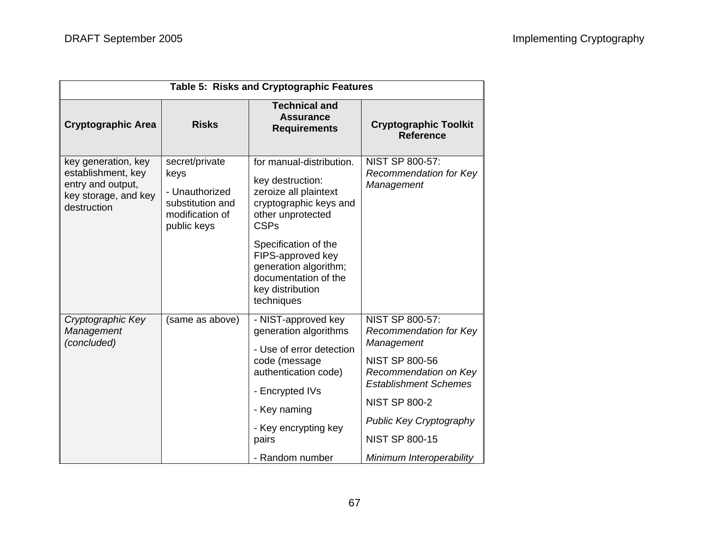| Table 5: Risks and Cryptographic Features                                                             |                                                                                                |                                                                                                                                                                                       |                                                                                                                                                                                                                       |
|-------------------------------------------------------------------------------------------------------|------------------------------------------------------------------------------------------------|---------------------------------------------------------------------------------------------------------------------------------------------------------------------------------------|-----------------------------------------------------------------------------------------------------------------------------------------------------------------------------------------------------------------------|
| <b>Cryptographic Area</b>                                                                             | <b>Risks</b>                                                                                   | <b>Technical and</b><br><b>Assurance</b><br><b>Requirements</b>                                                                                                                       | <b>Cryptographic Toolkit</b><br><b>Reference</b>                                                                                                                                                                      |
| key generation, key<br>establishment, key<br>entry and output,<br>key storage, and key<br>destruction | secret/private<br>keys<br>- Unauthorized<br>substitution and<br>modification of<br>public keys | for manual-distribution.<br>key destruction:<br>zeroize all plaintext<br>cryptographic keys and<br>other unprotected<br><b>CSPs</b>                                                   | <b>NIST SP 800-57:</b><br>Recommendation for Key<br>Management                                                                                                                                                        |
|                                                                                                       |                                                                                                | Specification of the<br>FIPS-approved key<br>generation algorithm;<br>documentation of the<br>key distribution<br>techniques                                                          |                                                                                                                                                                                                                       |
| Cryptographic Key<br>Management<br>(concluded)                                                        | (same as above)                                                                                | - NIST-approved key<br>generation algorithms<br>- Use of error detection<br>code (message<br>authentication code)<br>- Encrypted IVs<br>- Key naming<br>- Key encrypting key<br>pairs | NIST SP 800-57:<br>Recommendation for Key<br>Management<br><b>NIST SP 800-56</b><br>Recommendation on Key<br><b>Establishment Schemes</b><br><b>NIST SP 800-2</b><br>Public Key Cryptography<br><b>NIST SP 800-15</b> |
|                                                                                                       |                                                                                                | - Random number                                                                                                                                                                       | Minimum Interoperability                                                                                                                                                                                              |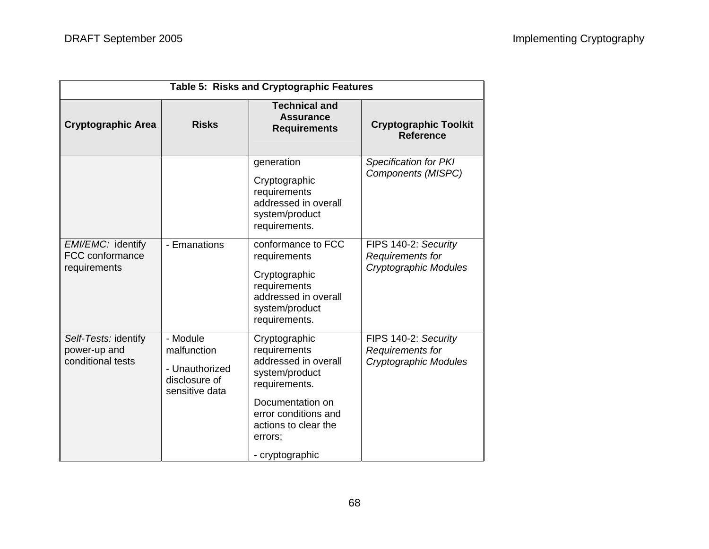| Table 5: Risks and Cryptographic Features                 |                                                                              |                                                                                                                                                                         |                                                                   |
|-----------------------------------------------------------|------------------------------------------------------------------------------|-------------------------------------------------------------------------------------------------------------------------------------------------------------------------|-------------------------------------------------------------------|
| <b>Cryptographic Area</b>                                 | <b>Risks</b>                                                                 | <b>Technical and</b><br><b>Assurance</b><br><b>Requirements</b>                                                                                                         | <b>Cryptographic Toolkit</b><br><b>Reference</b>                  |
|                                                           |                                                                              | generation<br>Cryptographic<br>requirements<br>addressed in overall<br>system/product<br>requirements.                                                                  | <b>Specification for PKI</b><br>Components (MISPC)                |
| EMI/EMC: identify<br>FCC conformance<br>requirements      | - Emanations                                                                 | conformance to FCC<br>requirements<br>Cryptographic<br>requirements<br>addressed in overall<br>system/product<br>requirements.                                          | FIPS 140-2: Security<br>Requirements for<br>Cryptographic Modules |
| Self-Tests: identify<br>power-up and<br>conditional tests | - Module<br>malfunction<br>- Unauthorized<br>disclosure of<br>sensitive data | Cryptographic<br>requirements<br>addressed in overall<br>system/product<br>requirements.<br>Documentation on<br>error conditions and<br>actions to clear the<br>errors; | FIPS 140-2: Security<br>Requirements for<br>Cryptographic Modules |
|                                                           |                                                                              | - cryptographic                                                                                                                                                         |                                                                   |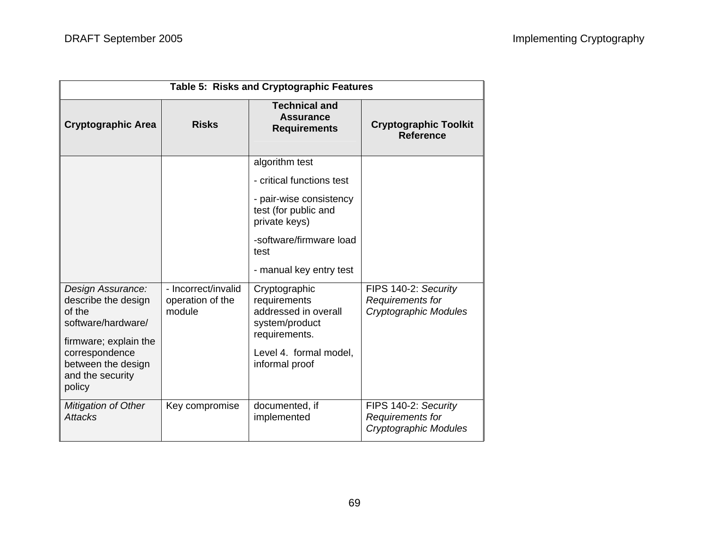| Table 5: Risks and Cryptographic Features                                                                                                                               |                                                   |                                                                                                                                                                                                                                                                                                                       |                                                                   |
|-------------------------------------------------------------------------------------------------------------------------------------------------------------------------|---------------------------------------------------|-----------------------------------------------------------------------------------------------------------------------------------------------------------------------------------------------------------------------------------------------------------------------------------------------------------------------|-------------------------------------------------------------------|
| <b>Cryptographic Area</b>                                                                                                                                               | <b>Risks</b>                                      | <b>Technical and</b><br><b>Assurance</b><br><b>Requirements</b>                                                                                                                                                                                                                                                       | <b>Cryptographic Toolkit</b><br><b>Reference</b>                  |
| Design Assurance:<br>describe the design<br>of the<br>software/hardware/<br>firmware; explain the<br>correspondence<br>between the design<br>and the security<br>policy | - Incorrect/invalid<br>operation of the<br>module | algorithm test<br>- critical functions test<br>- pair-wise consistency<br>test (for public and<br>private keys)<br>-software/firmware load<br>test<br>- manual key entry test<br>Cryptographic<br>requirements<br>addressed in overall<br>system/product<br>requirements.<br>Level 4. formal model,<br>informal proof | FIPS 140-2: Security<br>Requirements for<br>Cryptographic Modules |
| <b>Mitigation of Other</b><br><b>Attacks</b>                                                                                                                            | Key compromise                                    | documented, if<br>implemented                                                                                                                                                                                                                                                                                         | FIPS 140-2: Security<br>Requirements for<br>Cryptographic Modules |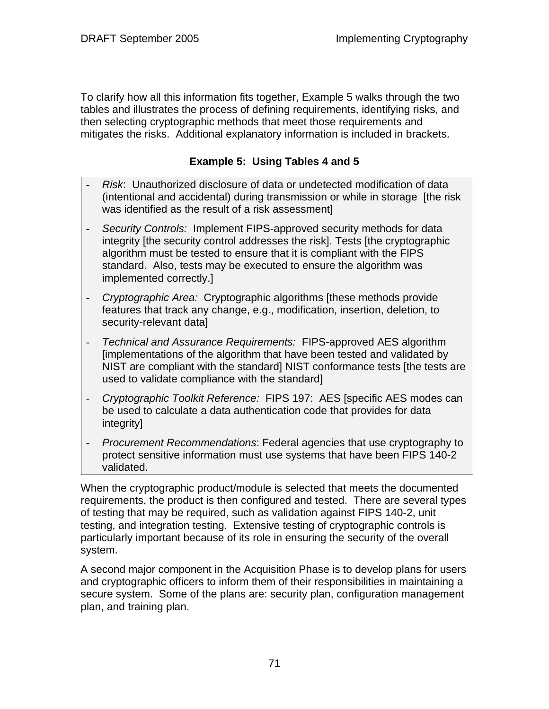To clarify how all this information fits together, Example 5 walks through the two tables and illustrates the process of defining requirements, identifying risks, and then selecting cryptographic methods that meet those requirements and mitigates the risks. Additional explanatory information is included in brackets.

## **Example 5: Using Tables 4 and 5**

- *Risk*: Unauthorized disclosure of data or undetected modification of data (intentional and accidental) during transmission or while in storage [the risk was identified as the result of a risk assessment]
- *Security Controls:* Implement FIPS-approved security methods for data integrity [the security control addresses the risk]. Tests [the cryptographic algorithm must be tested to ensure that it is compliant with the FIPS standard. Also, tests may be executed to ensure the algorithm was implemented correctly.]
- *Cryptographic Area:* Cryptographic algorithms [these methods provide features that track any change, e.g., modification, insertion, deletion, to security-relevant data]
- *Technical and Assurance Requirements:* FIPS-approved AES algorithm [implementations of the algorithm that have been tested and validated by NIST are compliant with the standard] NIST conformance tests [the tests are used to validate compliance with the standard]
- *Cryptographic Toolkit Reference:* FIPS 197: AES [specific AES modes can be used to calculate a data authentication code that provides for data integrity]
- *Procurement Recommendations*: Federal agencies that use cryptography to protect sensitive information must use systems that have been FIPS 140-2 validated.

When the cryptographic product/module is selected that meets the documented requirements, the product is then configured and tested. There are several types of testing that may be required, such as validation against FIPS 140-2, unit testing, and integration testing. Extensive testing of cryptographic controls is particularly important because of its role in ensuring the security of the overall system.

A second major component in the Acquisition Phase is to develop plans for users and cryptographic officers to inform them of their responsibilities in maintaining a secure system. Some of the plans are: security plan, configuration management plan, and training plan.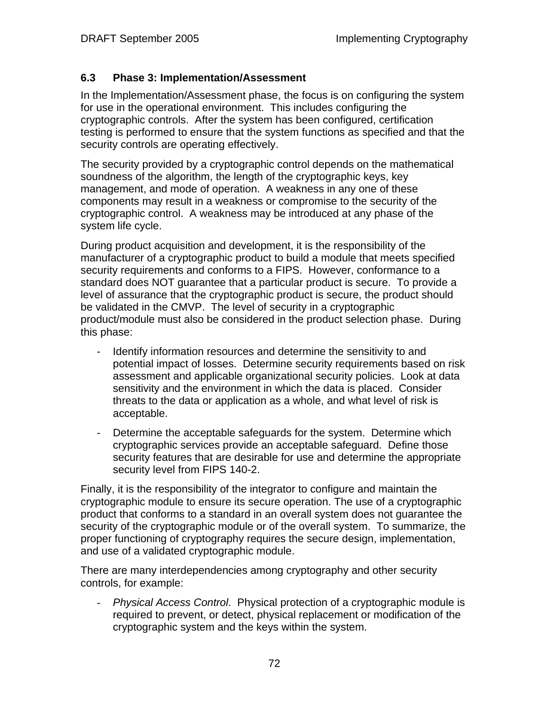#### **6.3 Phase 3: Implementation/Assessment**

In the Implementation/Assessment phase, the focus is on configuring the system for use in the operational environment. This includes configuring the cryptographic controls. After the system has been configured, certification testing is performed to ensure that the system functions as specified and that the security controls are operating effectively.

The security provided by a cryptographic control depends on the mathematical soundness of the algorithm, the length of the cryptographic keys, key management, and mode of operation. A weakness in any one of these components may result in a weakness or compromise to the security of the cryptographic control. A weakness may be introduced at any phase of the system life cycle.

During product acquisition and development, it is the responsibility of the manufacturer of a cryptographic product to build a module that meets specified security requirements and conforms to a FIPS. However, conformance to a standard does NOT guarantee that a particular product is secure. To provide a level of assurance that the cryptographic product is secure, the product should be validated in the CMVP. The level of security in a cryptographic product/module must also be considered in the product selection phase. During this phase:

- Identify information resources and determine the sensitivity to and potential impact of losses. Determine security requirements based on risk assessment and applicable organizational security policies. Look at data sensitivity and the environment in which the data is placed. Consider threats to the data or application as a whole, and what level of risk is acceptable.
- Determine the acceptable safeguards for the system. Determine which cryptographic services provide an acceptable safeguard. Define those security features that are desirable for use and determine the appropriate security level from FIPS 140-2.

Finally, it is the responsibility of the integrator to configure and maintain the cryptographic module to ensure its secure operation. The use of a cryptographic product that conforms to a standard in an overall system does not guarantee the security of the cryptographic module or of the overall system. To summarize, the proper functioning of cryptography requires the secure design, implementation, and use of a validated cryptographic module.

There are many interdependencies among cryptography and other security controls, for example:

- *Physical Access Control*. Physical protection of a cryptographic module is required to prevent, or detect, physical replacement or modification of the cryptographic system and the keys within the system.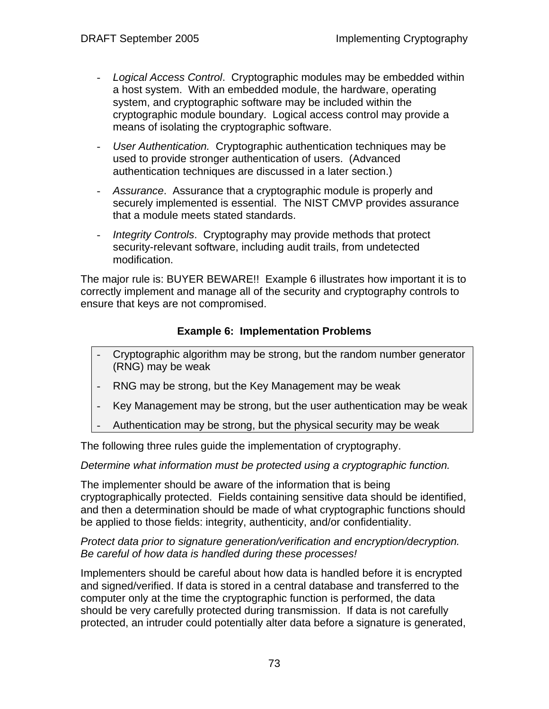- *Logical Access Control*. Cryptographic modules may be embedded within a host system. With an embedded module, the hardware, operating system, and cryptographic software may be included within the cryptographic module boundary. Logical access control may provide a means of isolating the cryptographic software.
- *User Authentication.* Cryptographic authentication techniques may be used to provide stronger authentication of users. (Advanced authentication techniques are discussed in a later section.)
- *Assurance*. Assurance that a cryptographic module is properly and securely implemented is essential. The NIST CMVP provides assurance that a module meets stated standards.
- *Integrity Controls*. Cryptography may provide methods that protect security-relevant software, including audit trails, from undetected modification.

The major rule is: BUYER BEWARE!! Example 6 illustrates how important it is to correctly implement and manage all of the security and cryptography controls to ensure that keys are not compromised.

#### **Example 6: Implementation Problems**

- Cryptographic algorithm may be strong, but the random number generator (RNG) may be weak
- RNG may be strong, but the Key Management may be weak
- Key Management may be strong, but the user authentication may be weak
- Authentication may be strong, but the physical security may be weak

The following three rules guide the implementation of cryptography.

*Determine what information must be protected using a cryptographic function.*

The implementer should be aware of the information that is being cryptographically protected. Fields containing sensitive data should be identified, and then a determination should be made of what cryptographic functions should be applied to those fields: integrity, authenticity, and/or confidentiality.

#### *Protect data prior to signature generation/verification and encryption/decryption. Be careful of how data is handled during these processes!*

Implementers should be careful about how data is handled before it is encrypted and signed/verified. If data is stored in a central database and transferred to the computer only at the time the cryptographic function is performed, the data should be very carefully protected during transmission. If data is not carefully protected, an intruder could potentially alter data before a signature is generated,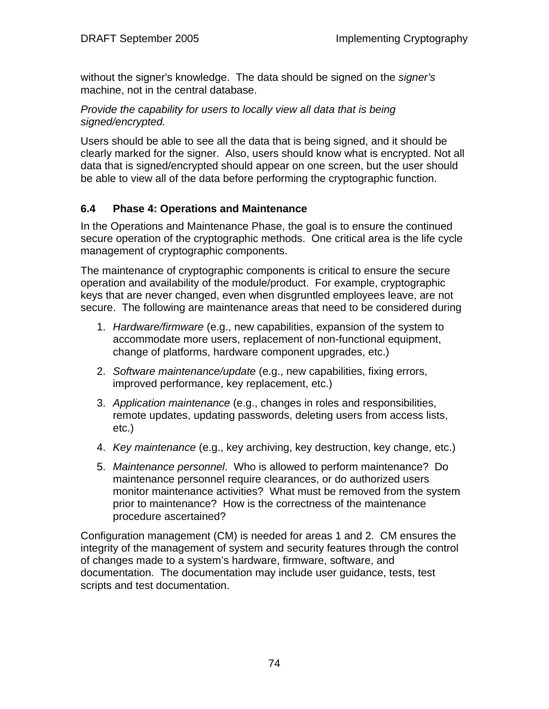without the signer's knowledge. The data should be signed on the *signer's* machine, not in the central database.

*Provide the capability for users to locally view all data that is being signed/encrypted.*

Users should be able to see all the data that is being signed, and it should be clearly marked for the signer. Also, users should know what is encrypted. Not all data that is signed/encrypted should appear on one screen, but the user should be able to view all of the data before performing the cryptographic function.

## **6.4 Phase 4: Operations and Maintenance**

In the Operations and Maintenance Phase, the goal is to ensure the continued secure operation of the cryptographic methods. One critical area is the life cycle management of cryptographic components.

The maintenance of cryptographic components is critical to ensure the secure operation and availability of the module/product. For example, cryptographic keys that are never changed, even when disgruntled employees leave, are not secure. The following are maintenance areas that need to be considered during

- 1. *Hardware/firmware* (e.g., new capabilities, expansion of the system to accommodate more users, replacement of non-functional equipment, change of platforms, hardware component upgrades, etc.)
- 2. *Software maintenance/update* (e.g., new capabilities, fixing errors, improved performance, key replacement, etc.)
- 3. *Application maintenance* (e.g., changes in roles and responsibilities, remote updates, updating passwords, deleting users from access lists, etc.)
- 4. *Key maintenance* (e.g., key archiving, key destruction, key change, etc.)
- 5. *Maintenance personnel*. Who is allowed to perform maintenance? Do maintenance personnel require clearances, or do authorized users monitor maintenance activities? What must be removed from the system prior to maintenance? How is the correctness of the maintenance procedure ascertained?

Configuration management (CM) is needed for areas 1 and 2. CM ensures the integrity of the management of system and security features through the control of changes made to a system's hardware, firmware, software, and documentation. The documentation may include user guidance, tests, test scripts and test documentation.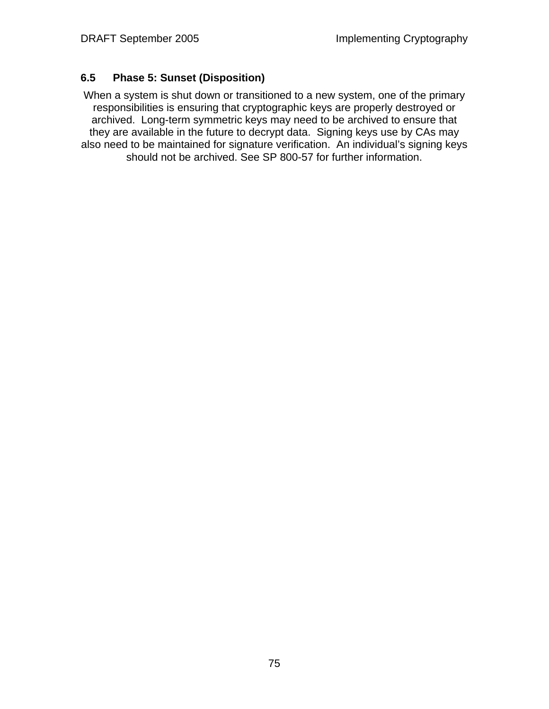## **6.5 Phase 5: Sunset (Disposition)**

When a system is shut down or transitioned to a new system, one of the primary responsibilities is ensuring that cryptographic keys are properly destroyed or archived. Long-term symmetric keys may need to be archived to ensure that they are available in the future to decrypt data. Signing keys use by CAs may also need to be maintained for signature verification. An individual's signing keys should not be archived. See SP 800-57 for further information.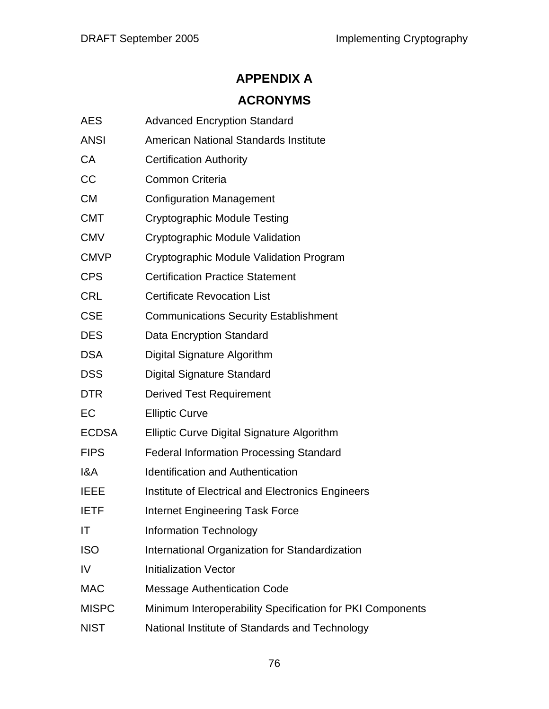# **APPENDIX A**

## **ACRONYMS**

| AES | <b>Advanced Encryption Standard</b> |  |
|-----|-------------------------------------|--|
|     |                                     |  |

- ANSI American National Standards Institute
- CA Certification Authority
- CC Common Criteria
- CM Configuration Management
- CMT Cryptographic Module Testing
- CMV Cryptographic Module Validation
- CMVP Cryptographic Module Validation Program
- CPS Certification Practice Statement
- CRL Certificate Revocation List
- CSE Communications Security Establishment
- DES Data Encryption Standard
- DSA Digital Signature Algorithm
- DSS Digital Signature Standard
- DTR Derived Test Requirement
- EC Elliptic Curve
- ECDSA Elliptic Curve Digital Signature Algorithm
- FIPS Federal Information Processing Standard
- I&A Identification and Authentication
- IEEE Institute of Electrical and Electronics Engineers
- **IETF** Internet Engineering Task Force
- IT Information Technology
- ISO International Organization for Standardization
- IV Initialization Vector
- MAC Message Authentication Code
- MISPC Minimum Interoperability Specification for PKI Components
- NIST National Institute of Standards and Technology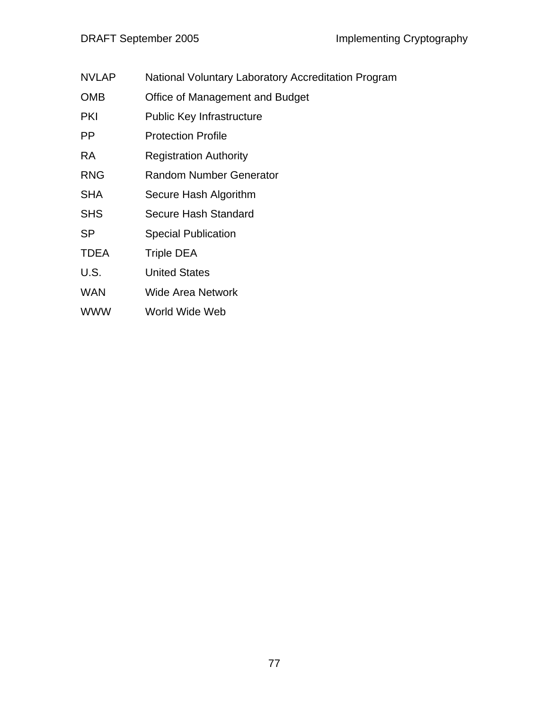- NVLAP National Voluntary Laboratory Accreditation Program
- OMB Office of Management and Budget
- PKI Public Key Infrastructure
- PP Protection Profile
- RA Registration Authority
- RNG Random Number Generator
- SHA Secure Hash Algorithm
- SHS Secure Hash Standard
- SP Special Publication
- TDEA Triple DEA
- U.S. United States
- WAN Wide Area Network
- WWW World Wide Web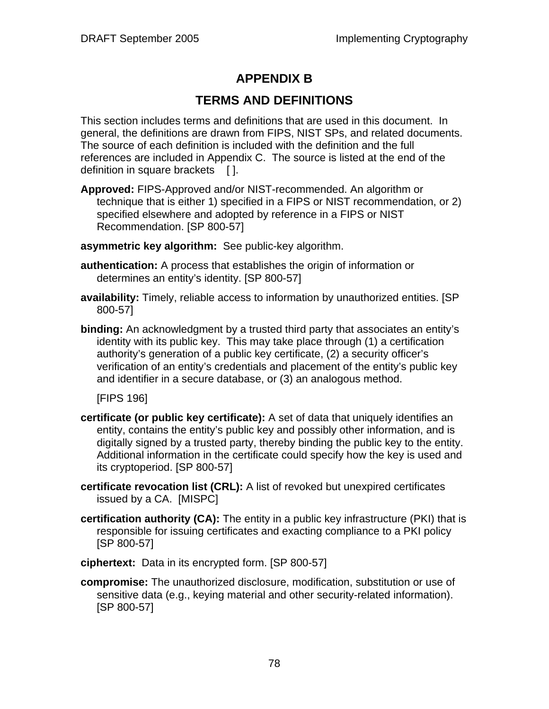# **APPENDIX B**

## **TERMS AND DEFINITIONS**

This section includes terms and definitions that are used in this document. In general, the definitions are drawn from FIPS, NIST SPs, and related documents. The source of each definition is included with the definition and the full references are included in Appendix C. The source is listed at the end of the definition in square brackets [ ].

- **Approved:** FIPS-Approved and/or NIST-recommended. An algorithm or technique that is either 1) specified in a FIPS or NIST recommendation, or 2) specified elsewhere and adopted by reference in a FIPS or NIST Recommendation. [SP 800-57]
- **asymmetric key algorithm:** See public-key algorithm.
- **authentication:** A process that establishes the origin of information or determines an entity's identity. [SP 800-57]
- **availability:** Timely, reliable access to information by unauthorized entities. [SP 800-57]
- **binding:** An acknowledgment by a trusted third party that associates an entity's identity with its public key. This may take place through (1) a certification authority's generation of a public key certificate, (2) a security officer's verification of an entity's credentials and placement of the entity's public key and identifier in a secure database, or (3) an analogous method.

[FIPS 196]

- **certificate (or public key certificate):** A set of data that uniquely identifies an entity, contains the entity's public key and possibly other information, and is digitally signed by a trusted party, thereby binding the public key to the entity. Additional information in the certificate could specify how the key is used and its cryptoperiod. [SP 800-57]
- **certificate revocation list (CRL):** A list of revoked but unexpired certificates issued by a CA. [MISPC]
- **certification authority (CA):** The entity in a public key infrastructure (PKI) that is responsible for issuing certificates and exacting compliance to a PKI policy [SP 800-57]
- **ciphertext:** Data in its encrypted form. [SP 800-57]
- **compromise:** The unauthorized disclosure, modification, substitution or use of sensitive data (e.g., keying material and other security-related information). [SP 800-57]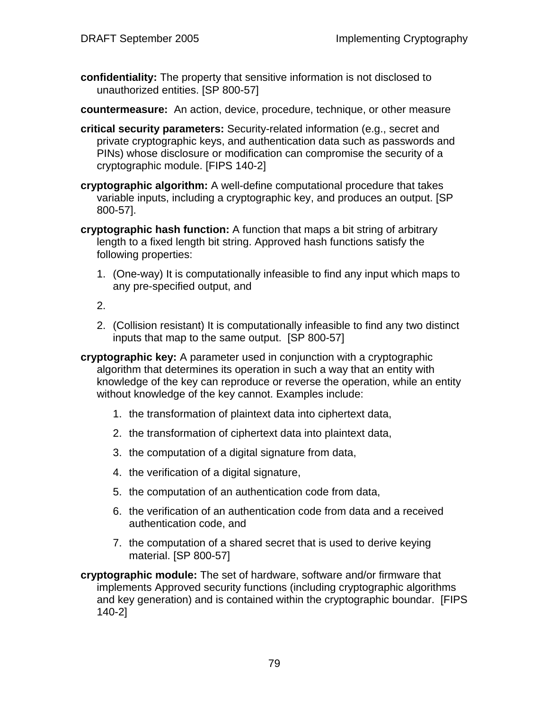- **confidentiality:** The property that sensitive information is not disclosed to unauthorized entities. [SP 800-57]
- **countermeasure:** An action, device, procedure, technique, or other measure
- **critical security parameters:** Security-related information (e.g., secret and private cryptographic keys, and authentication data such as passwords and PINs) whose disclosure or modification can compromise the security of a cryptographic module. [FIPS 140-2]
- **cryptographic algorithm:** A well-define computational procedure that takes variable inputs, including a cryptographic key, and produces an output. [SP 800-57].
- **cryptographic hash function:** A function that maps a bit string of arbitrary length to a fixed length bit string. Approved hash functions satisfy the following properties:
	- 1. (One-way) It is computationally infeasible to find any input which maps to any pre-specified output, and
	- 2.
	- 2. (Collision resistant) It is computationally infeasible to find any two distinct inputs that map to the same output. [SP 800-57]
- **cryptographic key:** A parameter used in conjunction with a cryptographic algorithm that determines its operation in such a way that an entity with knowledge of the key can reproduce or reverse the operation, while an entity without knowledge of the key cannot. Examples include:
	- 1. the transformation of plaintext data into ciphertext data,
	- 2. the transformation of ciphertext data into plaintext data,
	- 3. the computation of a digital signature from data,
	- 4. the verification of a digital signature,
	- 5. the computation of an authentication code from data,
	- 6. the verification of an authentication code from data and a received authentication code, and
	- 7. the computation of a shared secret that is used to derive keying material. [SP 800-57]
- **cryptographic module:** The set of hardware, software and/or firmware that implements Approved security functions (including cryptographic algorithms and key generation) and is contained within the cryptographic boundar. [FIPS 140-2]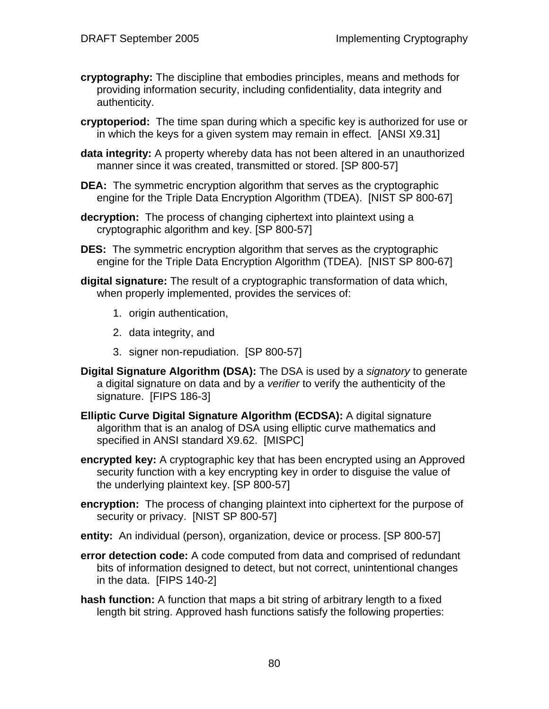- **cryptography:** The discipline that embodies principles, means and methods for providing information security, including confidentiality, data integrity and authenticity.
- **cryptoperiod:** The time span during which a specific key is authorized for use or in which the keys for a given system may remain in effect. [ANSI X9.31]
- **data integrity:** A property whereby data has not been altered in an unauthorized manner since it was created, transmitted or stored. [SP 800-57]
- **DEA:** The symmetric encryption algorithm that serves as the cryptographic engine for the Triple Data Encryption Algorithm (TDEA). [NIST SP 800-67]
- **decryption:** The process of changing ciphertext into plaintext using a cryptographic algorithm and key. [SP 800-57]
- **DES:** The symmetric encryption algorithm that serves as the cryptographic engine for the Triple Data Encryption Algorithm (TDEA). [NIST SP 800-67]
- **digital signature:** The result of a cryptographic transformation of data which, when properly implemented, provides the services of:
	- 1. origin authentication,
	- 2. data integrity, and
	- 3. signer non-repudiation. [SP 800-57]
- **Digital Signature Algorithm (DSA):** The DSA is used by a *signatory* to generate a digital signature on data and by a *verifier* to verify the authenticity of the signature. [FIPS 186-3]
- **Elliptic Curve Digital Signature Algorithm (ECDSA):** A digital signature algorithm that is an analog of DSA using elliptic curve mathematics and specified in ANSI standard X9.62. [MISPC]
- **encrypted key:** A cryptographic key that has been encrypted using an Approved security function with a key encrypting key in order to disguise the value of the underlying plaintext key. [SP 800-57]
- **encryption:** The process of changing plaintext into ciphertext for the purpose of security or privacy. [NIST SP 800-57]
- **entity:** An individual (person), organization, device or process. [SP 800-57]
- **error detection code:** A code computed from data and comprised of redundant bits of information designed to detect, but not correct, unintentional changes in the data. [FIPS 140-2]
- **hash function:** A function that maps a bit string of arbitrary length to a fixed length bit string. Approved hash functions satisfy the following properties: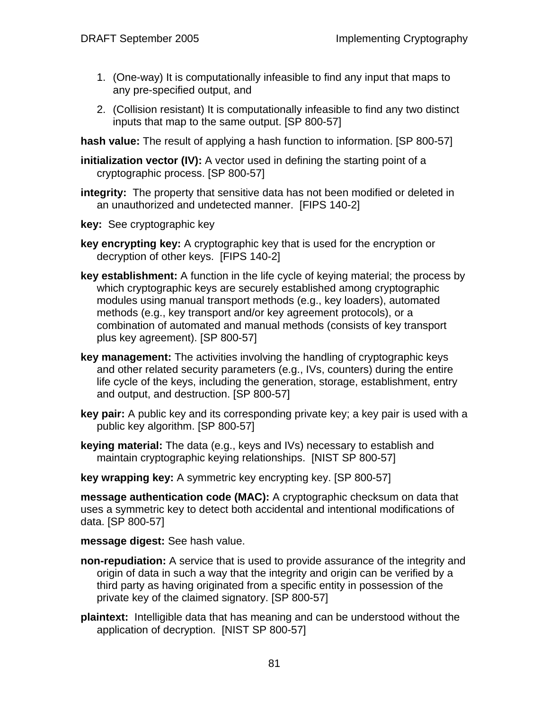- 1. (One-way) It is computationally infeasible to find any input that maps to any pre-specified output, and
- 2. (Collision resistant) It is computationally infeasible to find any two distinct inputs that map to the same output. [SP 800-57]

**hash value:** The result of applying a hash function to information. [SP 800-57]

- **initialization vector (IV):** A vector used in defining the starting point of a cryptographic process. [SP 800-57]
- **integrity:** The property that sensitive data has not been modified or deleted in an unauthorized and undetected manner. [FIPS 140-2]
- **key:** See cryptographic key
- **key encrypting key:** A cryptographic key that is used for the encryption or decryption of other keys. [FIPS 140-2]
- **key establishment:** A function in the life cycle of keying material; the process by which cryptographic keys are securely established among cryptographic modules using manual transport methods (e.g., key loaders), automated methods (e.g., key transport and/or key agreement protocols), or a combination of automated and manual methods (consists of key transport plus key agreement). [SP 800-57]
- **key management:** The activities involving the handling of cryptographic keys and other related security parameters (e.g., IVs, counters) during the entire life cycle of the keys, including the generation, storage, establishment, entry and output, and destruction. [SP 800-57]
- **key pair:** A public key and its corresponding private key; a key pair is used with a public key algorithm. [SP 800-57]
- **keying material:** The data (e.g., keys and IVs) necessary to establish and maintain cryptographic keying relationships. [NIST SP 800-57]

**key wrapping key:** A symmetric key encrypting key. [SP 800-57]

**message authentication code (MAC):** A cryptographic checksum on data that uses a symmetric key to detect both accidental and intentional modifications of data. [SP 800-57]

**message digest:** See hash value.

- **non-repudiation:** A service that is used to provide assurance of the integrity and origin of data in such a way that the integrity and origin can be verified by a third party as having originated from a specific entity in possession of the private key of the claimed signatory. [SP 800-57]
- **plaintext:** Intelligible data that has meaning and can be understood without the application of decryption. [NIST SP 800-57]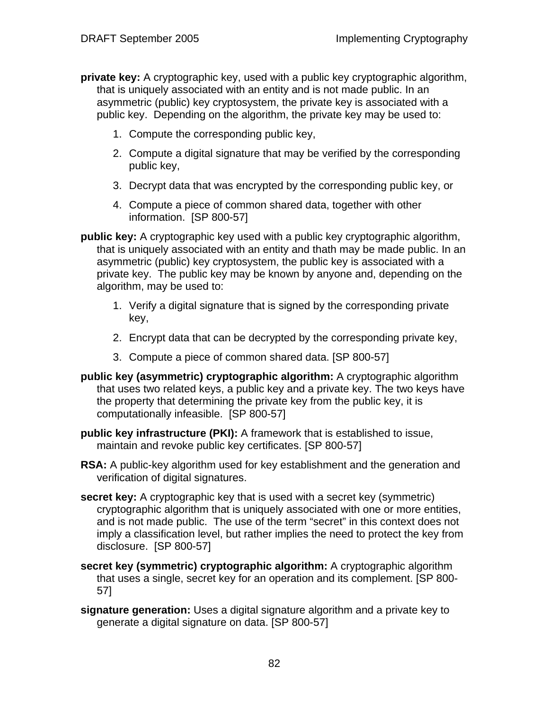- **private key:** A cryptographic key, used with a public key cryptographic algorithm, that is uniquely associated with an entity and is not made public. In an asymmetric (public) key cryptosystem, the private key is associated with a public key. Depending on the algorithm, the private key may be used to:
	- 1. Compute the corresponding public key,
	- 2. Compute a digital signature that may be verified by the corresponding public key,
	- 3. Decrypt data that was encrypted by the corresponding public key, or
	- 4. Compute a piece of common shared data, together with other information. [SP 800-57]
- **public key:** A cryptographic key used with a public key cryptographic algorithm, that is uniquely associated with an entity and thath may be made public. In an asymmetric (public) key cryptosystem, the public key is associated with a private key. The public key may be known by anyone and, depending on the algorithm, may be used to:
	- 1. Verify a digital signature that is signed by the corresponding private key,
	- 2. Encrypt data that can be decrypted by the corresponding private key,
	- 3. Compute a piece of common shared data. [SP 800-57]
- **public key (asymmetric) cryptographic algorithm:** A cryptographic algorithm that uses two related keys, a public key and a private key. The two keys have the property that determining the private key from the public key, it is computationally infeasible. [SP 800-57]
- **public key infrastructure (PKI):** A framework that is established to issue, maintain and revoke public key certificates. [SP 800-57]
- **RSA:** A public-key algorithm used for key establishment and the generation and verification of digital signatures.
- **secret key:** A cryptographic key that is used with a secret key (symmetric) cryptographic algorithm that is uniquely associated with one or more entities, and is not made public. The use of the term "secret" in this context does not imply a classification level, but rather implies the need to protect the key from disclosure. [SP 800-57]
- **secret key (symmetric) cryptographic algorithm:** A cryptographic algorithm that uses a single, secret key for an operation and its complement. [SP 800- 57]
- **signature generation:** Uses a digital signature algorithm and a private key to generate a digital signature on data. [SP 800-57]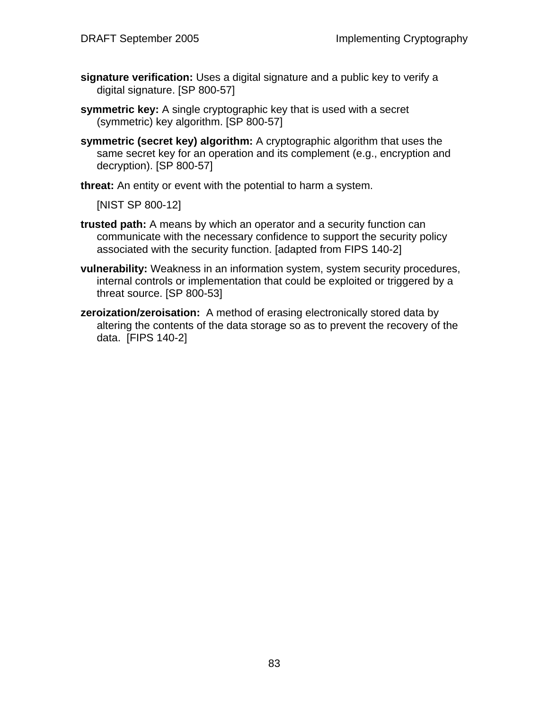- **signature verification:** Uses a digital signature and a public key to verify a digital signature. [SP 800-57]
- **symmetric key:** A single cryptographic key that is used with a secret (symmetric) key algorithm. [SP 800-57]
- **symmetric (secret key) algorithm:** A cryptographic algorithm that uses the same secret key for an operation and its complement (e.g., encryption and decryption). [SP 800-57]
- **threat:** An entity or event with the potential to harm a system.

[NIST SP 800-12]

- **trusted path:** A means by which an operator and a security function can communicate with the necessary confidence to support the security policy associated with the security function. [adapted from FIPS 140-2]
- **vulnerability:** Weakness in an information system, system security procedures, internal controls or implementation that could be exploited or triggered by a threat source. [SP 800-53]
- **zeroization/zeroisation:** A method of erasing electronically stored data by altering the contents of the data storage so as to prevent the recovery of the data. [FIPS 140-2]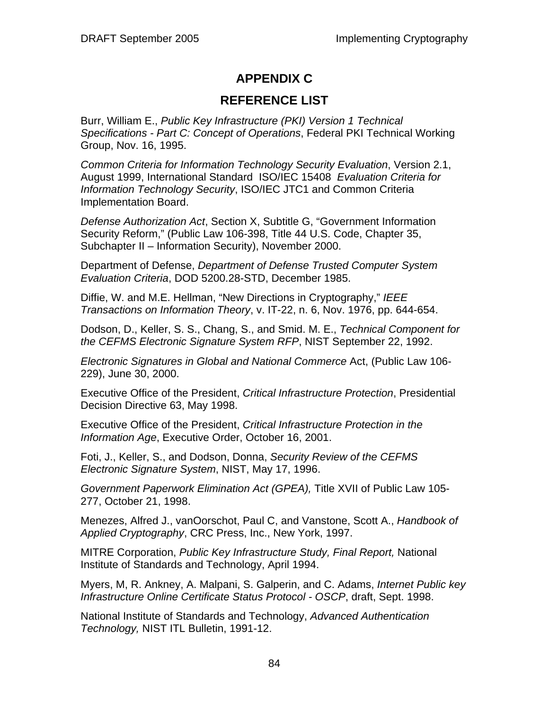# **APPENDIX C**

## **REFERENCE LIST**

Burr, William E., *Public Key Infrastructure (PKI) Version 1 Technical Specifications - Part C: Concept of Operations*, Federal PKI Technical Working Group, Nov. 16, 1995.

*Common Criteria for Information Technology Security Evaluation*, Version 2.1, August 1999, International Standard ISO/IEC 15408 *Evaluation Criteria for Information Technology Security*, ISO/IEC JTC1 and Common Criteria Implementation Board.

*Defense Authorization Act*, Section X, Subtitle G, "Government Information Security Reform," (Public Law 106-398, Title 44 U.S. Code, Chapter 35, Subchapter II – Information Security), November 2000.

Department of Defense, *Department of Defense Trusted Computer System Evaluation Criteria*, DOD 5200.28-STD, December 1985.

Diffie, W. and M.E. Hellman, "New Directions in Cryptography," *IEEE Transactions on Information Theory*, v. IT-22, n. 6, Nov. 1976, pp. 644-654.

Dodson, D., Keller, S. S., Chang, S., and Smid. M. E., *Technical Component for the CEFMS Electronic Signature System RFP*, NIST September 22, 1992.

*Electronic Signatures in Global and National Commerce* Act, (Public Law 106- 229), June 30, 2000.

Executive Office of the President, *Critical Infrastructure Protection*, Presidential Decision Directive 63, May 1998.

Executive Office of the President, *Critical Infrastructure Protection in the Information Age*, Executive Order, October 16, 2001.

Foti, J., Keller, S., and Dodson, Donna, *Security Review of the CEFMS Electronic Signature System*, NIST, May 17, 1996.

*Government Paperwork Elimination Act (GPEA),* Title XVII of Public Law 105- 277, October 21, 1998.

Menezes, Alfred J., vanOorschot, Paul C, and Vanstone, Scott A., *Handbook of Applied Cryptography*, CRC Press, Inc., New York, 1997.

MITRE Corporation, *Public Key Infrastructure Study, Final Report,* National Institute of Standards and Technology, April 1994.

Myers, M, R. Ankney, A. Malpani, S. Galperin, and C. Adams, *Internet Public key Infrastructure Online Certificate Status Protocol - OSCP*, draft, Sept. 1998.

National Institute of Standards and Technology, *Advanced Authentication Technology,* NIST ITL Bulletin, 1991-12.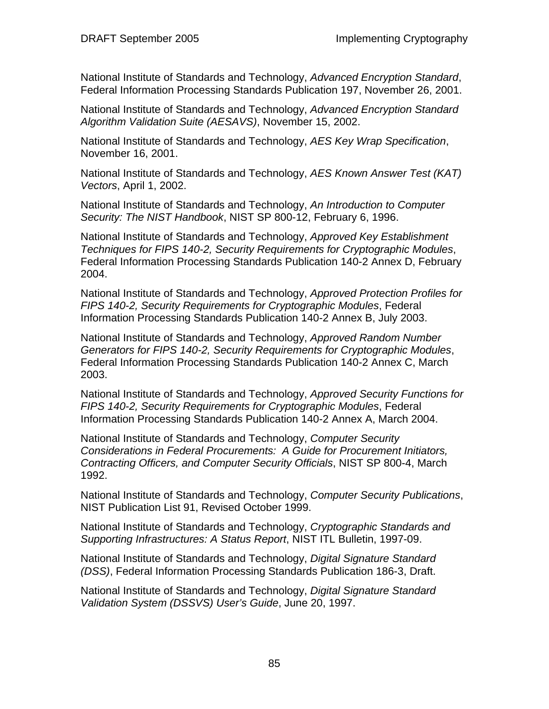National Institute of Standards and Technology, *Advanced Encryption Standard*, Federal Information Processing Standards Publication 197, November 26, 2001.

National Institute of Standards and Technology, *Advanced Encryption Standard Algorithm Validation Suite (AESAVS)*, November 15, 2002.

National Institute of Standards and Technology, *AES Key Wrap Specification*, November 16, 2001.

National Institute of Standards and Technology, *AES Known Answer Test (KAT) Vectors*, April 1, 2002.

National Institute of Standards and Technology, *An Introduction to Computer Security: The NIST Handbook*, NIST SP 800-12, February 6, 1996.

National Institute of Standards and Technology, *Approved Key Establishment Techniques for FIPS 140-2, Security Requirements for Cryptographic Modules*, Federal Information Processing Standards Publication 140-2 Annex D, February 2004.

National Institute of Standards and Technology, *Approved Protection Profiles for FIPS 140-2, Security Requirements for Cryptographic Modules*, Federal Information Processing Standards Publication 140-2 Annex B, July 2003.

National Institute of Standards and Technology, *Approved Random Number Generators for FIPS 140-2, Security Requirements for Cryptographic Modules*, Federal Information Processing Standards Publication 140-2 Annex C, March 2003.

National Institute of Standards and Technology, *Approved Security Functions for FIPS 140-2, Security Requirements for Cryptographic Modules*, Federal Information Processing Standards Publication 140-2 Annex A, March 2004.

National Institute of Standards and Technology, *Computer Security Considerations in Federal Procurements: A Guide for Procurement Initiators, Contracting Officers, and Computer Security Officials*, NIST SP 800-4, March 1992.

National Institute of Standards and Technology, *Computer Security Publications*, NIST Publication List 91, Revised October 1999.

National Institute of Standards and Technology, *Cryptographic Standards and Supporting Infrastructures: A Status Report*, NIST ITL Bulletin, 1997-09.

National Institute of Standards and Technology, *Digital Signature Standard (DSS)*, Federal Information Processing Standards Publication 186-3, Draft.

National Institute of Standards and Technology, *Digital Signature Standard Validation System (DSSVS) User's Guide*, June 20, 1997.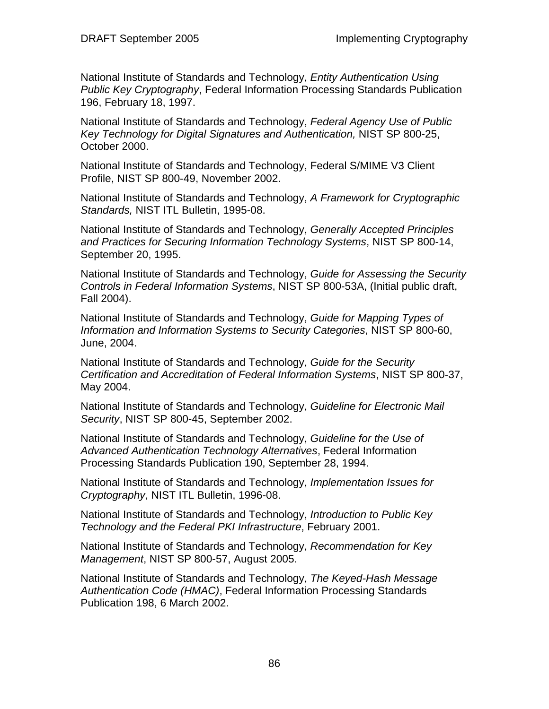National Institute of Standards and Technology, *Entity Authentication Using Public Key Cryptography*, Federal Information Processing Standards Publication 196, February 18, 1997.

National Institute of Standards and Technology, *Federal Agency Use of Public Key Technology for Digital Signatures and Authentication,* NIST SP 800-25, October 2000.

National Institute of Standards and Technology, Federal S/MIME V3 Client Profile, NIST SP 800-49, November 2002.

National Institute of Standards and Technology, *A Framework for Cryptographic Standards,* NIST ITL Bulletin, 1995-08.

National Institute of Standards and Technology, *Generally Accepted Principles and Practices for Securing Information Technology Systems*, NIST SP 800-14, September 20, 1995.

National Institute of Standards and Technology, *Guide for Assessing the Security Controls in Federal Information Systems*, NIST SP 800-53A, (Initial public draft, Fall 2004).

National Institute of Standards and Technology, *Guide for Mapping Types of Information and Information Systems to Security Categories*, NIST SP 800-60, June, 2004.

National Institute of Standards and Technology, *Guide for the Security Certification and Accreditation of Federal Information Systems*, NIST SP 800-37, May 2004.

National Institute of Standards and Technology, *Guideline for Electronic Mail Security*, NIST SP 800-45, September 2002.

National Institute of Standards and Technology, *Guideline for the Use of Advanced Authentication Technology Alternatives*, Federal Information Processing Standards Publication 190, September 28, 1994.

National Institute of Standards and Technology, *Implementation Issues for Cryptography*, NIST ITL Bulletin, 1996-08.

National Institute of Standards and Technology, *Introduction to Public Key Technology and the Federal PKI Infrastructure*, February 2001.

National Institute of Standards and Technology, *Recommendation for Key Management*, NIST SP 800-57, August 2005.

National Institute of Standards and Technology, *The Keyed-Hash Message Authentication Code (HMAC)*, Federal Information Processing Standards Publication 198, 6 March 2002.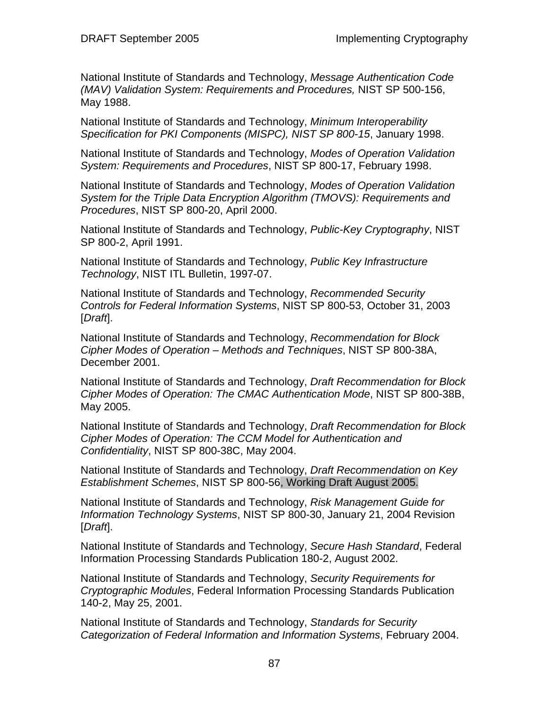National Institute of Standards and Technology, *Message Authentication Code (MAV) Validation System: Requirements and Procedures,* NIST SP 500-156, May 1988.

National Institute of Standards and Technology, *Minimum Interoperability Specification for PKI Components (MISPC), NIST SP 800-15*, January 1998.

National Institute of Standards and Technology, *Modes of Operation Validation System: Requirements and Procedures*, NIST SP 800-17, February 1998.

National Institute of Standards and Technology, *Modes of Operation Validation System for the Triple Data Encryption Algorithm (TMOVS): Requirements and Procedures*, NIST SP 800-20, April 2000.

National Institute of Standards and Technology, *Public-Key Cryptography*, NIST SP 800-2, April 1991.

National Institute of Standards and Technology, *Public Key Infrastructure Technology*, NIST ITL Bulletin, 1997-07.

National Institute of Standards and Technology, *Recommended Security Controls for Federal Information Systems*, NIST SP 800-53, October 31, 2003 [*Draft*].

National Institute of Standards and Technology, *Recommendation for Block Cipher Modes of Operation – Methods and Techniques*, NIST SP 800-38A, December 2001.

National Institute of Standards and Technology, *Draft Recommendation for Block Cipher Modes of Operation: The CMAC Authentication Mode*, NIST SP 800-38B, May 2005.

National Institute of Standards and Technology, *Draft Recommendation for Block Cipher Modes of Operation: The CCM Model for Authentication and Confidentiality*, NIST SP 800-38C, May 2004.

National Institute of Standards and Technology, *Draft Recommendation on Key Establishment Schemes*, NIST SP 800-56, Working Draft August 2005.

National Institute of Standards and Technology, *Risk Management Guide for Information Technology Systems*, NIST SP 800-30, January 21, 2004 Revision [*Draft*].

National Institute of Standards and Technology, *Secure Hash Standard*, Federal Information Processing Standards Publication 180-2, August 2002.

National Institute of Standards and Technology, *Security Requirements for Cryptographic Modules*, Federal Information Processing Standards Publication 140-2, May 25, 2001.

National Institute of Standards and Technology, *Standards for Security Categorization of Federal Information and Information Systems*, February 2004.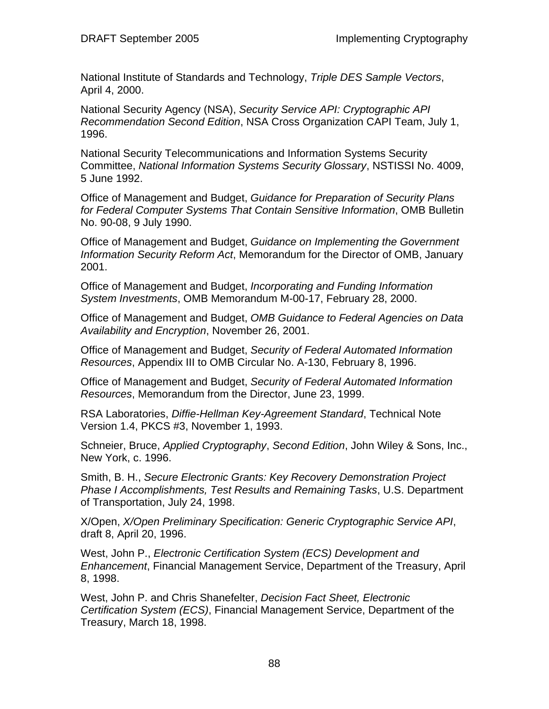National Institute of Standards and Technology, *Triple DES Sample Vectors*, April 4, 2000.

National Security Agency (NSA), *Security Service API: Cryptographic API Recommendation Second Edition*, NSA Cross Organization CAPI Team, July 1, 1996.

National Security Telecommunications and Information Systems Security Committee, *National Information Systems Security Glossary*, NSTISSI No. 4009, 5 June 1992.

Office of Management and Budget, *Guidance for Preparation of Security Plans for Federal Computer Systems That Contain Sensitive Information*, OMB Bulletin No. 90-08, 9 July 1990.

Office of Management and Budget, *Guidance on Implementing the Government Information Security Reform Act*, Memorandum for the Director of OMB, January 2001.

Office of Management and Budget, *Incorporating and Funding Information System Investments*, OMB Memorandum M-00-17, February 28, 2000.

Office of Management and Budget, *OMB Guidance to Federal Agencies on Data Availability and Encryption*, November 26, 2001.

Office of Management and Budget, *Security of Federal Automated Information Resources*, Appendix III to OMB Circular No. A-130, February 8, 1996.

Office of Management and Budget, *Security of Federal Automated Information Resources*, Memorandum from the Director, June 23, 1999.

RSA Laboratories, *Diffie-Hellman Key-Agreement Standard*, Technical Note Version 1.4, PKCS #3, November 1, 1993.

Schneier, Bruce, *Applied Cryptography*, *Second Edition*, John Wiley & Sons, Inc., New York, c. 1996.

Smith, B. H., *Secure Electronic Grants: Key Recovery Demonstration Project Phase I Accomplishments, Test Results and Remaining Tasks*, U.S. Department of Transportation, July 24, 1998.

X/Open, *X/Open Preliminary Specification: Generic Cryptographic Service API*, draft 8, April 20, 1996.

West, John P., *Electronic Certification System (ECS) Development and Enhancement*, Financial Management Service, Department of the Treasury, April 8, 1998.

West, John P. and Chris Shanefelter, *Decision Fact Sheet, Electronic Certification System (ECS)*, Financial Management Service, Department of the Treasury, March 18, 1998.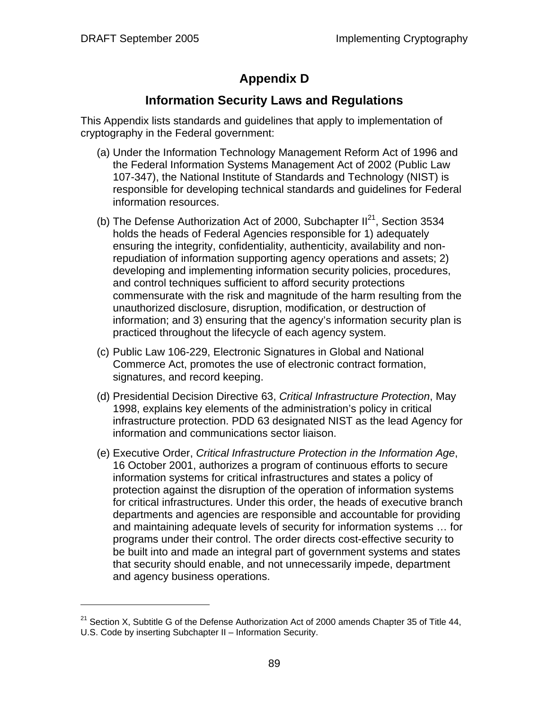$\overline{a}$ 

# **Appendix D**

## **Information Security Laws and Regulations**

This Appendix lists standards and guidelines that apply to implementation of cryptography in the Federal government:

- (a) Under the Information Technology Management Reform Act of 1996 and the Federal Information Systems Management Act of 2002 (Public Law 107-347), the National Institute of Standards and Technology (NIST) is responsible for developing technical standards and guidelines for Federal information resources.
- (b) The Defense Authorization Act of 2000, Subchapter  $II^{21}$ , Section 3534 holds the heads of Federal Agencies responsible for 1) adequately ensuring the integrity, confidentiality, authenticity, availability and nonrepudiation of information supporting agency operations and assets; 2) developing and implementing information security policies, procedures, and control techniques sufficient to afford security protections commensurate with the risk and magnitude of the harm resulting from the unauthorized disclosure, disruption, modification, or destruction of information; and 3) ensuring that the agency's information security plan is practiced throughout the lifecycle of each agency system.
- (c) Public Law 106-229, Electronic Signatures in Global and National Commerce Act, promotes the use of electronic contract formation, signatures, and record keeping.
- (d) Presidential Decision Directive 63, *Critical Infrastructure Protection*, May 1998, explains key elements of the administration's policy in critical infrastructure protection. PDD 63 designated NIST as the lead Agency for information and communications sector liaison.
- (e) Executive Order, *Critical Infrastructure Protection in the Information Age*, 16 October 2001, authorizes a program of continuous efforts to secure information systems for critical infrastructures and states a policy of protection against the disruption of the operation of information systems for critical infrastructures. Under this order, the heads of executive branch departments and agencies are responsible and accountable for providing and maintaining adequate levels of security for information systems … for programs under their control. The order directs cost-effective security to be built into and made an integral part of government systems and states that security should enable, and not unnecessarily impede, department and agency business operations.

<sup>&</sup>lt;sup>21</sup> Section X, Subtitle G of the Defense Authorization Act of 2000 amends Chapter 35 of Title 44, U.S. Code by inserting Subchapter II – Information Security.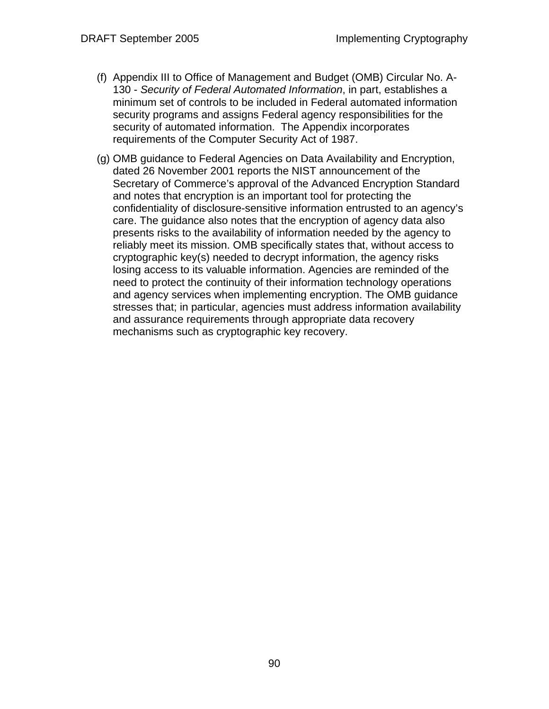- (f) Appendix III to Office of Management and Budget (OMB) Circular No. A-130 - *Security of Federal Automated Information*, in part, establishes a minimum set of controls to be included in Federal automated information security programs and assigns Federal agency responsibilities for the security of automated information. The Appendix incorporates requirements of the Computer Security Act of 1987.
- (g) OMB guidance to Federal Agencies on Data Availability and Encryption, dated 26 November 2001 reports the NIST announcement of the Secretary of Commerce's approval of the Advanced Encryption Standard and notes that encryption is an important tool for protecting the confidentiality of disclosure-sensitive information entrusted to an agency's care. The guidance also notes that the encryption of agency data also presents risks to the availability of information needed by the agency to reliably meet its mission. OMB specifically states that, without access to cryptographic key(s) needed to decrypt information, the agency risks losing access to its valuable information. Agencies are reminded of the need to protect the continuity of their information technology operations and agency services when implementing encryption. The OMB guidance stresses that; in particular, agencies must address information availability and assurance requirements through appropriate data recovery mechanisms such as cryptographic key recovery.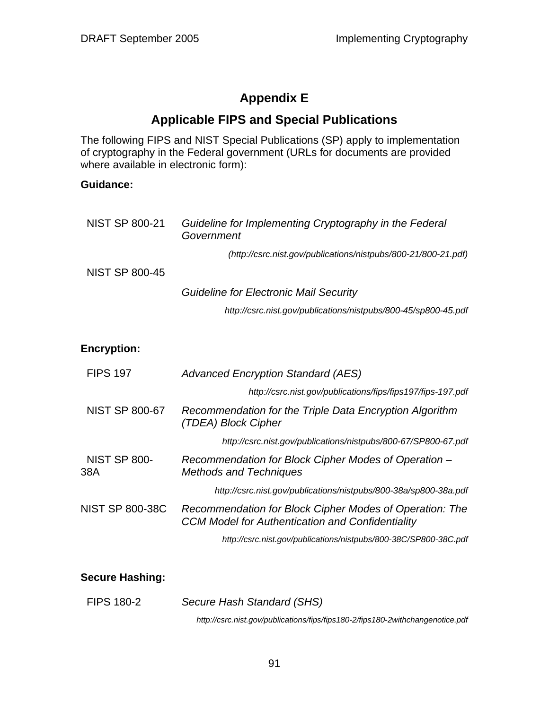# **Appendix E**

## **Applicable FIPS and Special Publications**

The following FIPS and NIST Special Publications (SP) apply to implementation of cryptography in the Federal government (URLs for documents are provided where available in electronic form):

#### **Guidance:**

| <b>NIST SP 800-21</b>      | Guideline for Implementing Cryptography in the Federal<br>Government                                               |
|----------------------------|--------------------------------------------------------------------------------------------------------------------|
|                            | (http://csrc.nist.gov/publications/nistpubs/800-21/800-21.pdf)                                                     |
| <b>NIST SP 800-45</b>      |                                                                                                                    |
|                            | Guideline for Electronic Mail Security                                                                             |
|                            | http://csrc.nist.gov/publications/nistpubs/800-45/sp800-45.pdf                                                     |
|                            |                                                                                                                    |
| Encryption:                |                                                                                                                    |
| <b>FIPS 197</b>            | <b>Advanced Encryption Standard (AES)</b>                                                                          |
|                            | http://csrc.nist.gov/publications/fips/fips197/fips-197.pdf                                                        |
| <b>NIST SP 800-67</b>      | Recommendation for the Triple Data Encryption Algorithm<br>(TDEA) Block Cipher                                     |
|                            | http://csrc.nist.gov/publications/nistpubs/800-67/SP800-67.pdf                                                     |
| <b>NIST SP 800-</b><br>38A | Recommendation for Block Cipher Modes of Operation –<br><b>Methods and Techniques</b>                              |
|                            | http://csrc.nist.gov/publications/nistpubs/800-38a/sp800-38a.pdf                                                   |
| <b>NIST SP 800-38C</b>     | Recommendation for Block Cipher Modes of Operation: The<br><b>CCM Model for Authentication and Confidentiality</b> |
|                            |                                                                                                                    |

*http://csrc.nist.gov/publications/nistpubs/800-38C/SP800-38C.pdf* 

### **Secure Hashing:**

FIPS 180-2 *Secure Hash Standard (SHS)* 

*http://csrc.nist.gov/publications/fips/fips180-2/fips180-2withchangenotice.pdf*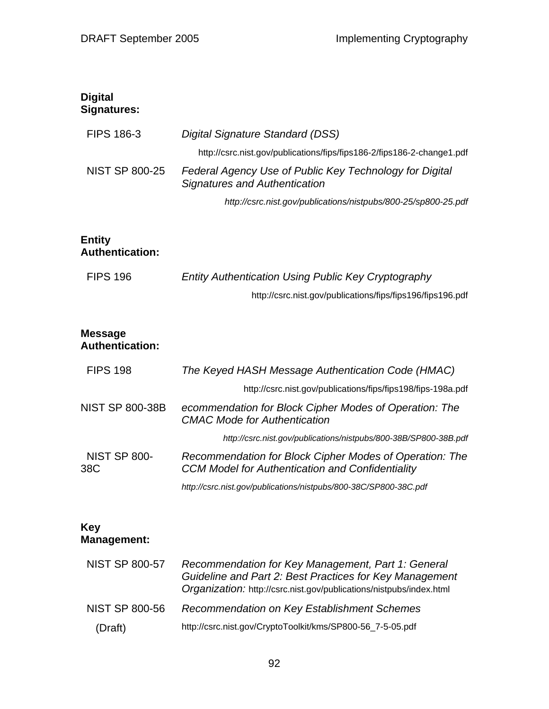#### **Digital Signatures:**

| <b>FIPS 186-3</b>     | Digital Signature Standard (DSS)                                                         |
|-----------------------|------------------------------------------------------------------------------------------|
|                       | http://csrc.nist.gov/publications/fips/fips186-2/fips186-2-change1.pdf                   |
| <b>NIST SP 800-25</b> | Federal Agency Use of Public Key Technology for Digital<br>Signatures and Authentication |

*http://csrc.nist.gov/publications/nistpubs/800-25/sp800-25.pdf* 

#### **Entity Authentication:**

| <b>FIPS 196</b> | <b>Entity Authentication Using Public Key Cryptography</b> |
|-----------------|------------------------------------------------------------|
|                 | http://csrc.nist.gov/publications/fips/fips196/fips196.pdf |

#### **Message Authentication:**

| <b>FIPS 198</b>            | The Keyed HASH Message Authentication Code (HMAC)                                                                  |
|----------------------------|--------------------------------------------------------------------------------------------------------------------|
|                            | http://csrc.nist.gov/publications/fips/fips198/fips-198a.pdf                                                       |
| <b>NIST SP 800-38B</b>     | ecommendation for Block Cipher Modes of Operation: The<br><b>CMAC Mode for Authentication</b>                      |
|                            | http://csrc.nist.gov/publications/nistpubs/800-38B/SP800-38B.pdf                                                   |
| <b>NIST SP 800-</b><br>38C | Recommendation for Block Cipher Modes of Operation: The<br><b>CCM Model for Authentication and Confidentiality</b> |
|                            | http://csrc.nist.gov/publications/nistpubs/800-38C/SP800-38C.pdf                                                   |

#### **Key Management:**

| <b>NIST SP 800-57</b> | Recommendation for Key Management, Part 1: General<br>Guideline and Part 2: Best Practices for Key Management<br>Organization: http://csrc.nist.gov/publications/nistpubs/index.html |
|-----------------------|--------------------------------------------------------------------------------------------------------------------------------------------------------------------------------------|
| <b>NIST SP 800-56</b> | Recommendation on Key Establishment Schemes                                                                                                                                          |
| (Draft)               | http://csrc.nist.gov/CryptoToolkit/kms/SP800-56_7-5-05.pdf                                                                                                                           |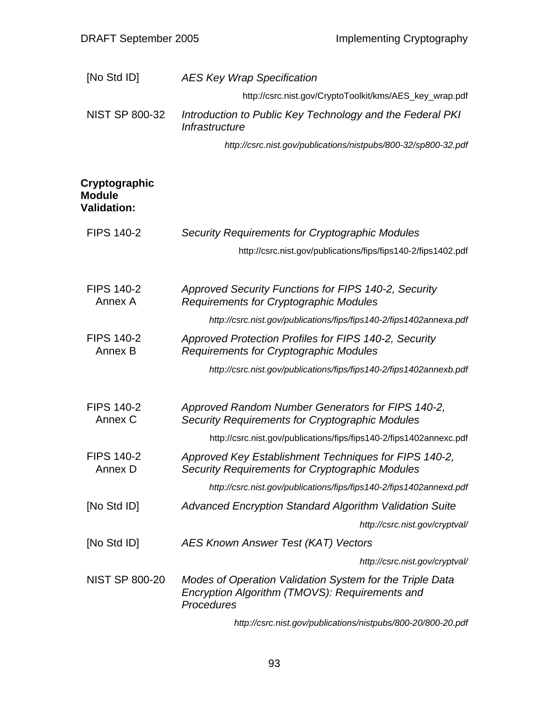| [No Std ID]           | <b>AES Key Wrap Specification</b>                                           |
|-----------------------|-----------------------------------------------------------------------------|
|                       | http://csrc.nist.gov/CryptoToolkit/kms/AES_key_wrap.pdf                     |
| <b>NIST SP 800-32</b> | Introduction to Public Key Technology and the Federal PKI<br>Infrastructure |
|                       | http://csrc.nist.gov/publications/nistpubs/800-32/sp800-32.pdf              |

**Cryptographic Module Validation:**  FIPS 140-2 *Security Requirements for Cryptographic Modules*  http://csrc.nist.gov/publications/fips/fips140-2/fips1402.pdf FIPS 140-2 Annex A *Approved Security Functions for FIPS 140-2, Security Requirements for Cryptographic Modules http://csrc.nist.gov/publications/fips/fips140-2/fips1402annexa.pdf*  FIPS 140-2 Annex B *Approved Protection Profiles for FIPS 140-2, Security Requirements for Cryptographic Modules http://csrc.nist.gov/publications/fips/fips140-2/fips1402annexb.pdf* FIPS 140-2 Annex C *Approved Random Number Generators for FIPS 140-2, Security Requirements for Cryptographic Modules*  http://csrc.nist.gov/publications/fips/fips140-2/fips1402annexc.pdf FIPS 140-2 Annex D *Approved Key Establishment Techniques for FIPS 140-2, Security Requirements for Cryptographic Modules http://csrc.nist.gov/publications/fips/fips140-2/fips1402annexd.pdf*  [No Std ID] *Advanced Encryption Standard Algorithm Validation Suite http://csrc.nist.gov/cryptval/*  [No Std ID] *AES Known Answer Test (KAT) Vectors http://csrc.nist.gov/cryptval/*  NIST SP 800-20 *Modes of Operation Validation System for the Triple Data Encryption Algorithm (TMOVS): Requirements and Procedures* 

*http://csrc.nist.gov/publications/nistpubs/800-20/800-20.pdf*